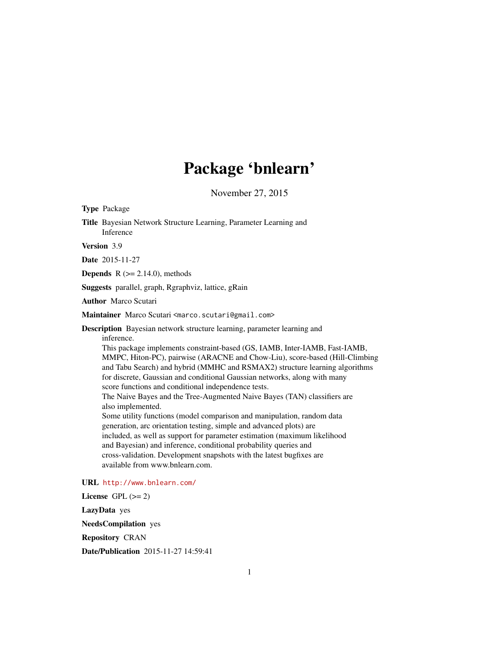# Package 'bnlearn'

November 27, 2015

Title Bayesian Network Structure Learning, Parameter Learning and Inference Version 3.9 Date 2015-11-27 **Depends**  $R$  ( $>= 2.14.0$ ), methods

Suggests parallel, graph, Rgraphviz, lattice, gRain

Author Marco Scutari

<span id="page-0-0"></span>Type Package

Maintainer Marco Scutari <marco.scutari@gmail.com>

Description Bayesian network structure learning, parameter learning and inference.

This package implements constraint-based (GS, IAMB, Inter-IAMB, Fast-IAMB, MMPC, Hiton-PC), pairwise (ARACNE and Chow-Liu), score-based (Hill-Climbing and Tabu Search) and hybrid (MMHC and RSMAX2) structure learning algorithms for discrete, Gaussian and conditional Gaussian networks, along with many score functions and conditional independence tests. The Naive Bayes and the Tree-Augmented Naive Bayes (TAN) classifiers are also implemented. Some utility functions (model comparison and manipulation, random data generation, arc orientation testing, simple and advanced plots) are included, as well as support for parameter estimation (maximum likelihood and Bayesian) and inference, conditional probability queries and cross-validation. Development snapshots with the latest bugfixes are available from www.bnlearn.com.

URL <http://www.bnlearn.com/>

License GPL  $(>= 2)$ LazyData yes NeedsCompilation yes Repository CRAN Date/Publication 2015-11-27 14:59:41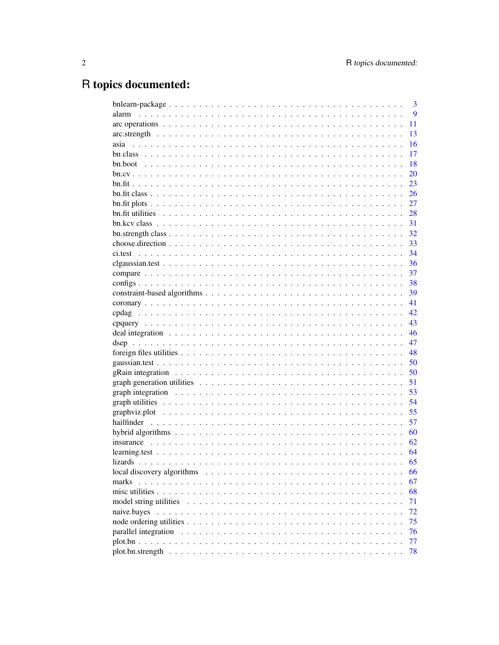# R topics documented:

| 3                                                                                                                |
|------------------------------------------------------------------------------------------------------------------|
| 9<br>alarm                                                                                                       |
| 11                                                                                                               |
| 13                                                                                                               |
| 16                                                                                                               |
| 17                                                                                                               |
| 18                                                                                                               |
| 20                                                                                                               |
| 23                                                                                                               |
| 26                                                                                                               |
| 27                                                                                                               |
| 28                                                                                                               |
| 31                                                                                                               |
| 32                                                                                                               |
| 33                                                                                                               |
| 34                                                                                                               |
| 36                                                                                                               |
| 37                                                                                                               |
| 38                                                                                                               |
| 39                                                                                                               |
| 41                                                                                                               |
| 42                                                                                                               |
| 43                                                                                                               |
| 46                                                                                                               |
| 47                                                                                                               |
| 48                                                                                                               |
| 50                                                                                                               |
| 50                                                                                                               |
| 51                                                                                                               |
| 53                                                                                                               |
| 54                                                                                                               |
| 55                                                                                                               |
| 57                                                                                                               |
| 60                                                                                                               |
| 62                                                                                                               |
| 64                                                                                                               |
| 65                                                                                                               |
| 66                                                                                                               |
| 67<br>marks                                                                                                      |
| 68                                                                                                               |
| 71                                                                                                               |
| 72<br>naive.bayes                                                                                                |
| 75                                                                                                               |
| parallel integration $\ldots \ldots \ldots \ldots \ldots \ldots \ldots \ldots \ldots \ldots \ldots \ldots$<br>76 |
| 77                                                                                                               |
| 78                                                                                                               |
|                                                                                                                  |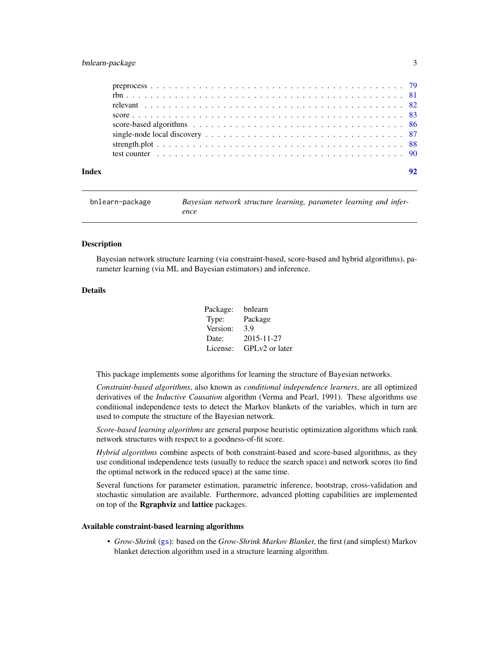# <span id="page-2-0"></span>bnlearn-package 3

|       | single-node local discovery $\ldots \ldots \ldots \ldots \ldots \ldots \ldots \ldots \ldots \ldots \ldots \ldots$ 87 |
|-------|----------------------------------------------------------------------------------------------------------------------|
|       |                                                                                                                      |
|       |                                                                                                                      |
| Index | 92                                                                                                                   |

<span id="page-2-1"></span>

| bnlearn-package | Bayesian network structure learning, parameter learning and infer- |
|-----------------|--------------------------------------------------------------------|
|                 | ence                                                               |

#### Description

Bayesian network structure learning (via constraint-based, score-based and hybrid algorithms), parameter learning (via ML and Bayesian estimators) and inference.

# Details

| Package: | bnlearn        |
|----------|----------------|
| Type:    | Package        |
| Version: | 3.9            |
| Date:    | 2015-11-27     |
| License: | GPLv2 or later |

This package implements some algorithms for learning the structure of Bayesian networks.

*Constraint-based algorithms*, also known as *conditional independence learners*, are all optimized derivatives of the *Inductive Causation* algorithm (Verma and Pearl, 1991). These algorithms use conditional independence tests to detect the Markov blankets of the variables, which in turn are used to compute the structure of the Bayesian network.

*Score-based learning algorithms* are general purpose heuristic optimization algorithms which rank network structures with respect to a goodness-of-fit score.

*Hybrid algorithms* combine aspects of both constraint-based and score-based algorithms, as they use conditional independence tests (usually to reduce the search space) and network scores (to find the optimal network in the reduced space) at the same time.

Several functions for parameter estimation, parametric inference, bootstrap, cross-validation and stochastic simulation are available. Furthermore, advanced plotting capabilities are implemented on top of the Rgraphviz and lattice packages.

#### Available constraint-based learning algorithms

• *Grow-Shrink* ([gs](#page-38-1)): based on the *Grow-Shrink Markov Blanket*, the first (and simplest) Markov blanket detection algorithm used in a structure learning algorithm.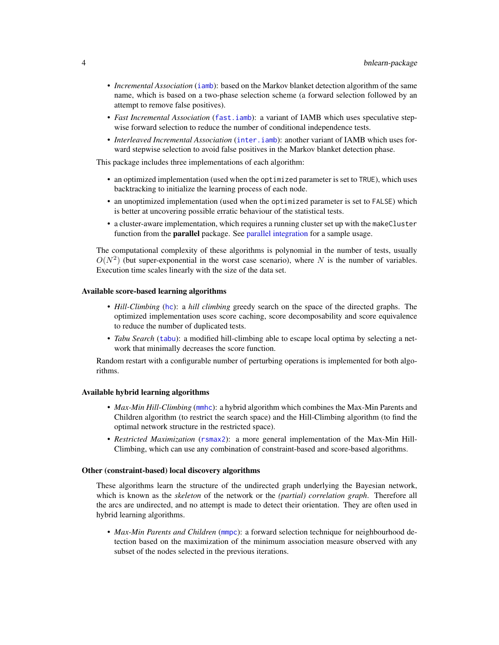- *Incremental Association* ([iamb](#page-38-1)): based on the Markov blanket detection algorithm of the same name, which is based on a two-phase selection scheme (a forward selection followed by an attempt to remove false positives).
- *Fast Incremental Association* ([fast.iamb](#page-38-1)): a variant of IAMB which uses speculative stepwise forward selection to reduce the number of conditional independence tests.
- *Interleaved Incremental Association* ([inter.iamb](#page-38-1)): another variant of IAMB which uses forward stepwise selection to avoid false positives in the Markov blanket detection phase.

This package includes three implementations of each algorithm:

- an optimized implementation (used when the optimized parameter is set to TRUE), which uses backtracking to initialize the learning process of each node.
- an unoptimized implementation (used when the optimized parameter is set to FALSE) which is better at uncovering possible erratic behaviour of the statistical tests.
- a cluster-aware implementation, which requires a running cluster set up with the makeCluster function from the **parallel** package. See [parallel integration](#page-75-1) for a sample usage.

The computational complexity of these algorithms is polynomial in the number of tests, usually  $O(N^2)$  (but super-exponential in the worst case scenario), where N is the number of variables. Execution time scales linearly with the size of the data set.

#### Available score-based learning algorithms

- *Hill-Climbing* ([hc](#page-85-1)): a *hill climbing* greedy search on the space of the directed graphs. The optimized implementation uses score caching, score decomposability and score equivalence to reduce the number of duplicated tests.
- *Tabu Search* ([tabu](#page-85-1)): a modified hill-climbing able to escape local optima by selecting a network that minimally decreases the score function.

Random restart with a configurable number of perturbing operations is implemented for both algorithms.

#### Available hybrid learning algorithms

- *Max-Min Hill-Climbing* ([mmhc](#page-59-1)): a hybrid algorithm which combines the Max-Min Parents and Children algorithm (to restrict the search space) and the Hill-Climbing algorithm (to find the optimal network structure in the restricted space).
- *Restricted Maximization* ([rsmax2](#page-59-1)): a more general implementation of the Max-Min Hill-Climbing, which can use any combination of constraint-based and score-based algorithms.

#### Other (constraint-based) local discovery algorithms

These algorithms learn the structure of the undirected graph underlying the Bayesian network, which is known as the *skeleton* of the network or the *(partial) correlation graph*. Therefore all the arcs are undirected, and no attempt is made to detect their orientation. They are often used in hybrid learning algorithms.

• *Max-Min Parents and Children* ([mmpc](#page-65-1)): a forward selection technique for neighbourhood detection based on the maximization of the minimum association measure observed with any subset of the nodes selected in the previous iterations.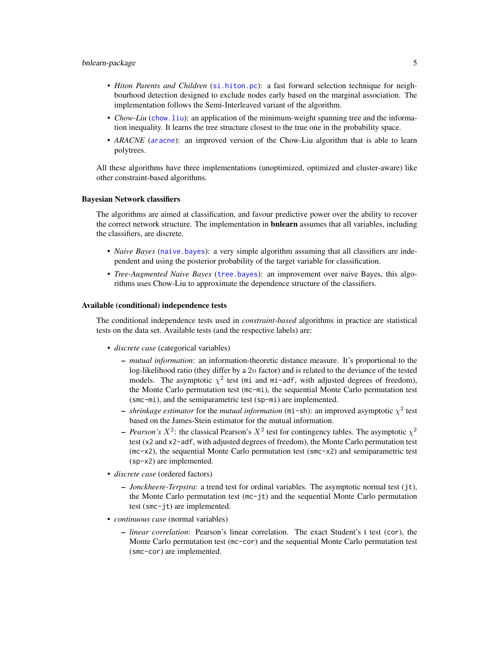# bnlearn-package 5

- *Hiton Parents and Children* ([si.hiton.pc](#page-65-1)): a fast forward selection technique for neighbourhood detection designed to exclude nodes early based on the marginal association. The implementation follows the Semi-Interleaved variant of the algorithm.
- *Chow-Liu* ([chow.liu](#page-65-1)): an application of the minimum-weight spanning tree and the information inequality. It learns the tree structure closest to the true one in the probability space.
- *ARACNE* ([aracne](#page-65-1)): an improved version of the Chow-Liu algorithm that is able to learn polytrees.

All these algorithms have three implementations (unoptimized, optimized and cluster-aware) like other constraint-based algorithms.

#### Bayesian Network classifiers

The algorithms are aimed at classification, and favour predictive power over the ability to recover the correct network structure. The implementation in **bnlearn** assumes that all variables, including the classifiers, are discrete.

- *Naive Bayes* ([naive.bayes](#page-71-1)): a very simple algorithm assuming that all classifiers are independent and using the posterior probability of the target variable for classification.
- *Tree-Augmented Naive Bayes* ([tree.bayes](#page-71-2)): an improvement over naive Bayes, this algorithms uses Chow-Liu to approximate the dependence structure of the classifiers.

#### Available (conditional) independence tests

The conditional independence tests used in *constraint-based* algorithms in practice are statistical tests on the data set. Available tests (and the respective labels) are:

- *discrete case* (categorical variables)
	- *mutual information*: an information-theoretic distance measure. It's proportional to the log-likelihood ratio (they differ by a  $2n$  factor) and is related to the deviance of the tested models. The asymptotic  $\chi^2$  test (mi and mi-adf, with adjusted degrees of freedom), the Monte Carlo permutation test (mc-mi), the sequential Monte Carlo permutation test (smc-mi), and the semiparametric test (sp-mi) are implemented.
	- $-$  *shrinkage estimator* for the *mutual information* (mi-sh): an improved asymptotic  $\chi^2$  test based on the James-Stein estimator for the mutual information.
	- *Pearson's*  $X^2$ : the classical Pearson's  $X^2$  test for contingency tables. The asymptotic  $\chi^2$ test (x2 and x2-adf, with adjusted degrees of freedom), the Monte Carlo permutation test  $(mc-x2)$ , the sequential Monte Carlo permutation test ( $smc-x2$ ) and semiparametric test (sp-x2) are implemented.
- *discrete case* (ordered factors)
	- *Jonckheere-Terpstra*: a trend test for ordinal variables. The asymptotic normal test (jt), the Monte Carlo permutation test (mc-jt) and the sequential Monte Carlo permutation test (smc-jt) are implemented.
- *continuous case* (normal variables)
	- *linear correlation*: Pearson's linear correlation. The exact Student's t test (cor), the Monte Carlo permutation test (mc-cor) and the sequential Monte Carlo permutation test (smc-cor) are implemented.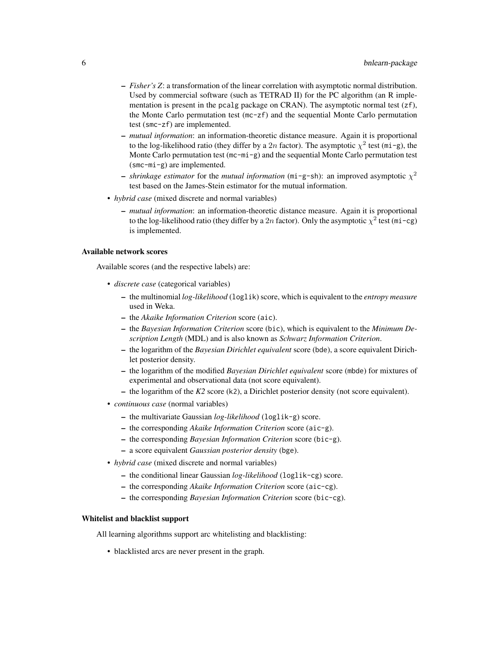- *Fisher's Z*: a transformation of the linear correlation with asymptotic normal distribution. Used by commercial software (such as TETRAD II) for the PC algorithm (an R implementation is present in the pcalg package on CRAN). The asymptotic normal test  $(zf)$ , the Monte Carlo permutation test (mc-zf) and the sequential Monte Carlo permutation test (smc-zf) are implemented.
- *mutual information*: an information-theoretic distance measure. Again it is proportional to the log-likelihood ratio (they differ by a 2n factor). The asymptotic  $\chi^2$  test (mi-g), the Monte Carlo permutation test  $(mc-mi-g)$  and the sequential Monte Carlo permutation test (smc-mi-g) are implemented.
- $-$  *shrinkage estimator* for the *mutual information* (mi-g-sh): an improved asymptotic  $\chi^2$ test based on the James-Stein estimator for the mutual information.
- *hybrid case* (mixed discrete and normal variables)
	- *mutual information*: an information-theoretic distance measure. Again it is proportional to the log-likelihood ratio (they differ by a 2n factor). Only the asymptotic  $\chi^2$  test (mi-cg) is implemented.

#### Available network scores

Available scores (and the respective labels) are:

- *discrete case* (categorical variables)
	- the multinomial *log-likelihood* (loglik) score, which is equivalent to the *entropy measure* used in Weka.
	- the *Akaike Information Criterion* score (aic).
	- the *Bayesian Information Criterion* score (bic), which is equivalent to the *Minimum Description Length* (MDL) and is also known as *Schwarz Information Criterion*.
	- the logarithm of the *Bayesian Dirichlet equivalent* score (bde), a score equivalent Dirichlet posterior density.
	- the logarithm of the modified *Bayesian Dirichlet equivalent* score (mbde) for mixtures of experimental and observational data (not score equivalent).
	- the logarithm of the *K2* score (k2), a Dirichlet posterior density (not score equivalent).
- *continuous case* (normal variables)
	- the multivariate Gaussian *log-likelihood* (loglik-g) score.
	- the corresponding *Akaike Information Criterion* score (aic-g).
	- the corresponding *Bayesian Information Criterion* score (bic-g).
	- a score equivalent *Gaussian posterior density* (bge).
- *hybrid case* (mixed discrete and normal variables)
	- the conditional linear Gaussian *log-likelihood* (loglik-cg) score.
	- the corresponding *Akaike Information Criterion* score (aic-cg).
	- the corresponding *Bayesian Information Criterion* score (bic-cg).

# Whitelist and blacklist support

All learning algorithms support arc whitelisting and blacklisting:

• blacklisted arcs are never present in the graph.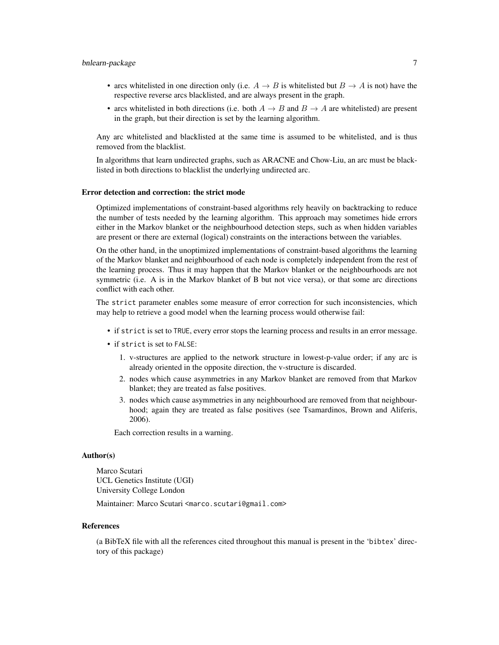# bnlearn-package 7 7

- arcs whitelisted in one direction only (i.e.  $A \rightarrow B$  is whitelisted but  $B \rightarrow A$  is not) have the respective reverse arcs blacklisted, and are always present in the graph.
- arcs whitelisted in both directions (i.e. both  $A \rightarrow B$  and  $B \rightarrow A$  are whitelisted) are present in the graph, but their direction is set by the learning algorithm.

Any arc whitelisted and blacklisted at the same time is assumed to be whitelisted, and is thus removed from the blacklist.

In algorithms that learn undirected graphs, such as ARACNE and Chow-Liu, an arc must be blacklisted in both directions to blacklist the underlying undirected arc.

# Error detection and correction: the strict mode

Optimized implementations of constraint-based algorithms rely heavily on backtracking to reduce the number of tests needed by the learning algorithm. This approach may sometimes hide errors either in the Markov blanket or the neighbourhood detection steps, such as when hidden variables are present or there are external (logical) constraints on the interactions between the variables.

On the other hand, in the unoptimized implementations of constraint-based algorithms the learning of the Markov blanket and neighbourhood of each node is completely independent from the rest of the learning process. Thus it may happen that the Markov blanket or the neighbourhoods are not symmetric (i.e. A is in the Markov blanket of B but not vice versa), or that some arc directions conflict with each other.

The strict parameter enables some measure of error correction for such inconsistencies, which may help to retrieve a good model when the learning process would otherwise fail:

- if strict is set to TRUE, every error stops the learning process and results in an error message.
- if strict is set to FALSE:
	- 1. v-structures are applied to the network structure in lowest-p-value order; if any arc is already oriented in the opposite direction, the v-structure is discarded.
	- 2. nodes which cause asymmetries in any Markov blanket are removed from that Markov blanket; they are treated as false positives.
	- 3. nodes which cause asymmetries in any neighbourhood are removed from that neighbourhood; again they are treated as false positives (see Tsamardinos, Brown and Aliferis, 2006).

Each correction results in a warning.

#### Author(s)

Marco Scutari UCL Genetics Institute (UGI) University College London

Maintainer: Marco Scutari <marco.scutari@gmail.com>

#### References

(a BibTeX file with all the references cited throughout this manual is present in the 'bibtex' directory of this package)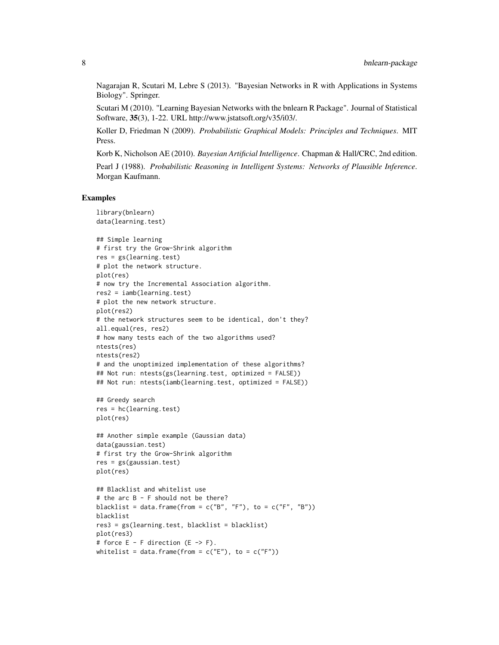Nagarajan R, Scutari M, Lebre S (2013). "Bayesian Networks in R with Applications in Systems Biology". Springer.

Scutari M (2010). "Learning Bayesian Networks with the bnlearn R Package". Journal of Statistical Software, 35(3), 1-22. URL http://www.jstatsoft.org/v35/i03/.

Koller D, Friedman N (2009). *Probabilistic Graphical Models: Principles and Techniques*. MIT Press.

Korb K, Nicholson AE (2010). *Bayesian Artificial Intelligence*. Chapman & Hall/CRC, 2nd edition.

Pearl J (1988). *Probabilistic Reasoning in Intelligent Systems: Networks of Plausible Inference*. Morgan Kaufmann.

#### Examples

```
library(bnlearn)
data(learning.test)
## Simple learning
# first try the Grow-Shrink algorithm
res = gs(learning.test)
# plot the network structure.
plot(res)
# now try the Incremental Association algorithm.
res2 = iamb(learning.test)
# plot the new network structure.
plot(res2)
# the network structures seem to be identical, don't they?
all.equal(res, res2)
# how many tests each of the two algorithms used?
ntests(res)
ntests(res2)
# and the unoptimized implementation of these algorithms?
## Not run: ntests(gs(learning.test, optimized = FALSE))
## Not run: ntests(iamb(learning.test, optimized = FALSE))
## Greedy search
res = hc(learning.test)
plot(res)
## Another simple example (Gaussian data)
data(gaussian.test)
# first try the Grow-Shrink algorithm
res = gs(gaussian.test)
plot(res)
## Blacklist and whitelist use
# the arc B - F should not be there?
blacklist = data.frame(from = c("B", "F"), to = c("F", "B"))
blacklist
res3 = gs(learning.test, blacklist = blacklist)
plot(res3)
# force E - F direction (E - > F).
whitelist = data.frame(from = c("E"), to = c("F"))
```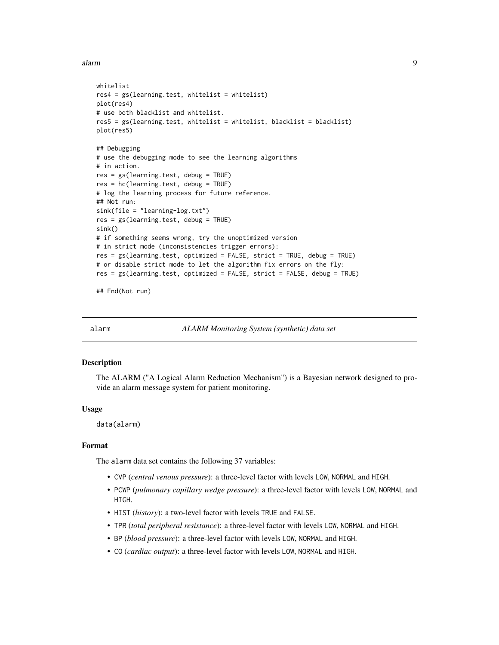<span id="page-8-0"></span>alarm **9** 

```
whitelist
res4 = gs(learning.test, whitelist = whitelist)
plot(res4)
# use both blacklist and whitelist.
res5 = gs(learning.test, whitelist = whitelist, blacklist = blacklist)
plot(res5)
## Debugging
# use the debugging mode to see the learning algorithms
# in action.
res = gs(learning.test, debug = TRUE)
res = hc(learning.test, debug = TRUE)
# log the learning process for future reference.
## Not run:
sink(file = "learning-log.txt")
res = gs(learning.test, debug = TRUE)
sink()
# if something seems wrong, try the unoptimized version
# in strict mode (inconsistencies trigger errors):
res = gs(learning.test, optimized = FALSE, strict = TRUE, debug = TRUE)
# or disable strict mode to let the algorithm fix errors on the fly:
res = gs(learning.test, optimized = FALSE, strict = FALSE, debug = TRUE)
```
## End(Not run)

alarm *ALARM Monitoring System (synthetic) data set*

# Description

The ALARM ("A Logical Alarm Reduction Mechanism") is a Bayesian network designed to provide an alarm message system for patient monitoring.

#### Usage

data(alarm)

#### Format

The alarm data set contains the following 37 variables:

- CVP (*central venous pressure*): a three-level factor with levels LOW, NORMAL and HIGH.
- PCWP (*pulmonary capillary wedge pressure*): a three-level factor with levels LOW, NORMAL and HIGH.
- HIST (*history*): a two-level factor with levels TRUE and FALSE.
- TPR (*total peripheral resistance*): a three-level factor with levels LOW, NORMAL and HIGH.
- BP (*blood pressure*): a three-level factor with levels LOW, NORMAL and HIGH.
- CO (*cardiac output*): a three-level factor with levels LOW, NORMAL and HIGH.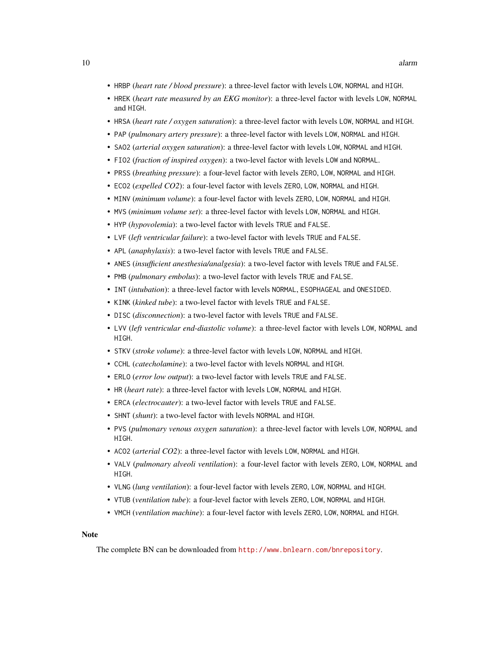- HRBP (*heart rate / blood pressure*): a three-level factor with levels LOW, NORMAL and HIGH.
- HREK (*heart rate measured by an EKG monitor*): a three-level factor with levels LOW, NORMAL and HIGH.
- HRSA (*heart rate / oxygen saturation*): a three-level factor with levels LOW, NORMAL and HIGH.
- PAP (*pulmonary artery pressure*): a three-level factor with levels LOW, NORMAL and HIGH.
- SAO2 (*arterial oxygen saturation*): a three-level factor with levels LOW, NORMAL and HIGH.
- FIO2 (*fraction of inspired oxygen*): a two-level factor with levels LOW and NORMAL.
- PRSS (*breathing pressure*): a four-level factor with levels ZERO, LOW, NORMAL and HIGH.
- ECO2 (*expelled CO2*): a four-level factor with levels ZERO, LOW, NORMAL and HIGH.
- MINV (*minimum volume*): a four-level factor with levels ZERO, LOW, NORMAL and HIGH.
- MVS (*minimum volume set*): a three-level factor with levels LOW, NORMAL and HIGH.
- HYP (*hypovolemia*): a two-level factor with levels TRUE and FALSE.
- LVF (*left ventricular failure*): a two-level factor with levels TRUE and FALSE.
- APL (*anaphylaxis*): a two-level factor with levels TRUE and FALSE.
- ANES (*insufficient anesthesia/analgesia*): a two-level factor with levels TRUE and FALSE.
- PMB (*pulmonary embolus*): a two-level factor with levels TRUE and FALSE.
- INT (*intubation*): a three-level factor with levels NORMAL, ESOPHAGEAL and ONESIDED.
- KINK (*kinked tube*): a two-level factor with levels TRUE and FALSE.
- DISC (*disconnection*): a two-level factor with levels TRUE and FALSE.
- LVV (*left ventricular end-diastolic volume*): a three-level factor with levels LOW, NORMAL and HIGH.
- STKV (*stroke volume*): a three-level factor with levels LOW, NORMAL and HIGH.
- CCHL (*catecholamine*): a two-level factor with levels NORMAL and HIGH.
- ERLO (*error low output*): a two-level factor with levels TRUE and FALSE.
- HR (*heart rate*): a three-level factor with levels LOW, NORMAL and HIGH.
- ERCA (*electrocauter*): a two-level factor with levels TRUE and FALSE.
- SHNT (*shunt*): a two-level factor with levels NORMAL and HIGH.
- PVS (*pulmonary venous oxygen saturation*): a three-level factor with levels LOW, NORMAL and HIGH.
- ACO2 (*arterial CO2*): a three-level factor with levels LOW, NORMAL and HIGH.
- VALV (*pulmonary alveoli ventilation*): a four-level factor with levels ZERO, LOW, NORMAL and HIGH.
- VLNG (*lung ventilation*): a four-level factor with levels ZERO, LOW, NORMAL and HIGH.
- VTUB (*ventilation tube*): a four-level factor with levels ZERO, LOW, NORMAL and HIGH.
- VMCH (*ventilation machine*): a four-level factor with levels ZERO, LOW, NORMAL and HIGH.

#### **Note**

The complete BN can be downloaded from <http://www.bnlearn.com/bnrepository>.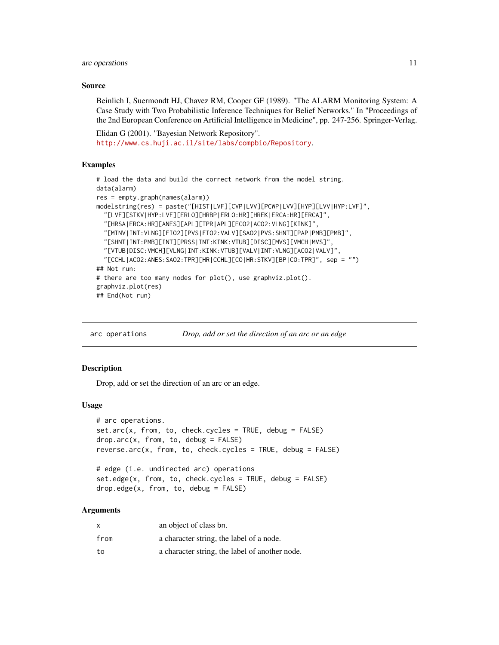#### <span id="page-10-0"></span>arc operations 11

#### Source

Beinlich I, Suermondt HJ, Chavez RM, Cooper GF (1989). "The ALARM Monitoring System: A Case Study with Two Probabilistic Inference Techniques for Belief Networks." In "Proceedings of the 2nd European Conference on Artificial Intelligence in Medicine", pp. 247-256. Springer-Verlag.

Elidan G (2001). "Bayesian Network Repository". <http://www.cs.huji.ac.il/site/labs/compbio/Repository>.

# Examples

```
# load the data and build the correct network from the model string.
data(alarm)
res = empty.graph(names(alarm))
modelstring(res) = paste("[HIST|LVF][CVP|LVV][PCWP|LVV][HYP][LVV|HYP:LVF]",
  "[LVF][STKV|HYP:LVF][ERLO][HRBP|ERLO:HR][HREK|ERCA:HR][ERCA]",
  "[HRSA|ERCA:HR][ANES][APL][TPR|APL][ECO2|ACO2:VLNG][KINK]",
  "[MINV|INT:VLNG][FIO2][PVS|FIO2:VALV][SAO2|PVS:SHNT][PAP|PMB][PMB]",
 "[SHNT|INT:PMB][INT][PRSS|INT:KINK:VTUB][DISC][MVS][VMCH|MVS]",
 "[VTUB|DISC:VMCH][VLNG|INT:KINK:VTUB][VALV|INT:VLNG][ACO2|VALV]",
  "[CCHL|ACO2:ANES:SAO2:TPR][HR|CCHL][CO|HR:STKV][BP|CO:TPR]", sep = "")
## Not run:
# there are too many nodes for plot(), use graphviz.plot().
graphviz.plot(res)
## End(Not run)
```
arc operations *Drop, add or set the direction of an arc or an edge*

#### <span id="page-10-1"></span>**Description**

Drop, add or set the direction of an arc or an edge.

#### Usage

```
# arc operations.
set.arc(x, from, to, check.cycles = TRUE, debug = FALSE)
drop.\text{arc}(x, from, to, debug = FALSE)reverse.arc(x, from, to, check.cycles = TRUE, debug = FALSE)
# edge (i.e. undirected arc) operations
set.edge(x, from, to, check.cycles = TRUE, debug = FALSE)
drop.edge(x, from, to, debug = FALSE)
```
# Arguments

| x    | an object of class bn.                         |
|------|------------------------------------------------|
| from | a character string, the label of a node.       |
| to   | a character string, the label of another node. |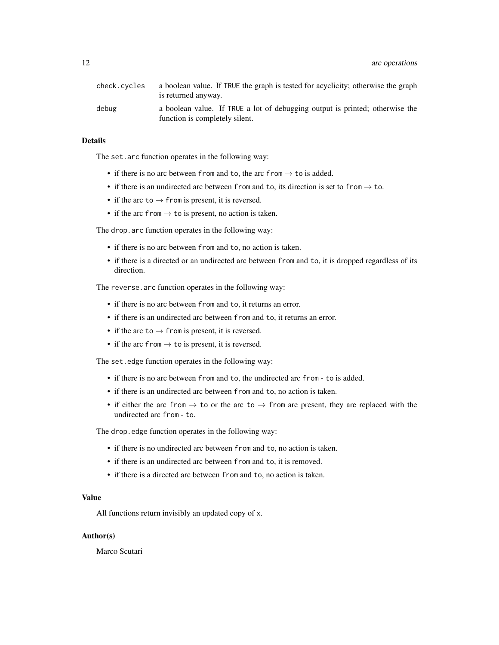12 arc operations are the set of the set of the set of the set of the set of the set of the set of the set of the set of the set of the set of the set of the set of the set of the set of the set of the set of the set of th

| check.cycles | a boolean value. If TRUE the graph is tested for acyclicity; otherwise the graph<br>is returned anyway.        |
|--------------|----------------------------------------------------------------------------------------------------------------|
| debug        | a boolean value. If TRUE a lot of debugging output is printed; otherwise the<br>function is completely silent. |

# **Details**

The set.arc function operates in the following way:

- if there is no arc between from and to, the arc from  $\rightarrow$  to is added.
- if there is an undirected arc between from and to, its direction is set to from  $\rightarrow$  to.
- if the arc to  $\rightarrow$  from is present, it is reversed.
- if the arc from  $\rightarrow$  to is present, no action is taken.

The drop.arc function operates in the following way:

- if there is no arc between from and to, no action is taken.
- if there is a directed or an undirected arc between from and to, it is dropped regardless of its direction.

The reverse.arc function operates in the following way:

- if there is no arc between from and to, it returns an error.
- if there is an undirected arc between from and to, it returns an error.
- if the arc to  $\rightarrow$  from is present, it is reversed.
- if the arc from  $\rightarrow$  to is present, it is reversed.

The set.edge function operates in the following way:

- if there is no arc between from and to, the undirected arc from to is added.
- if there is an undirected arc between from and to, no action is taken.
- if either the arc from  $\rightarrow$  to or the arc to  $\rightarrow$  from are present, they are replaced with the undirected arc from - to.

The drop.edge function operates in the following way:

- if there is no undirected arc between from and to, no action is taken.
- if there is an undirected arc between from and to, it is removed.
- if there is a directed arc between from and to, no action is taken.

# Value

All functions return invisibly an updated copy of x.

#### Author(s)

Marco Scutari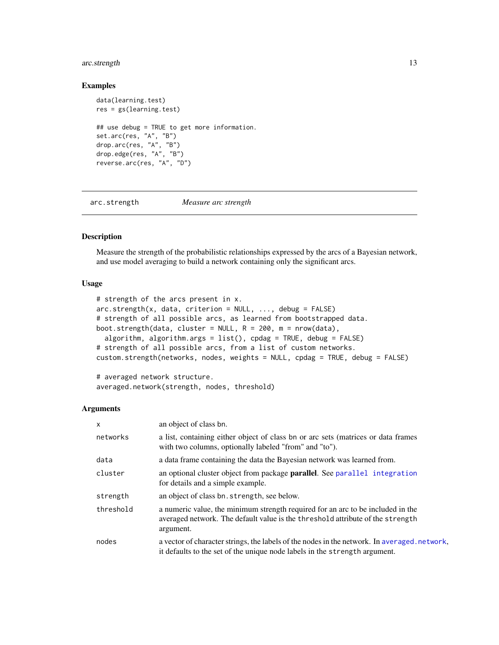# <span id="page-12-0"></span>arc.strength 13

#### Examples

```
data(learning.test)
res = gs(learning.test)
## use debug = TRUE to get more information.
set.arc(res, "A", "B")
drop.arc(res, "A", "B")
drop.edge(res, "A", "B")
reverse.arc(res, "A", "D")
```
<span id="page-12-2"></span>

arc.strength *Measure arc strength*

# <span id="page-12-1"></span>Description

Measure the strength of the probabilistic relationships expressed by the arcs of a Bayesian network, and use model averaging to build a network containing only the significant arcs.

# Usage

```
# strength of the arcs present in x.
arc.strength(x, data, criterion = NULL, ..., debug = FALSE)
# strength of all possible arcs, as learned from bootstrapped data.
boot.strength(data, cluster = NULL, R = 200, m = nrow(data),
  algorithm, algorithm.args = list(), cpdag = TRUE, debug = FALSE)
# strength of all possible arcs, from a list of custom networks.
custom.strength(networks, nodes, weights = NULL, cpdag = TRUE, debug = FALSE)
```
# averaged network structure. averaged.network(strength, nodes, threshold)

# **Arguments**

| $\mathsf{x}$ | an object of class bn.                                                                                                                                                         |
|--------------|--------------------------------------------------------------------------------------------------------------------------------------------------------------------------------|
| networks     | a list, containing either object of class bn or arc sets (matrices or data frames<br>with two columns, optionally labeled "from" and "to").                                    |
| data         | a data frame containing the data the Bayesian network was learned from.                                                                                                        |
| cluster      | an optional cluster object from package <b>parallel</b> . See parallel integration<br>for details and a simple example.                                                        |
| strength     | an object of class bn. strength, see below.                                                                                                                                    |
| threshold    | a numeric value, the minimum strength required for an arc to be included in the<br>averaged network. The default value is the threshold attribute of the strength<br>argument. |
| nodes        | a vector of character strings, the labels of the nodes in the network. In averaged network,<br>it defaults to the set of the unique node labels in the strength argument.      |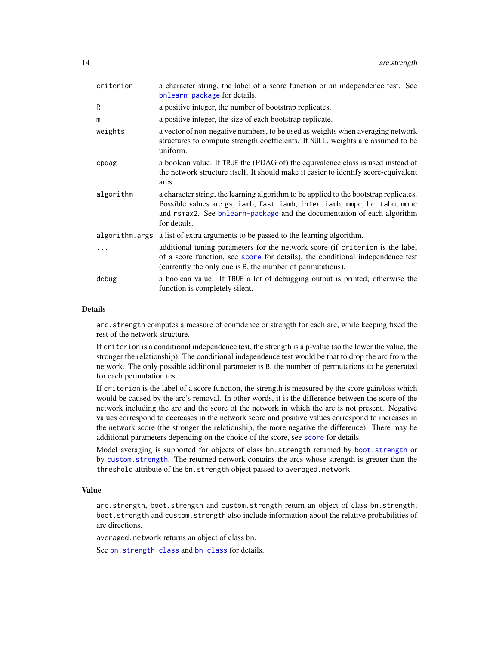| criterion      | a character string, the label of a score function or an independence test. See<br>bnlearn-package for details.                                                                                                                                                |
|----------------|---------------------------------------------------------------------------------------------------------------------------------------------------------------------------------------------------------------------------------------------------------------|
| R              | a positive integer, the number of bootstrap replicates.                                                                                                                                                                                                       |
| m              | a positive integer, the size of each bootstrap replicate.                                                                                                                                                                                                     |
| weights        | a vector of non-negative numbers, to be used as weights when averaging network<br>structures to compute strength coefficients. If NULL, weights are assumed to be<br>uniform.                                                                                 |
| cpdag          | a boolean value. If TRUE the (PDAG of) the equivalence class is used instead of<br>the network structure itself. It should make it easier to identify score-equivalent<br>arcs.                                                                               |
| algorithm      | a character string, the learning algorithm to be applied to the bootstrap replicates.<br>Possible values are gs, iamb, fast.iamb, inter.iamb, mmpc, hc, tabu, mmhc<br>and rsmax2. See bnlearn-package and the documentation of each algorithm<br>for details. |
| algorithm.args | a list of extra arguments to be passed to the learning algorithm.                                                                                                                                                                                             |
|                | additional tuning parameters for the network score (if criterion is the label<br>of a score function, see score for details), the conditional independence test<br>(currently the only one is B, the number of permutations).                                 |
| debug          | a boolean value. If TRUE a lot of debugging output is printed; otherwise the<br>function is completely silent.                                                                                                                                                |

#### Details

arc.strength computes a measure of confidence or strength for each arc, while keeping fixed the rest of the network structure.

If criterion is a conditional independence test, the strength is a p-value (so the lower the value, the stronger the relationship). The conditional independence test would be that to drop the arc from the network. The only possible additional parameter is B, the number of permutations to be generated for each permutation test.

If criterion is the label of a score function, the strength is measured by the score gain/loss which would be caused by the arc's removal. In other words, it is the difference between the score of the network including the arc and the score of the network in which the arc is not present. Negative values correspond to decreases in the network score and positive values correspond to increases in the network score (the stronger the relationship, the more negative the difference). There may be additional parameters depending on the choice of the [score](#page-82-1), see score for details.

Model averaging is supported for objects of class bn.strength returned by [boot.strength](#page-12-1) or by [custom.strength](#page-12-1). The returned network contains the arcs whose strength is greater than the threshold attribute of the bn.strength object passed to averaged.network.

#### Value

arc.strength, boot.strength and custom.strength return an object of class bn.strength; boot.strength and custom.strength also include information about the relative probabilities of arc directions.

averaged.network returns an object of class bn.

See [bn.strength class](#page-0-0) and [bn-class](#page-16-1) for details.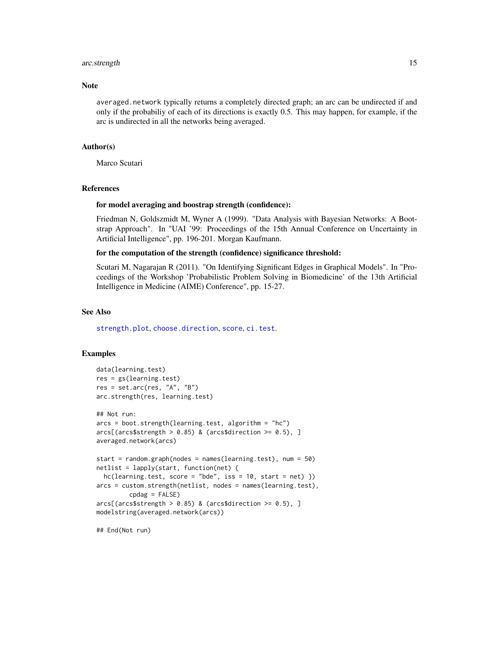#### arc.strength 15

#### **Note**

averaged.network typically returns a completely directed graph; an arc can be undirected if and only if the probabiliy of each of its directions is exactly 0.5. This may happen, for example, if the arc is undirected in all the networks being averaged.

# Author(s)

Marco Scutari

#### References

#### for model averaging and boostrap strength (confidence):

Friedman N, Goldszmidt M, Wyner A (1999). "Data Analysis with Bayesian Networks: A Bootstrap Approach". In "UAI '99: Proceedings of the 15th Annual Conference on Uncertainty in Artificial Intelligence", pp. 196-201. Morgan Kaufmann.

#### for the computation of the strength (confidence) significance threshold:

Scutari M, Nagarajan R (2011). "On Identifying Significant Edges in Graphical Models". In "Proceedings of the Workshop 'Probabilistic Problem Solving in Biomedicine' of the 13th Artificial Intelligence in Medicine (AIME) Conference", pp. 15-27.

#### See Also

[strength.plot](#page-87-1), [choose.direction](#page-32-1), [score](#page-82-1), [ci.test](#page-33-1).

#### Examples

```
data(learning.test)
res = gs(learning.test)
res = set.arc(res, "A", "B")
arc.strength(res, learning.test)
## Not run:
arcs = boot.strength(learning.test, algorithm = "hc")arcs[(\arcs$strength > 0.85) & (\arcs$direction > = 0.5), ]
averaged.network(arcs)
start = random.graph(nodes = names(learning.test), num = 50)
netlist = lapply(start, function(net) {
  hc(learning.test, score = "bde", iss = 10, start = net)}
arcs = custom.strength(netlist, nodes = names(learning.test),
         cpdag = FALSE)
arcs[(arcs$strength > 0.85) & (arcs$direction > = 0.5), ]modelstring(averaged.network(arcs))
```
## End(Not run)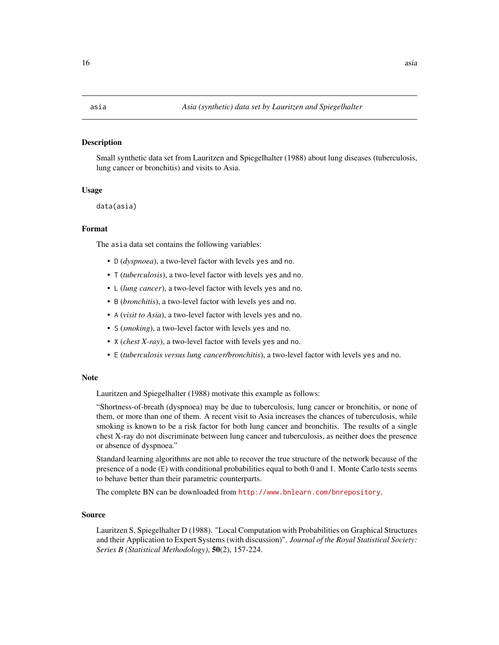# <span id="page-15-0"></span>Description

Small synthetic data set from Lauritzen and Spiegelhalter (1988) about lung diseases (tuberculosis, lung cancer or bronchitis) and visits to Asia.

#### Usage

data(asia)

# Format

The asia data set contains the following variables:

- D (*dyspnoea*), a two-level factor with levels yes and no.
- T (*tuberculosis*), a two-level factor with levels yes and no.
- L (*lung cancer*), a two-level factor with levels yes and no.
- B (*bronchitis*), a two-level factor with levels yes and no.
- A (*visit to Asia*), a two-level factor with levels yes and no.
- S (*smoking*), a two-level factor with levels yes and no.
- X (*chest X-ray*), a two-level factor with levels yes and no.
- E (*tuberculosis versus lung cancer/bronchitis*), a two-level factor with levels yes and no.

#### Note

Lauritzen and Spiegelhalter (1988) motivate this example as follows:

"Shortness-of-breath (dyspnoea) may be due to tuberculosis, lung cancer or bronchitis, or none of them, or more than one of them. A recent visit to Asia increases the chances of tuberculosis, while smoking is known to be a risk factor for both lung cancer and bronchitis. The results of a single chest X-ray do not discriminate between lung cancer and tuberculosis, as neither does the presence or absence of dyspnoea."

Standard learning algorithms are not able to recover the true structure of the network because of the presence of a node (E) with conditional probabilities equal to both 0 and 1. Monte Carlo tests seems to behave better than their parametric counterparts.

The complete BN can be downloaded from <http://www.bnlearn.com/bnrepository>.

# Source

Lauritzen S, Spiegelhalter D (1988). "Local Computation with Probabilities on Graphical Structures and their Application to Expert Systems (with discussion)". *Journal of the Royal Statistical Society: Series B (Statistical Methodology)*, 50(2), 157-224.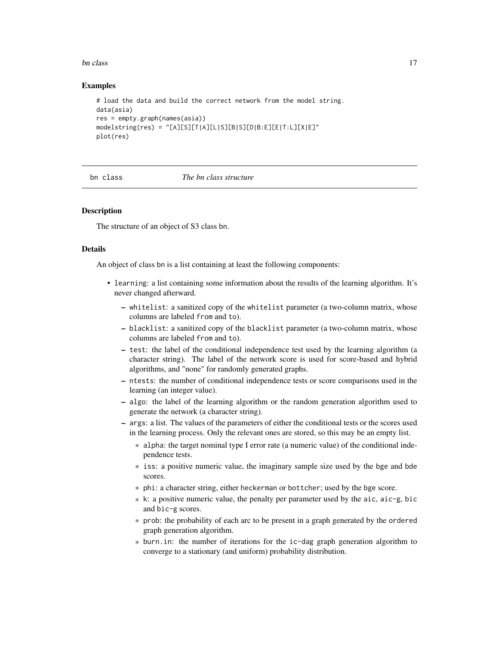#### <span id="page-16-0"></span>bn class and the contract of the contract of the contract of the contract of the contract of the contract of the contract of the contract of the contract of the contract of the contract of the contract of the contract of t

## Examples

```
# load the data and build the correct network from the model string.
data(asia)
res = empty.graph(names(asia))
modelstring(res) = "[A][S][T|A][L|S][B|S][D|B:E][E|T:L][X|E]"
plot(res)
```
bn class *The bn class structure*

# <span id="page-16-1"></span>Description

The structure of an object of S3 class bn.

#### Details

An object of class bn is a list containing at least the following components:

- learning: a list containing some information about the results of the learning algorithm. It's never changed afterward.
	- whitelist: a sanitized copy of the whitelist parameter (a two-column matrix, whose columns are labeled from and to).
	- blacklist: a sanitized copy of the blacklist parameter (a two-column matrix, whose columns are labeled from and to).
	- test: the label of the conditional independence test used by the learning algorithm (a character string). The label of the network score is used for score-based and hybrid algorithms, and "none" for randomly generated graphs.
	- ntests: the number of conditional independence tests or score comparisons used in the learning (an integer value).
	- algo: the label of the learning algorithm or the random generation algorithm used to generate the network (a character string).
	- args: a list. The values of the parameters of either the conditional tests or the scores used in the learning process. Only the relevant ones are stored, so this may be an empty list.
		- \* alpha: the target nominal type I error rate (a numeric value) of the conditional independence tests.
		- \* iss: a positive numeric value, the imaginary sample size used by the bge and bde scores.
		- \* phi: a character string, either heckerman or bottcher; used by the bge score.
		- \* k: a positive numeric value, the penalty per parameter used by the aic, aic-g, bic and bic-g scores.
		- \* prob: the probability of each arc to be present in a graph generated by the ordered graph generation algorithm.
		- \* burn.in: the number of iterations for the ic-dag graph generation algorithm to converge to a stationary (and uniform) probability distribution.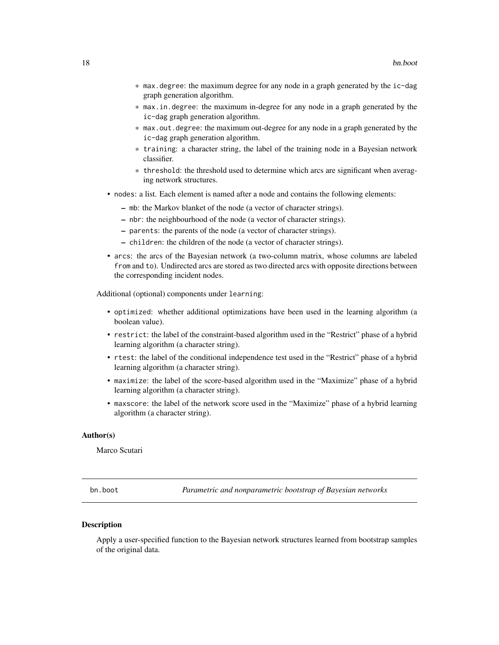- <span id="page-17-0"></span>\* max.degree: the maximum degree for any node in a graph generated by the ic-dag graph generation algorithm.
- \* max.in.degree: the maximum in-degree for any node in a graph generated by the ic-dag graph generation algorithm.
- \* max.out.degree: the maximum out-degree for any node in a graph generated by the ic-dag graph generation algorithm.
- \* training: a character string, the label of the training node in a Bayesian network classifier.
- \* threshold: the threshold used to determine which arcs are significant when averaging network structures.
- nodes: a list. Each element is named after a node and contains the following elements:
	- mb: the Markov blanket of the node (a vector of character strings).
	- nbr: the neighbourhood of the node (a vector of character strings).
	- parents: the parents of the node (a vector of character strings).
	- children: the children of the node (a vector of character strings).
- arcs: the arcs of the Bayesian network (a two-column matrix, whose columns are labeled from and to). Undirected arcs are stored as two directed arcs with opposite directions between the corresponding incident nodes.

Additional (optional) components under learning:

- optimized: whether additional optimizations have been used in the learning algorithm (a boolean value).
- restrict: the label of the constraint-based algorithm used in the "Restrict" phase of a hybrid learning algorithm (a character string).
- rtest: the label of the conditional independence test used in the "Restrict" phase of a hybrid learning algorithm (a character string).
- maximize: the label of the score-based algorithm used in the "Maximize" phase of a hybrid learning algorithm (a character string).
- maxscore: the label of the network score used in the "Maximize" phase of a hybrid learning algorithm (a character string).

#### Author(s)

Marco Scutari

<span id="page-17-1"></span>bn.boot *Parametric and nonparametric bootstrap of Bayesian networks*

#### Description

Apply a user-specified function to the Bayesian network structures learned from bootstrap samples of the original data.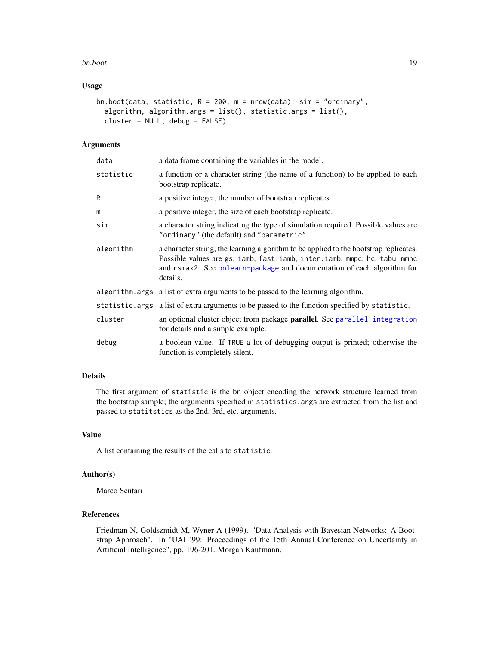#### bn.boot 19

# Usage

```
bn.boot(data, statistic, R = 200, m = nrow(data), sim = "ordinary",
  algorithm, algorithm.args = list(), statistic.args = list(),
  cluster = NULL, debug = FALSE)
```
# Arguments

| data      | a data frame containing the variables in the model.                                                                                                                                                                                                       |
|-----------|-----------------------------------------------------------------------------------------------------------------------------------------------------------------------------------------------------------------------------------------------------------|
| statistic | a function or a character string (the name of a function) to be applied to each<br>bootstrap replicate.                                                                                                                                                   |
| R         | a positive integer, the number of bootstrap replicates.                                                                                                                                                                                                   |
| m         | a positive integer, the size of each bootstrap replicate.                                                                                                                                                                                                 |
| sim       | a character string indicating the type of simulation required. Possible values are<br>"ordinary" (the default) and "parametric".                                                                                                                          |
| algorithm | a character string, the learning algorithm to be applied to the bootstrap replicates.<br>Possible values are gs, iamb, fast.iamb, inter.iamb, mmpc, hc, tabu, mmhc<br>and rsmax2. See bnlearn-package and documentation of each algorithm for<br>details. |
|           | algorithm. args a list of extra arguments to be passed to the learning algorithm.                                                                                                                                                                         |
|           | statistic.args a list of extra arguments to be passed to the function specified by statistic.                                                                                                                                                             |
| cluster   | an optional cluster object from package <b>parallel</b> . See parallel integration<br>for details and a simple example.                                                                                                                                   |
| debug     | a boolean value. If TRUE a lot of debugging output is printed; otherwise the<br>function is completely silent.                                                                                                                                            |

# Details

The first argument of statistic is the bn object encoding the network structure learned from the bootstrap sample; the arguments specified in statistics.args are extracted from the list and passed to statitstics as the 2nd, 3rd, etc. arguments.

# Value

A list containing the results of the calls to statistic.

# Author(s)

Marco Scutari

#### References

Friedman N, Goldszmidt M, Wyner A (1999). "Data Analysis with Bayesian Networks: A Bootstrap Approach". In "UAI '99: Proceedings of the 15th Annual Conference on Uncertainty in Artificial Intelligence", pp. 196-201. Morgan Kaufmann.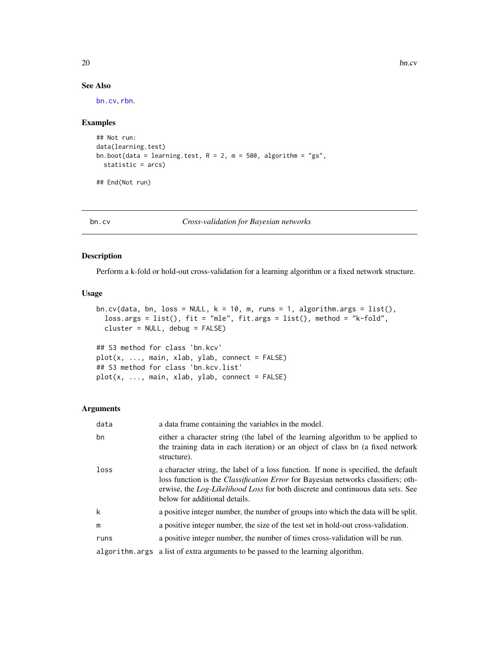# See Also

[bn.cv](#page-19-1), [rbn](#page-80-1).

# Examples

```
## Not run:
data(learning.test)
bn.boot(data = learning.test, R = 2, m = 500, algorithm = "gs",
 statistic = arcs)
```
## End(Not run)

<span id="page-19-1"></span>

bn.cv *Cross-validation for Bayesian networks*

# Description

Perform a k-fold or hold-out cross-validation for a learning algorithm or a fixed network structure.

#### Usage

```
bn.cv(data, bn, loss = NULL, k = 10, m, runs = 1, algorithm.args = list(),
  loss.args = list(), fit = "mle", fit.args = list(), method = "k-fold",
 cluster = NULL, debug = FALSE)
```
## S3 method for class 'bn.kcv' plot(x, ..., main, xlab, ylab, connect = FALSE) ## S3 method for class 'bn.kcv.list'  $plot(x, ..., main, xlab, ylab, connect = FALSE)$ 

#### Arguments

| data | a data frame containing the variables in the model.                                                                                                                                                                                                                                                 |
|------|-----------------------------------------------------------------------------------------------------------------------------------------------------------------------------------------------------------------------------------------------------------------------------------------------------|
| bn   | either a character string (the label of the learning algorithm to be applied to<br>the training data in each iteration) or an object of class bn (a fixed network<br>structure).                                                                                                                    |
| loss | a character string, the label of a loss function. If none is specified, the default<br>loss function is the <i>Classification Error</i> for Bayesian networks classifiers; oth-<br>erwise, the Log-Likelihood Loss for both discrete and continuous data sets. See<br>below for additional details. |
| k    | a positive integer number, the number of groups into which the data will be split.                                                                                                                                                                                                                  |
| m    | a positive integer number, the size of the test set in hold-out cross-validation.                                                                                                                                                                                                                   |
| runs | a positive integer number, the number of times cross-validation will be run.                                                                                                                                                                                                                        |
|      | algorithm, args a list of extra arguments to be passed to the learning algorithm.                                                                                                                                                                                                                   |

<span id="page-19-0"></span>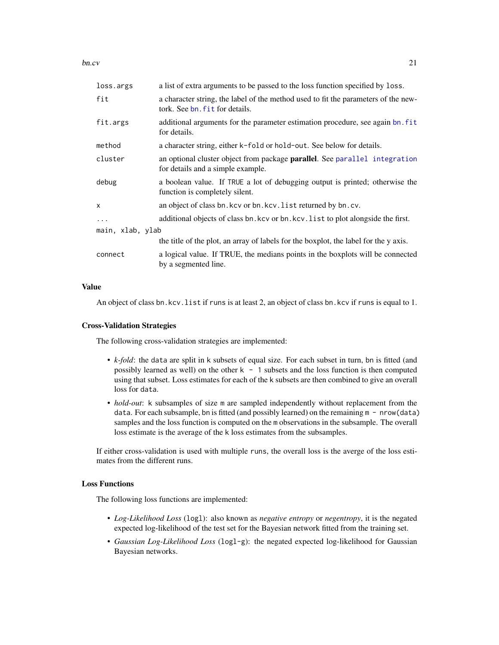bn.cv  $21$ 

| a list of extra arguments to be passed to the loss function specified by loss.                                       |  |  |
|----------------------------------------------------------------------------------------------------------------------|--|--|
| a character string, the label of the method used to fit the parameters of the new-<br>tork. See bn. fit for details. |  |  |
| additional arguments for the parameter estimation procedure, see again bn. fit<br>for details.                       |  |  |
| a character string, either k-fold or hold-out. See below for details.                                                |  |  |
| an optional cluster object from package parallel. See parallel integration<br>for details and a simple example.      |  |  |
| a boolean value. If TRUE a lot of debugging output is printed; otherwise the<br>function is completely silent.       |  |  |
| an object of class bn. kcv or bn. kcv. list returned by bn. cv.                                                      |  |  |
| additional objects of class bn. kcv or bn. kcv. list to plot alongside the first.                                    |  |  |
| main, xlab, ylab                                                                                                     |  |  |
| the title of the plot, an array of labels for the boxplot, the label for the y axis.                                 |  |  |
| a logical value. If TRUE, the medians points in the boxplots will be connected<br>by a segmented line.               |  |  |
|                                                                                                                      |  |  |

# Value

An object of class bn.kcv.list if runs is at least 2, an object of class bn.kcv if runs is equal to 1.

#### Cross-Validation Strategies

The following cross-validation strategies are implemented:

- *k-fold*: the data are split in k subsets of equal size. For each subset in turn, bn is fitted (and possibly learned as well) on the other  $k - 1$  subsets and the loss function is then computed using that subset. Loss estimates for each of the k subsets are then combined to give an overall loss for data.
- *hold-out*: k subsamples of size m are sampled independently without replacement from the data. For each subsample, bn is fitted (and possibly learned) on the remaining  $m - nrow(data)$ samples and the loss function is computed on the m observations in the subsample. The overall loss estimate is the average of the k loss estimates from the subsamples.

If either cross-validation is used with multiple runs, the overall loss is the averge of the loss estimates from the different runs.

# Loss Functions

The following loss functions are implemented:

- *Log-Likelihood Loss* (logl): also known as *negative entropy* or *negentropy*, it is the negated expected log-likelihood of the test set for the Bayesian network fitted from the training set.
- *Gaussian Log-Likelihood Loss* (logl-g): the negated expected log-likelihood for Gaussian Bayesian networks.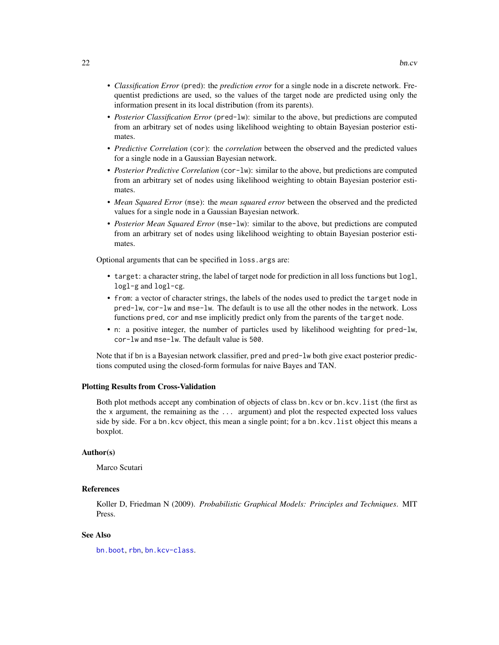- *Classification Error* (pred): the *prediction error* for a single node in a discrete network. Frequentist predictions are used, so the values of the target node are predicted using only the information present in its local distribution (from its parents).
- *Posterior Classification Error* (pred-lw): similar to the above, but predictions are computed from an arbitrary set of nodes using likelihood weighting to obtain Bayesian posterior estimates.
- *Predictive Correlation* (cor): the *correlation* between the observed and the predicted values for a single node in a Gaussian Bayesian network.
- *Posterior Predictive Correlation* (cor-lw): similar to the above, but predictions are computed from an arbitrary set of nodes using likelihood weighting to obtain Bayesian posterior estimates.
- *Mean Squared Error* (mse): the *mean squared error* between the observed and the predicted values for a single node in a Gaussian Bayesian network.
- *Posterior Mean Squared Error* (mse-lw): similar to the above, but predictions are computed from an arbitrary set of nodes using likelihood weighting to obtain Bayesian posterior estimates.

Optional arguments that can be specified in loss.args are:

- target: a character string, the label of target node for prediction in all loss functions but logl, logl-g and logl-cg.
- from: a vector of character strings, the labels of the nodes used to predict the target node in pred-lw, cor-lw and mse-lw. The default is to use all the other nodes in the network. Loss functions pred, cor and mse implicitly predict only from the parents of the target node.
- n: a positive integer, the number of particles used by likelihood weighting for pred-lw, cor-lw and mse-lw. The default value is 500.

Note that if bn is a Bayesian network classifier, pred and pred-lw both give exact posterior predictions computed using the closed-form formulas for naive Bayes and TAN.

#### Plotting Results from Cross-Validation

Both plot methods accept any combination of objects of class bn.kcv or bn.kcv.list (the first as the x argument, the remaining as the ... argument) and plot the respected expected loss values side by side. For a bn.kcv object, this mean a single point; for a bn.kcv.list object this means a boxplot.

# Author(s)

Marco Scutari

# References

Koller D, Friedman N (2009). *Probabilistic Graphical Models: Principles and Techniques*. MIT Press.

#### See Also

[bn.boot](#page-17-1), [rbn](#page-80-1), [bn.kcv-class](#page-30-1).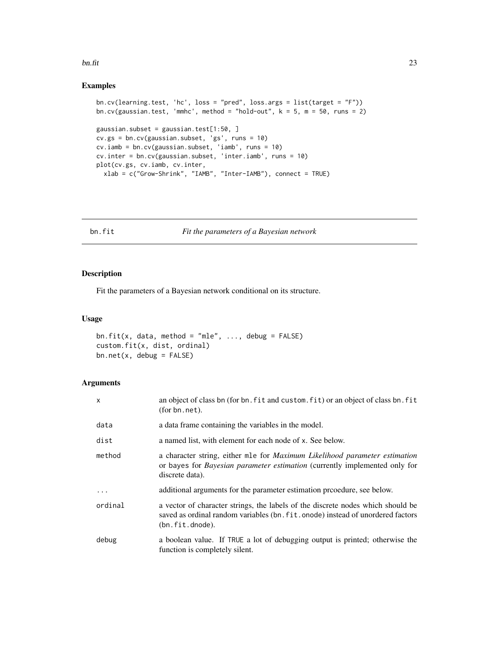#### <span id="page-22-0"></span>bn.fit  $\qquad \qquad \qquad$  23

# Examples

```
bn.cv(learning.test, 'hc', loss = "pred", loss.args = list(target = "F"))
bn.cv(gaussian.test, 'mmhc', method = "hold-out", k = 5, m = 50, runs = 2)
gaussian.subset = gaussian.test[1:50, ]
cv.gs = bn.cv(gaussian.subset, 'gs', runs = 10)
cv.iamb = bn.cv(gaussian.subset, 'iamb', runs = 10)
cv.inter = bn.cv(gaussian.subset, 'inter.iamb', runs = 10)
plot(cv.gs, cv.iamb, cv.inter,
  xlab = c("Grow-Shrink", "IAMB", "Inter-IAMB"), connect = TRUE)
```
<span id="page-22-1"></span>bn.fit *Fit the parameters of a Bayesian network*

# Description

Fit the parameters of a Bayesian network conditional on its structure.

# Usage

```
bn.fit(x, data, method = "mle", ..., debug = FALSE)
custom.fit(x, dist, ordinal)
bn.net(x, debug = FALSE)
```
# Arguments

| x        | an object of class bn (for bn. fit and custom, fit) or an object of class bn. fit<br>(for bn.net).                                                                                        |
|----------|-------------------------------------------------------------------------------------------------------------------------------------------------------------------------------------------|
| data     | a data frame containing the variables in the model.                                                                                                                                       |
| dist     | a named list, with element for each node of x. See below.                                                                                                                                 |
| method   | a character string, either mle for <i>Maximum Likelihood parameter estimation</i><br>or bayes for <i>Bayesian parameter estimation</i> (currently implemented only for<br>discrete data). |
| $\ddots$ | additional arguments for the parameter estimation procedure, see below.                                                                                                                   |
| ordinal  | a vector of character strings, the labels of the discrete nodes which should be<br>saved as ordinal random variables (bn. fit. onode) instead of unordered factors<br>(bn.fit.dnode).     |
| debug    | a boolean value. If TRUE a lot of debugging output is printed; otherwise the<br>function is completely silent.                                                                            |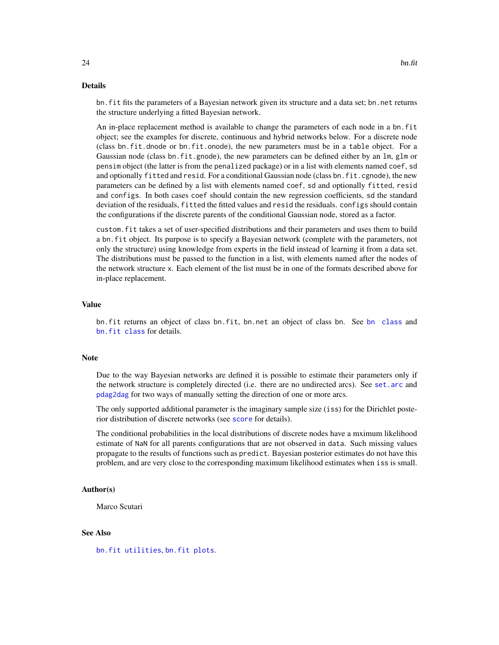#### Details

bn.fit fits the parameters of a Bayesian network given its structure and a data set; bn.net returns the structure underlying a fitted Bayesian network.

An in-place replacement method is available to change the parameters of each node in a bn.fit object; see the examples for discrete, continuous and hybrid networks below. For a discrete node (class bn.fit.dnode or bn.fit.onode), the new parameters must be in a table object. For a Gaussian node (class bn.fit.gnode), the new parameters can be defined either by an lm, glm or pensim object (the latter is from the penalized package) or in a list with elements named coef, sd and optionally fitted and resid. For a conditional Gaussian node (class bn.fit.cgnode), the new parameters can be defined by a list with elements named coef, sd and optionally fitted, resid and configs. In both cases coef should contain the new regression coefficients, sd the standard deviation of the residuals, fitted the fitted values and resid the residuals. configs should contain the configurations if the discrete parents of the conditional Gaussian node, stored as a factor.

custom.fit takes a set of user-specified distributions and their parameters and uses them to build a bn.fit object. Its purpose is to specify a Bayesian network (complete with the parameters, not only the structure) using knowledge from experts in the field instead of learning it from a data set. The distributions must be passed to the function in a list, with elements named after the nodes of the network structure x. Each element of the list must be in one of the formats described above for in-place replacement.

#### Value

bn.fit returns an object of class bn.fit, bn.net an object of class bn. See [bn class](#page-0-0) and [bn.fit class](#page-0-0) for details.

# Note

Due to the way Bayesian networks are defined it is possible to estimate their parameters only if the network structure is completely directed (i.e. there are no undirected arcs). See [set.arc](#page-10-1) and [pdag2dag](#page-53-1) for two ways of manually setting the direction of one or more arcs.

The only supported additional parameter is the imaginary sample size (iss) for the Dirichlet posterior distribution of discrete networks (see [score](#page-82-1) for details).

The conditional probabilities in the local distributions of discrete nodes have a mximum likelihood estimate of NaN for all parents configurations that are not observed in data. Such missing values propagate to the results of functions such as predict. Bayesian posterior estimates do not have this problem, and are very close to the corresponding maximum likelihood estimates when iss is small.

#### Author(s)

Marco Scutari

#### See Also

[bn.fit utilities](#page-0-0), [bn.fit plots](#page-0-0).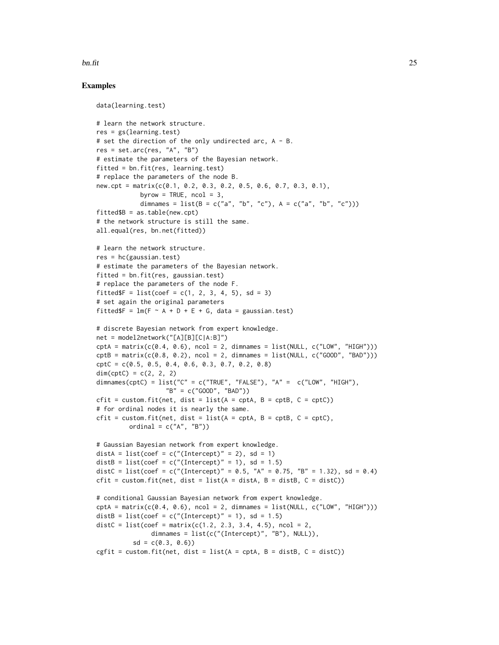#### bn.fit  $\frac{1}{25}$

# Examples

```
data(learning.test)
# learn the network structure.
res = gs(learning.test)# set the direction of the only undirected arc, A - B.
res = set.arc(res, "A", "B")
# estimate the parameters of the Bayesian network.
fitted = bn.fit(res, learning.test)
# replace the parameters of the node B.
new.cpt = matrix(c(0.1, 0.2, 0.3, 0.2, 0.5, 0.6, 0.7, 0.3, 0.1),
            byrow = TRUE, ncol = 3,
            dimnames = list(B = c("a", "b", "c"), A = c("a", "b", "c"))fitted$B = as.table(new.cpt)# the network structure is still the same.
all.equal(res, bn.net(fitted))
# learn the network structure.
res = hc(gaussian.test)# estimate the parameters of the Bayesian network.
fitted = bn.fit(res, gaussian.test)
# replace the parameters of the node F.
fitted F = list(coef = c(1, 2, 3, 4, 5), sd = 3)# set again the original parameters
fitted$F = lm(F \sim A + D + E + G, data = gaussian.test)
# discrete Bayesian network from expert knowledge.
net = model2network("[A][B][C|A:B]")
\text{cptA = matrix}(c(0.4, 0.6), \text{ncol} = 2, \text{dimnames = list(NULL, c("LOW", "HIGH"))})cptB = matrix(c(0.8, 0.2), ncol = 2, dimnames = list(NULL, c("GOOD", "BAD"))cptC = c(0.5, 0.5, 0.4, 0.6, 0.3, 0.7, 0.2, 0.8)
dim(cptC) = c(2, 2, 2)dimnames(cptC) = list("C" = c("TRUE", "FALSE"), "A" = c("LOW", "HIGH")."B" = c("GOOD", "BAD"))
cfit = custom.fit(net, dist = list(A = cpt, B = cpt, C = cptC))# for ordinal nodes it is nearly the same.
cfit = custom.fit(net, dist = list(A = \text{cptA}, B = \text{cptB}, C = \text{cptC}),
         ordinal = c("A", "B")# Gaussian Bayesian network from expert knowledge.
distA = list(coef = c("(Intercept)" = 2), sd = 1)
distB = list(coef = c("(Intercept)" = 1), sd = 1.5)
distC = list(coef = c("(Intercept)" = 0.5, "A" = 0.75, "B" = 1.32), sd = 0.4)
cfit = custom.fit(net, dist = list(A = distA, B = distB, C = distC))
# conditional Gaussian Bayesian network from expert knowledge.
\text{cptA = matrix}(c(0.4, 0.6), \text{ncol = 2, dimnames = list(NULL, c("LOW", "HIGH"))})distB = list(coef = c("(Intercept)" = 1), sd = 1.5)
distC = list(coef = matrix(c(1.2, 2.3, 3.4, 4.5), ncol = 2,
               dimnames = list(c("(Intercept)", "B"), NULL)),
          sd = c(0.3, 0.6)cgfit = custom.fit(net, dist = list(A = \text{cpt}A, B = \text{dist}B, C = \text{dist}C))
```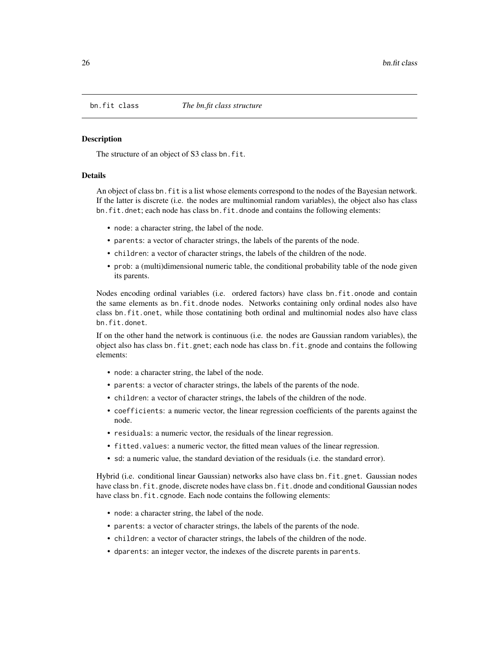<span id="page-25-0"></span>

### <span id="page-25-1"></span>Description

The structure of an object of S3 class bn.fit.

#### Details

An object of class bn.fit is a list whose elements correspond to the nodes of the Bayesian network. If the latter is discrete (i.e. the nodes are multinomial random variables), the object also has class bn.fit.dnet; each node has class bn.fit.dnode and contains the following elements:

- node: a character string, the label of the node.
- parents: a vector of character strings, the labels of the parents of the node.
- children: a vector of character strings, the labels of the children of the node.
- prob: a (multi)dimensional numeric table, the conditional probability table of the node given its parents.

Nodes encoding ordinal variables (i.e. ordered factors) have class bn.fit.onode and contain the same elements as bn.fit.dnode nodes. Networks containing only ordinal nodes also have class bn.fit.onet, while those contatining both ordinal and multinomial nodes also have class bn.fit.donet.

If on the other hand the network is continuous (i.e. the nodes are Gaussian random variables), the object also has class bn.fit.gnet; each node has class bn.fit.gnode and contains the following elements:

- node: a character string, the label of the node.
- parents: a vector of character strings, the labels of the parents of the node.
- children: a vector of character strings, the labels of the children of the node.
- coefficients: a numeric vector, the linear regression coefficients of the parents against the node.
- residuals: a numeric vector, the residuals of the linear regression.
- fitted.values: a numeric vector, the fitted mean values of the linear regression.
- sd: a numeric value, the standard deviation of the residuals (i.e. the standard error).

Hybrid (i.e. conditional linear Gaussian) networks also have class bn.fit.gnet. Gaussian nodes have class bn. fit.gnode, discrete nodes have class bn. fit.dnode and conditional Gaussian nodes have class bn.fit.cgnode. Each node contains the following elements:

- node: a character string, the label of the node.
- parents: a vector of character strings, the labels of the parents of the node.
- children: a vector of character strings, the labels of the children of the node.
- dparents: an integer vector, the indexes of the discrete parents in parents.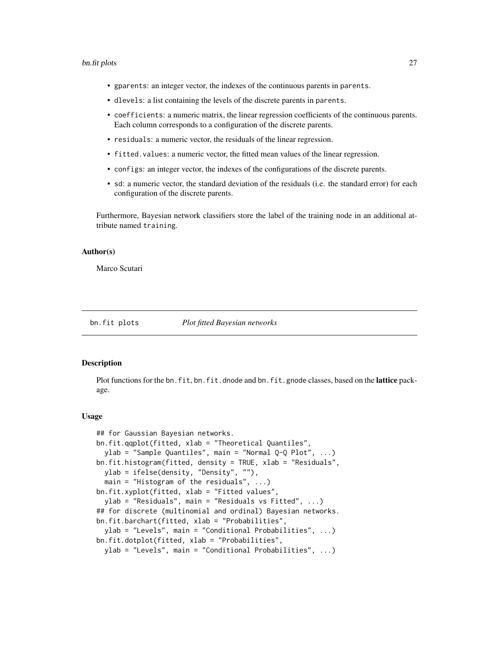#### <span id="page-26-0"></span>bn.fit plots 27

- gparents: an integer vector, the indexes of the continuous parents in parents.
- dlevels: a list containing the levels of the discrete parents in parents.
- coefficients: a numeric matrix, the linear regression coefficients of the continuous parents. Each column corresponds to a configuration of the discrete parents.
- residuals: a numeric vector, the residuals of the linear regression.
- fitted.values: a numeric vector, the fitted mean values of the linear regression.
- configs: an integer vector, the indexes of the configurations of the discrete parents.
- sd: a numeric vector, the standard deviation of the residuals (i.e. the standard error) for each configuration of the discrete parents.

Furthermore, Bayesian network classifiers store the label of the training node in an additional attribute named training.

#### Author(s)

Marco Scutari

bn.fit plots *Plot fitted Bayesian networks*

#### Description

Plot functions for the bn.fit, bn.fit.dnode and bn.fit.gnode classes, based on the lattice package.

#### Usage

```
## for Gaussian Bayesian networks.
bn.fit.qqplot(fitted, xlab = "Theoretical Quantiles",
  ylab = "Sample Quantiles", main = "Normal Q-Q Plot", ...)
bn.fit.histogram(fitted, density = TRUE, xlab = "Residuals",
 ylab = ifelse(density, "Density", ""),
  main = "Histogram of the residuals", ...)
bn.fit.xyplot(fitted, xlab = "Fitted values",
 ylab = "Residuals", main = "Residuals vs Fitted", ...)
## for discrete (multinomial and ordinal) Bayesian networks.
bn.fit.barchart(fitted, xlab = "Probabilities",
 ylab = "Levels", main = "Conditional Probabilities", ...)
bn.fit.dotplot(fitted, xlab = "Probabilities",
 ylab = "Levels", main = "Conditional Probabilities", ...)
```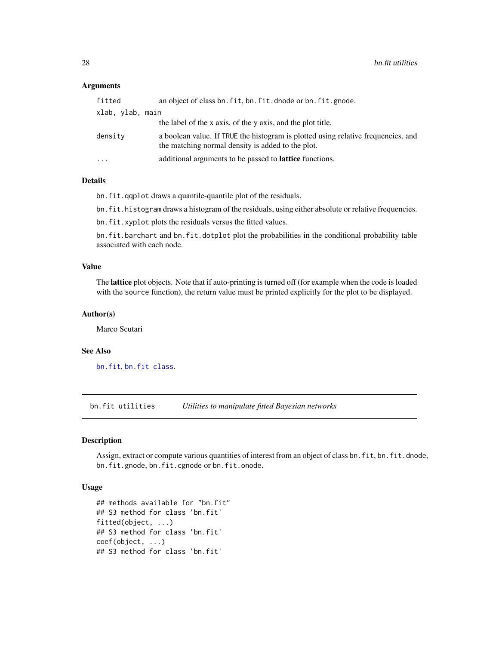# <span id="page-27-0"></span>**Arguments**

| fitted           | an object of class bn. fit, bn. fit. dnode or bn. fit. gnode.                                                                          |
|------------------|----------------------------------------------------------------------------------------------------------------------------------------|
| xlab, ylab, main |                                                                                                                                        |
|                  | the label of the x axis, of the y axis, and the plot title.                                                                            |
| density          | a boolean value. If TRUE the histogram is plotted using relative frequencies, and<br>the matching normal density is added to the plot. |
| $\cdots$         | additional arguments to be passed to <b>lattice</b> functions.                                                                         |
|                  |                                                                                                                                        |

# Details

bn.fit.qqplot draws a quantile-quantile plot of the residuals.

bn.fit.histogram draws a histogram of the residuals, using either absolute or relative frequencies.

bn.fit.xyplot plots the residuals versus the fitted values.

bn.fit.barchart and bn.fit.dotplot plot the probabilities in the conditional probability table associated with each node.

#### Value

The lattice plot objects. Note that if auto-printing is turned off (for example when the code is loaded with the source function), the return value must be printed explicitly for the plot to be displayed.

#### Author(s)

Marco Scutari

#### See Also

[bn.fit](#page-22-1), [bn.fit class](#page-0-0).

bn.fit utilities *Utilities to manipulate fitted Bayesian networks*

#### Description

Assign, extract or compute various quantities of interest from an object of class bn.fit, bn.fit.dnode, bn.fit.gnode, bn.fit.cgnode or bn.fit.onode.

### Usage

```
## methods available for "bn.fit"
## S3 method for class 'bn.fit'
fitted(object, ...)
## S3 method for class 'bn.fit'
coef(object, ...)
## S3 method for class 'bn.fit'
```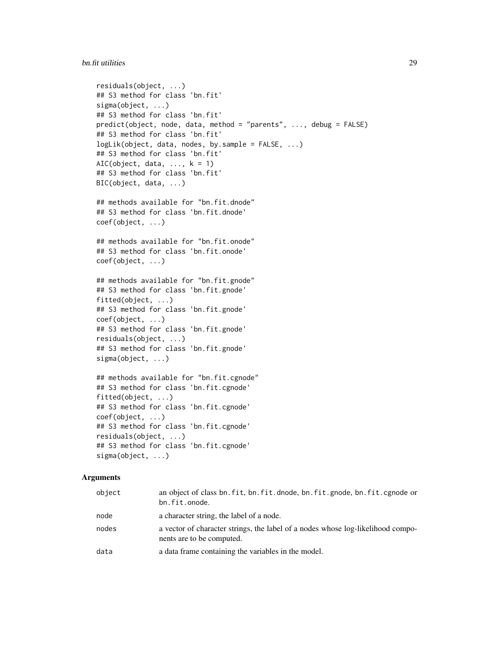#### bn.fit utilities 29

```
residuals(object, ...)
   ## S3 method for class 'bn.fit'
   sigma(object, ...)
   ## S3 method for class 'bn.fit'
   predict(object, node, data, method = "parents", ..., debug = FALSE)
   ## S3 method for class 'bn.fit'
   logLik(object, data, nodes, by.sample = FALSE, ...)
   ## S3 method for class 'bn.fit'
   AIC(object, data, \dots, k = 1)
   ## S3 method for class 'bn.fit'
   BIC(object, data, ...)
   ## methods available for "bn.fit.dnode"
   ## S3 method for class 'bn.fit.dnode'
   coef(object, ...)
   ## methods available for "bn.fit.onode"
   ## S3 method for class 'bn.fit.onode'
   coef(object, ...)
   ## methods available for "bn.fit.gnode"
   ## S3 method for class 'bn.fit.gnode'
   fitted(object, ...)
   ## S3 method for class 'bn.fit.gnode'
   coef(object, ...)
   ## S3 method for class 'bn.fit.gnode'
   residuals(object, ...)
   ## S3 method for class 'bn.fit.gnode'
   sigma(object, ...)
   ## methods available for "bn.fit.cgnode"
   ## S3 method for class 'bn.fit.cgnode'
   fitted(object, ...)
   ## S3 method for class 'bn.fit.cgnode'
   coef(object, ...)
   ## S3 method for class 'bn.fit.cgnode'
   residuals(object, ...)
   ## S3 method for class 'bn.fit.cgnode'
   sigma(object, ...)
Arguments
```

| object | an object of class bn. fit, bn. fit. dnode, bn. fit. gnode, bn. fit. cgnode or<br>bn.fit.onode.              |
|--------|--------------------------------------------------------------------------------------------------------------|
| node   | a character string, the label of a node.                                                                     |
| nodes  | a vector of character strings, the label of a nodes whose log-likelihood compo-<br>nents are to be computed. |
| data   | a data frame containing the variables in the model.                                                          |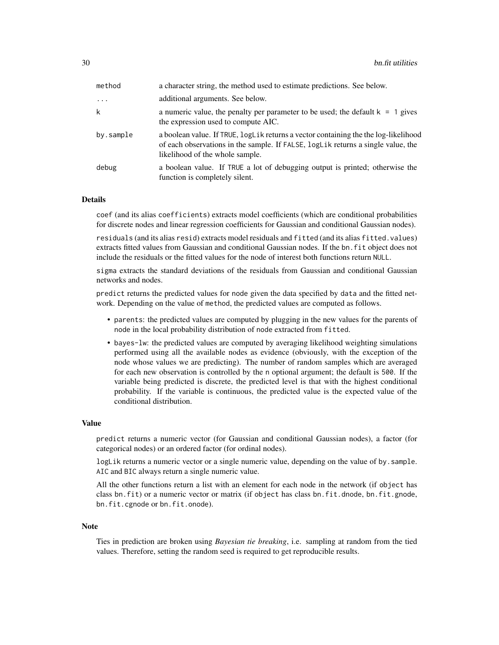| method    | a character string, the method used to estimate predictions. See below.                                                                                                                                    |
|-----------|------------------------------------------------------------------------------------------------------------------------------------------------------------------------------------------------------------|
| $\cdots$  | additional arguments. See below.                                                                                                                                                                           |
| k         | a numeric value, the penalty per parameter to be used; the default $k = 1$ gives<br>the expression used to compute AIC.                                                                                    |
| by.sample | a boolean value. If TRUE, logLik returns a vector containing the the log-likelihood<br>of each observations in the sample. If FALSE, logLik returns a single value, the<br>likelihood of the whole sample. |
| debug     | a boolean value. If TRUE a lot of debugging output is printed; otherwise the<br>function is completely silent.                                                                                             |

#### Details

coef (and its alias coefficients) extracts model coefficients (which are conditional probabilities for discrete nodes and linear regression coefficients for Gaussian and conditional Gaussian nodes).

residuals (and its alias resid) extracts model residuals and fitted (and its alias fitted.values) extracts fitted values from Gaussian and conditional Gaussian nodes. If the bn.fit object does not include the residuals or the fitted values for the node of interest both functions return NULL.

sigma extracts the standard deviations of the residuals from Gaussian and conditional Gaussian networks and nodes.

predict returns the predicted values for node given the data specified by data and the fitted network. Depending on the value of method, the predicted values are computed as follows.

- parents: the predicted values are computed by plugging in the new values for the parents of node in the local probability distribution of node extracted from fitted.
- bayes-lw: the predicted values are computed by averaging likelihood weighting simulations performed using all the available nodes as evidence (obviously, with the exception of the node whose values we are predicting). The number of random samples which are averaged for each new observation is controlled by the n optional argument; the default is 500. If the variable being predicted is discrete, the predicted level is that with the highest conditional probability. If the variable is continuous, the predicted value is the expected value of the conditional distribution.

#### Value

predict returns a numeric vector (for Gaussian and conditional Gaussian nodes), a factor (for categorical nodes) or an ordered factor (for ordinal nodes).

logLik returns a numeric vector or a single numeric value, depending on the value of by.sample. AIC and BIC always return a single numeric value.

All the other functions return a list with an element for each node in the network (if object has class bn.fit) or a numeric vector or matrix (if object has class bn.fit.dnode, bn.fit.gnode, bn.fit.cgnode or bn.fit.onode).

#### Note

Ties in prediction are broken using *Bayesian tie breaking*, i.e. sampling at random from the tied values. Therefore, setting the random seed is required to get reproducible results.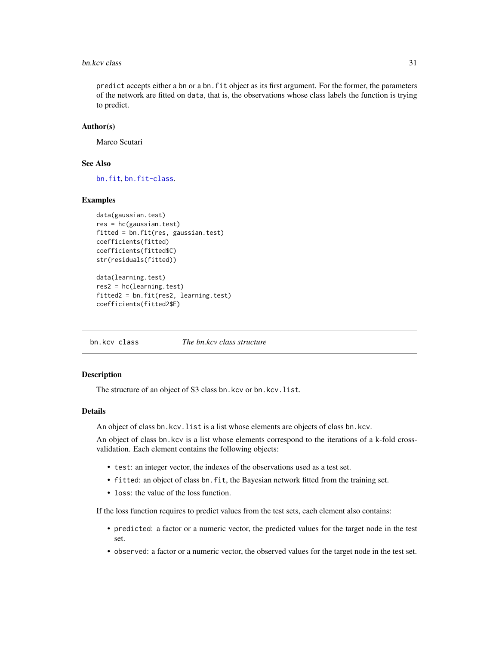#### <span id="page-30-0"></span>bn.kcv class 31

predict accepts either a bn or a bn.fit object as its first argument. For the former, the parameters of the network are fitted on data, that is, the observations whose class labels the function is trying to predict.

#### Author(s)

Marco Scutari

#### See Also

[bn.fit](#page-22-1), [bn.fit-class](#page-25-1).

### Examples

```
data(gaussian.test)
res = hc(gaussian.test)
fitted = bn.fit(res, gaussian.test)
coefficients(fitted)
coefficients(fitted$C)
str(residuals(fitted))
```

```
data(learning.test)
res2 = hc(learning.test)
fitted2 = bn.fit(res2, learning.test)
coefficients(fitted2$E)
```
bn.kcv class *The bn.kcv class structure*

#### <span id="page-30-1"></span>Description

The structure of an object of S3 class bn.kcv or bn.kcv.list.

#### Details

An object of class bn.kcv.list is a list whose elements are objects of class bn.kcv.

An object of class bn.kcv is a list whose elements correspond to the iterations of a k-fold crossvalidation. Each element contains the following objects:

- test: an integer vector, the indexes of the observations used as a test set.
- fitted: an object of class bn.fit, the Bayesian network fitted from the training set.
- loss: the value of the loss function.

If the loss function requires to predict values from the test sets, each element also contains:

- predicted: a factor or a numeric vector, the predicted values for the target node in the test set.
- observed: a factor or a numeric vector, the observed values for the target node in the test set.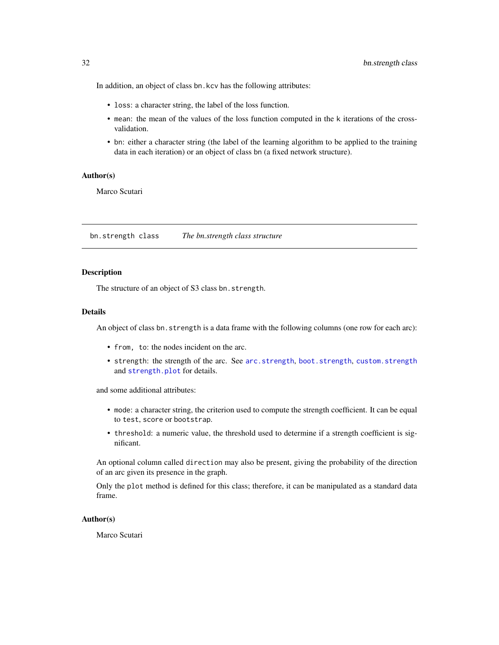In addition, an object of class bn.kcv has the following attributes:

- loss: a character string, the label of the loss function.
- mean: the mean of the values of the loss function computed in the k iterations of the crossvalidation.
- bn: either a character string (the label of the learning algorithm to be applied to the training data in each iteration) or an object of class bn (a fixed network structure).

#### Author(s)

Marco Scutari

bn.strength class *The bn.strength class structure*

#### **Description**

The structure of an object of S3 class bn.strength.

#### Details

An object of class bn. strength is a data frame with the following columns (one row for each arc):

- from, to: the nodes incident on the arc.
- strength: the strength of the arc. See [arc.strength](#page-12-2), [boot.strength](#page-12-1), [custom.strength](#page-12-1) and [strength.plot](#page-87-1) for details.

and some additional attributes:

- mode: a character string, the criterion used to compute the strength coefficient. It can be equal to test, score or bootstrap.
- threshold: a numeric value, the threshold used to determine if a strength coefficient is significant.

An optional column called direction may also be present, giving the probability of the direction of an arc given its presence in the graph.

Only the plot method is defined for this class; therefore, it can be manipulated as a standard data frame.

# Author(s)

Marco Scutari

<span id="page-31-0"></span>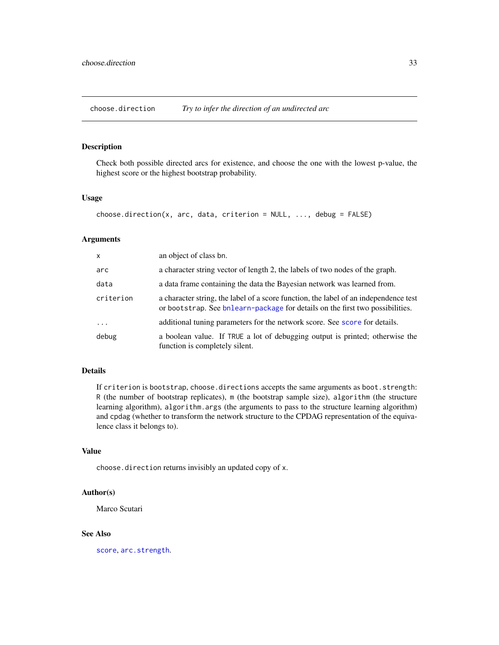<span id="page-32-1"></span><span id="page-32-0"></span>choose.direction *Try to infer the direction of an undirected arc*

# Description

Check both possible directed arcs for existence, and choose the one with the lowest p-value, the highest score or the highest bootstrap probability.

# Usage

```
choose.direction(x, arc, data, criterion = NULL, ..., debug = FALSE)
```
# Arguments

| X         | an object of class bn.                                                                                                                                                |
|-----------|-----------------------------------------------------------------------------------------------------------------------------------------------------------------------|
| arc       | a character string vector of length 2, the labels of two nodes of the graph.                                                                                          |
| data      | a data frame containing the data the Bayesian network was learned from.                                                                                               |
| criterion | a character string, the label of a score function, the label of an independence test<br>or bootstrap. See bnlearn-package for details on the first two possibilities. |
| $\ddots$  | additional tuning parameters for the network score. See score for details.                                                                                            |
| debug     | a boolean value. If TRUE a lot of debugging output is printed; otherwise the<br>function is completely silent.                                                        |

# Details

If criterion is bootstrap, choose.directions accepts the same arguments as boot.strength: R (the number of bootstrap replicates), m (the bootstrap sample size), algorithm (the structure learning algorithm), algorithm.args (the arguments to pass to the structure learning algorithm) and cpdag (whether to transform the network structure to the CPDAG representation of the equivalence class it belongs to).

# Value

choose.direction returns invisibly an updated copy of x.

# Author(s)

Marco Scutari

# See Also

[score](#page-82-1), [arc.strength](#page-12-2).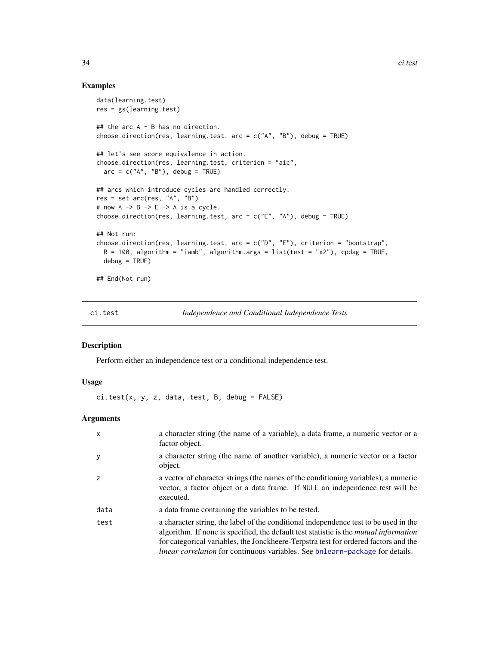#### Examples

```
data(learning.test)
res = gs(learning.test)
## the arc A - B has no direction.
choose.direction(res, learning.test, arc = c("A", "B"), debug = TRUE)
## let's see score equivalence in action.
choose.direction(res, learning.test, criterion = "aic",
  arc = c("A", "B"), debug = TRUE)
## arcs which introduce cycles are handled correctly.
res = set.arc(res, "A", "B")
# now A \rightarrow B \rightarrow E \rightarrow A is a cycle.
choose.direction(res, learning.test, arc = c("E", "A"), debug = TRUE)
## Not run:
choose.direction(res, learning.test, arc = c("D", "E"), criterion = "bootstrap",
  R = 100, algorithm = "iamb", algorithm.args = list(test = "x2"), cpdag = TRUE,
  debug = TRUE)
## End(Not run)
```
<span id="page-33-1"></span>ci.test *Independence and Conditional Independence Tests*

### Description

Perform either an independence test or a conditional independence test.

#### Usage

ci.test(x, y, z, data, test, B, debug = FALSE)

# Arguments

| $\mathsf{x}$ | a character string (the name of a variable), a data frame, a numeric vector or a<br>factor object.                                                                                                                                                                                                                                                                  |
|--------------|---------------------------------------------------------------------------------------------------------------------------------------------------------------------------------------------------------------------------------------------------------------------------------------------------------------------------------------------------------------------|
| y            | a character string (the name of another variable), a numeric vector or a factor<br>object.                                                                                                                                                                                                                                                                          |
| Z            | a vector of character strings (the names of the conditioning variables), a numeric<br>vector, a factor object or a data frame. If NULL an independence test will be<br>executed.                                                                                                                                                                                    |
| data         | a data frame containing the variables to be tested.                                                                                                                                                                                                                                                                                                                 |
| test         | a character string, the label of the conditional independence test to be used in the<br>algorithm. If none is specified, the default test statistic is the <i>mutual information</i><br>for categorical variables, the Jonckheere-Terpstra test for ordered factors and the<br><i>linear correlation</i> for continuous variables. See bnlearn-package for details. |

<span id="page-33-0"></span>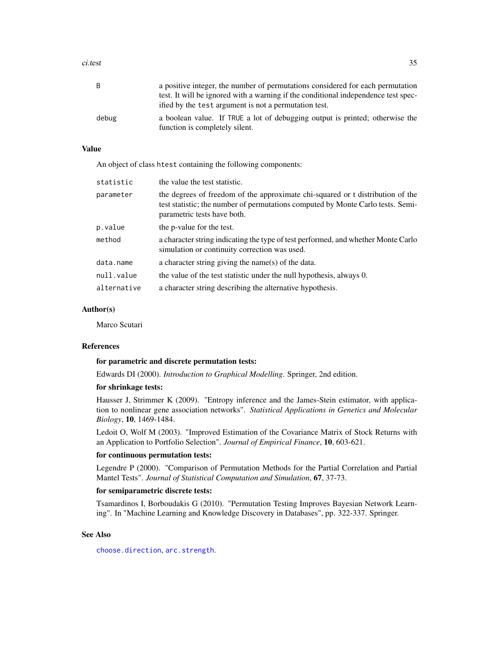#### ci.test 35

| B     | a positive integer, the number of permutations considered for each permutation<br>test. It will be ignored with a warning if the conditional independence test spec-<br>ified by the test argument is not a permutation test. |
|-------|-------------------------------------------------------------------------------------------------------------------------------------------------------------------------------------------------------------------------------|
| debug | a boolean value. If TRUE a lot of debugging output is printed; otherwise the<br>function is completely silent.                                                                                                                |

# Value

An object of class htest containing the following components:

| statistic   | the value the test statistic.                                                                                                                                                                    |
|-------------|--------------------------------------------------------------------------------------------------------------------------------------------------------------------------------------------------|
| parameter   | the degrees of freedom of the approximate chi-squared or t distribution of the<br>test statistic; the number of permutations computed by Monte Carlo tests. Semi-<br>parametric tests have both. |
| p.value     | the p-value for the test.                                                                                                                                                                        |
| method      | a character string indicating the type of test performed, and whether Monte Carlo<br>simulation or continuity correction was used.                                                               |
| data.name   | a character string giving the name(s) of the data.                                                                                                                                               |
| null.value  | the value of the test statistic under the null hypothesis, always 0.                                                                                                                             |
| alternative | a character string describing the alternative hypothesis.                                                                                                                                        |

#### Author(s)

Marco Scutari

#### References

#### for parametric and discrete permutation tests:

Edwards DI (2000). *Introduction to Graphical Modelling*. Springer, 2nd edition.

#### for shrinkage tests:

Hausser J, Strimmer K (2009). "Entropy inference and the James-Stein estimator, with application to nonlinear gene association networks". *Statistical Applications in Genetics and Molecular Biology*, 10, 1469-1484.

Ledoit O, Wolf M (2003). "Improved Estimation of the Covariance Matrix of Stock Returns with an Application to Portfolio Selection". *Journal of Empirical Finance*, 10, 603-621.

#### for continuous permutation tests:

Legendre P (2000). "Comparison of Permutation Methods for the Partial Correlation and Partial Mantel Tests". *Journal of Statistical Computation and Simulation*, 67, 37-73.

#### for semiparametric discrete tests:

Tsamardinos I, Borboudakis G (2010). "Permutation Testing Improves Bayesian Network Learning". In "Machine Learning and Knowledge Discovery in Databases", pp. 322-337. Springer.

#### See Also

[choose.direction](#page-32-1), [arc.strength](#page-12-2).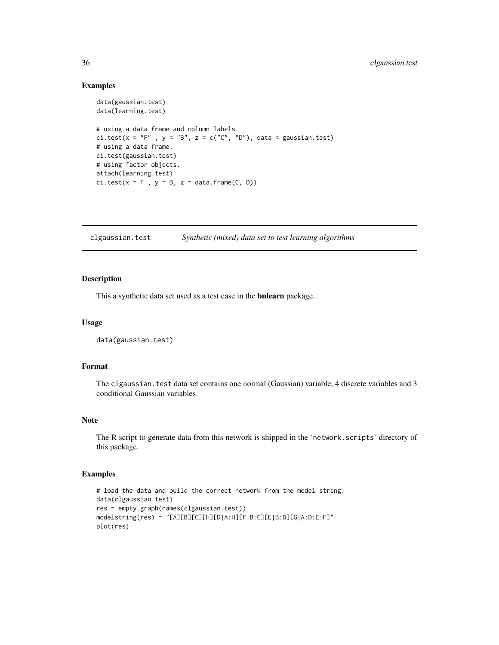## Examples

```
data(gaussian.test)
data(learning.test)
# using a data frame and column labels.
ci.test(x = "F", y = "B", z = c("C", "D"), data = gaussian.test)
# using a data frame.
ci.test(gaussian.test)
# using factor objects.
attach(learning.test)
ci.test(x = F, y = B, z = data frame(C, D))
```
clgaussian.test *Synthetic (mixed) data set to test learning algorithms*

#### Description

This a synthetic data set used as a test case in the bnlearn package.

# Usage

```
data(gaussian.test)
```
# Format

The clgaussian. test data set contains one normal (Gaussian) variable, 4 discrete variables and 3 conditional Gaussian variables.

# Note

The R script to generate data from this network is shipped in the 'network.scripts' directory of this package.

# Examples

```
# load the data and build the correct network from the model string.
data(clgaussian.test)
res = empty.graph(names(clgaussian.test))
modelstring(res) = "[A][B][C][H][D|A:H][F|B:C][E|B:D][G|A:D:E:F]"
plot(res)
```
<span id="page-35-0"></span>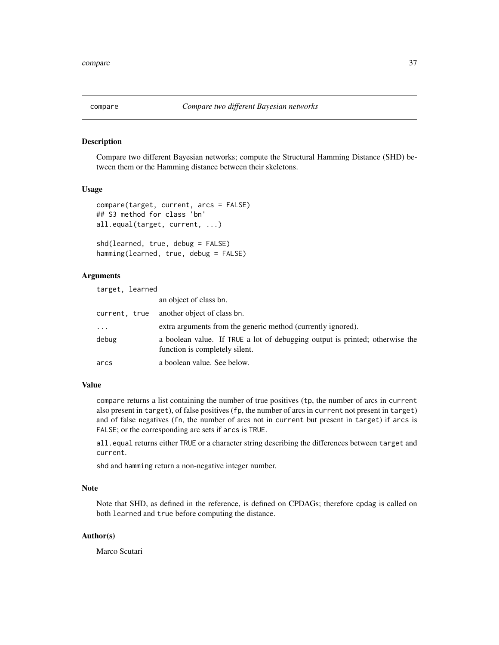## Description

Compare two different Bayesian networks; compute the Structural Hamming Distance (SHD) between them or the Hamming distance between their skeletons.

## Usage

```
compare(target, current, arcs = FALSE)
## S3 method for class 'bn'
all.equal(target, current, ...)
shd(learned, true, debug = FALSE)
```
hamming(learned, true, debug = FALSE)

# Arguments

| target, learned |                                                                                                                |
|-----------------|----------------------------------------------------------------------------------------------------------------|
|                 | an object of class bn.                                                                                         |
| current, true   | another object of class bn.                                                                                    |
| $\cdots$        | extra arguments from the generic method (currently ignored).                                                   |
| debug           | a boolean value. If TRUE a lot of debugging output is printed; otherwise the<br>function is completely silent. |
| arcs            | a boolean value. See below.                                                                                    |

# Value

compare returns a list containing the number of true positives (tp, the number of arcs in current also present in target), of false positives (fp, the number of arcs in current not present in target) and of false negatives (fn, the number of arcs not in current but present in target) if arcs is FALSE; or the corresponding arc sets if arcs is TRUE.

all.equal returns either TRUE or a character string describing the differences between target and current.

shd and hamming return a non-negative integer number.

# Note

Note that SHD, as defined in the reference, is defined on CPDAGs; therefore cpdag is called on both learned and true before computing the distance.

# Author(s)

Marco Scutari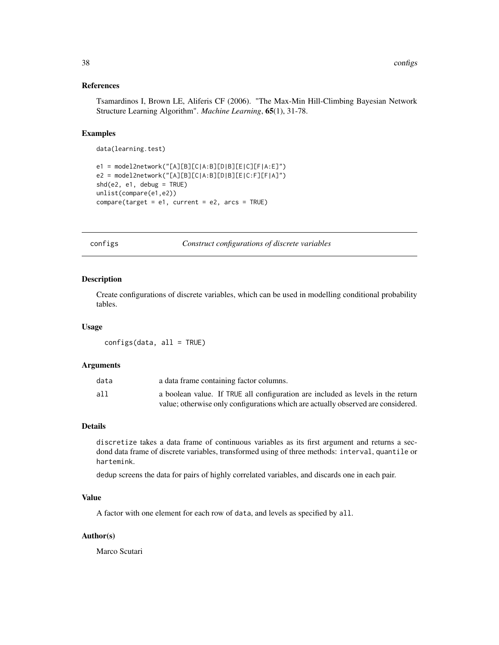# References

Tsamardinos I, Brown LE, Aliferis CF (2006). "The Max-Min Hill-Climbing Bayesian Network Structure Learning Algorithm". *Machine Learning*, 65(1), 31-78.

# Examples

data(learning.test)

```
e1 = model2network("[A][B][C|A:B][D|B][E|C][F|A:E]")
e2 = model2network("[A][B][C|A:B][D|B][E|C:F][F|A]")
shd(e2, e1, debug = TRUE)
unlist(compare(e1,e2))
compare(target = e1, current = e2, arcs = TRUE)
```
configs *Construct configurations of discrete variables*

#### Description

Create configurations of discrete variables, which can be used in modelling conditional probability tables.

## Usage

configs(data, all = TRUE)

## Arguments

| data | a data frame containing factor columns.                                          |
|------|----------------------------------------------------------------------------------|
| all  | a boolean value. If TRUE all configuration are included as levels in the return  |
|      | value; otherwise only configurations which are actually observed are considered. |

## Details

discretize takes a data frame of continuous variables as its first argument and returns a secdond data frame of discrete variables, transformed using of three methods: interval, quantile or hartemink.

dedup screens the data for pairs of highly correlated variables, and discards one in each pair.

## Value

A factor with one element for each row of data, and levels as specified by all.

#### Author(s)

Marco Scutari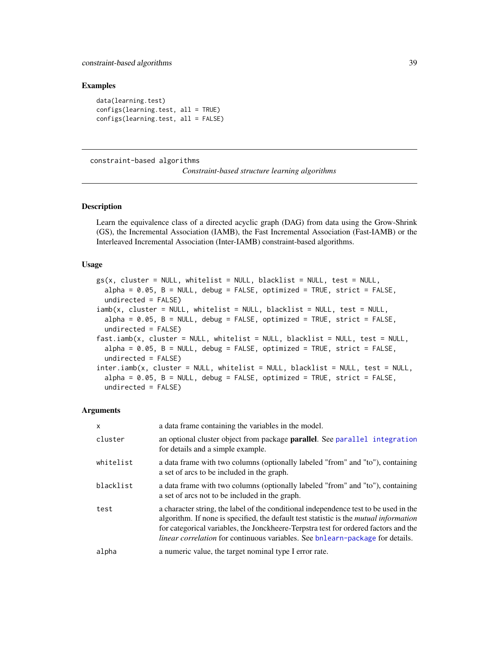## Examples

data(learning.test) configs(learning.test, all = TRUE) configs(learning.test, all = FALSE)

<span id="page-38-0"></span>constraint-based algorithms

*Constraint-based structure learning algorithms*

# Description

Learn the equivalence class of a directed acyclic graph (DAG) from data using the Grow-Shrink (GS), the Incremental Association (IAMB), the Fast Incremental Association (Fast-IAMB) or the Interleaved Incremental Association (Inter-IAMB) constraint-based algorithms.

# Usage

```
gs(x, cluster = NULL, whitelist = NULL, blacklist = NULL, test = NULL,alpha = 0.05, B = NULL, debug = FALSE, optimized = TRUE, strict = FALSE,
  undirected = FALSE)
iamb(x, cluster = NULL, whitelist = NULL, blacklist = NULL, test = NULL,
  alpha = 0.05, B = NULL, debug = FALSE, optimized = TRUE, strict = FALSE,
  undirected = FALSE)
fast.iamb(x, cluster = NULL, whitelist = NULL, blacklist = NULL, test = NULL,
  alpha = 0.05, B = NULL, debug = FALSE, optimized = TRUE, strict = FALSE,
  undirected = FALSE)
inter.iamb(x, cluster = NULL, whitelist = NULL, blacklist = NULL, test = NULL,
  alpha = 0.05, B = NULL, debug = FALSE, optimized = TRUE, strict = FALSE,
  undirected = FALSE)
```
#### Arguments

| X         | a data frame containing the variables in the model.                                                                                                                                                                                                                                                                                                                 |
|-----------|---------------------------------------------------------------------------------------------------------------------------------------------------------------------------------------------------------------------------------------------------------------------------------------------------------------------------------------------------------------------|
| cluster   | an optional cluster object from package parallel. See parallel integration<br>for details and a simple example.                                                                                                                                                                                                                                                     |
| whitelist | a data frame with two columns (optionally labeled "from" and "to"), containing<br>a set of arcs to be included in the graph.                                                                                                                                                                                                                                        |
| blacklist | a data frame with two columns (optionally labeled "from" and "to"), containing<br>a set of arcs not to be included in the graph.                                                                                                                                                                                                                                    |
| test      | a character string, the label of the conditional independence test to be used in the<br>algorithm. If none is specified, the default test statistic is the <i>mutual information</i><br>for categorical variables, the Jonckheere-Terpstra test for ordered factors and the<br><i>linear correlation</i> for continuous variables. See bnlearn-package for details. |
| alpha     | a numeric value, the target nominal type I error rate.                                                                                                                                                                                                                                                                                                              |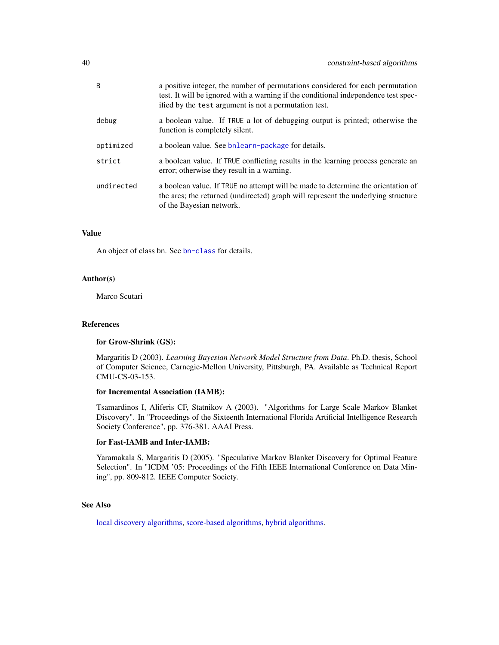| a positive integer, the number of permutations considered for each permutation<br>test. It will be ignored with a warning if the conditional independence test spec-<br>ified by the test argument is not a permutation test. |
|-------------------------------------------------------------------------------------------------------------------------------------------------------------------------------------------------------------------------------|
| a boolean value. If TRUE a lot of debugging output is printed; otherwise the<br>function is completely silent.                                                                                                                |
| a boolean value. See bnlearn-package for details.                                                                                                                                                                             |
| a boolean value. If TRUE conflicting results in the learning process generate an<br>error; otherwise they result in a warning.                                                                                                |
| a boolean value. If TRUE no attempt will be made to determine the orientation of<br>the arcs; the returned (undirected) graph will represent the underlying structure<br>of the Bayesian network.                             |
|                                                                                                                                                                                                                               |

# Value

An object of class bn. See [bn-class](#page-16-0) for details.

## Author(s)

Marco Scutari

## References

## for Grow-Shrink (GS):

Margaritis D (2003). *Learning Bayesian Network Model Structure from Data*. Ph.D. thesis, School of Computer Science, Carnegie-Mellon University, Pittsburgh, PA. Available as Technical Report CMU-CS-03-153.

## for Incremental Association (IAMB):

Tsamardinos I, Aliferis CF, Statnikov A (2003). "Algorithms for Large Scale Markov Blanket Discovery". In "Proceedings of the Sixteenth International Florida Artificial Intelligence Research Society Conference", pp. 376-381. AAAI Press.

## for Fast-IAMB and Inter-IAMB:

Yaramakala S, Margaritis D (2005). "Speculative Markov Blanket Discovery for Optimal Feature Selection". In "ICDM '05: Proceedings of the Fifth IEEE International Conference on Data Mining", pp. 809-812. IEEE Computer Society.

## See Also

[local discovery algorithms,](#page-65-0) [score-based algorithms,](#page-85-0) [hybrid algorithms.](#page-59-0)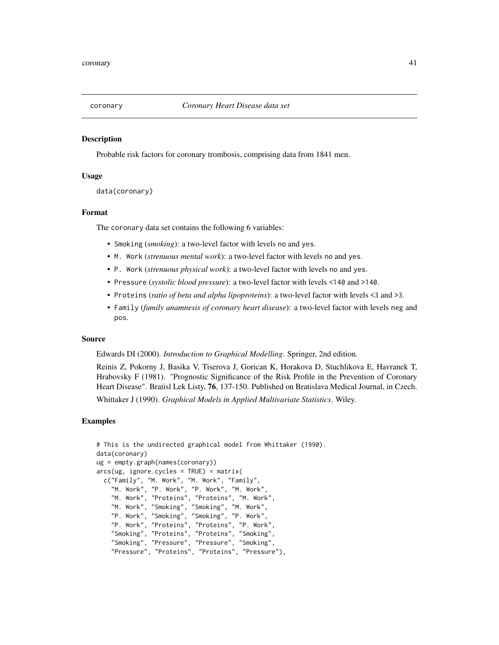## Description

Probable risk factors for coronary trombosis, comprising data from 1841 men.

## Usage

```
data(coronary)
```
## Format

The coronary data set contains the following 6 variables:

- Smoking (*smoking*): a two-level factor with levels no and yes.
- M. Work (*strenuous mental work*): a two-level factor with levels no and yes.
- P. Work (*strenuous physical work*): a two-level factor with levels no and yes.
- Pressure (*systolic blood pressure*): a two-level factor with levels <140 and >140.
- Proteins (*ratio of beta and alpha lipoproteins*): a two-level factor with levels <3 and >3.
- Family (*family anamnesis of coronary heart disease*): a two-level factor with levels neg and pos.

#### Source

Edwards DI (2000). *Introduction to Graphical Modelling*. Springer, 2nd edition.

Reinis Z, Pokorny J, Basika V, Tiserova J, Gorican K, Horakova D, Stuchlikova E, Havranek T, Hrabovsky F (1981). "Prognostic Significance of the Risk Profile in the Prevention of Coronary Heart Disease". Bratisl Lek Listy, 76, 137-150. Published on Bratislava Medical Journal, in Czech.

Whittaker J (1990). *Graphical Models in Applied Multivariate Statistics*. Wiley.

## Examples

```
# This is the undirected graphical model from Whittaker (1990).
data(coronary)
ug = empty.graph(names(coronary))
arcs(ug, ignore.cycles = TRUE) = matrix(c("Family", "M. Work", "M. Work", "Family",
    "M. Work", "P. Work", "P. Work", "M. Work",
    "M. Work", "Proteins", "Proteins", "M. Work",
    "M. Work", "Smoking", "Smoking", "M. Work",
    "P. Work", "Smoking", "Smoking", "P. Work",
    "P. Work", "Proteins", "Proteins", "P. Work",
    "Smoking", "Proteins", "Proteins", "Smoking",
    "Smoking", "Pressure", "Pressure", "Smoking",
    "Pressure", "Proteins", "Proteins", "Pressure"),
```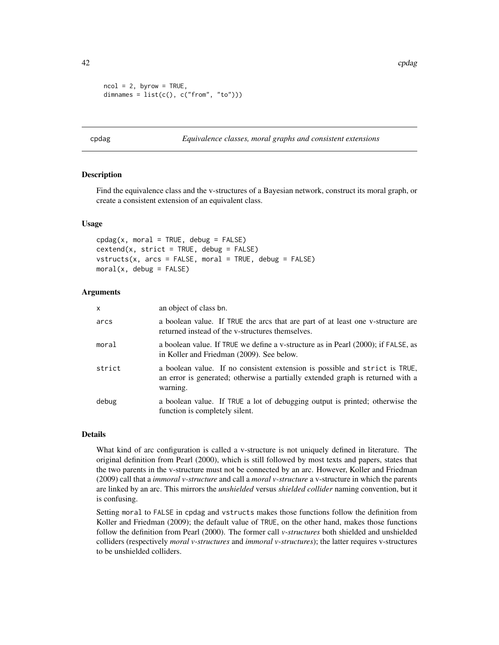42 cpdag and the contract of the contract of the contract of the contract of the contract of the contract of the contract of the contract of the contract of the contract of the contract of the contract of the contract of t

```
ncol = 2, byrow = TRUE,
dimnames = list(c(), c("from", "to")))
```
cpdag *Equivalence classes, moral graphs and consistent extensions*

## Description

Find the equivalence class and the v-structures of a Bayesian network, construct its moral graph, or create a consistent extension of an equivalent class.

## Usage

```
cpdag(x, moral = TRUE, debug = FALSE)cextend(x, strict = TRUE, debug = FALSE)
vstructs(x, arcs = FALSE, moral = TRUE, debug = FALSE)
moral(x, debug = FALSE)
```
## **Arguments**

| X      | an object of class bn.                                                                                                                                                    |
|--------|---------------------------------------------------------------------------------------------------------------------------------------------------------------------------|
| arcs   | a boolean value. If TRUE the arcs that are part of at least one v-structure are<br>returned instead of the v-structures themselves.                                       |
| moral  | a boolean value. If TRUE we define a v-structure as in Pearl (2000); if FALSE, as<br>in Koller and Friedman (2009). See below.                                            |
| strict | a boolean value. If no consistent extension is possible and strict is TRUE,<br>an error is generated; otherwise a partially extended graph is returned with a<br>warning. |
| debug  | a boolean value. If TRUE a lot of debugging output is printed; otherwise the<br>function is completely silent.                                                            |

## Details

What kind of arc configuration is called a v-structure is not uniquely defined in literature. The original definition from Pearl (2000), which is still followed by most texts and papers, states that the two parents in the v-structure must not be connected by an arc. However, Koller and Friedman (2009) call that a *immoral v-structure* and call a *moral v-structure* a v-structure in which the parents are linked by an arc. This mirrors the *unshielded* versus *shielded collider* naming convention, but it is confusing.

Setting moral to FALSE in cpdag and vstructs makes those functions follow the definition from Koller and Friedman (2009); the default value of TRUE, on the other hand, makes those functions follow the definition from Pearl (2000). The former call *v-structures* both shielded and unshielded colliders (respectively *moral v-structures* and *immoral v-structures*); the latter requires v-structures to be unshielded colliders.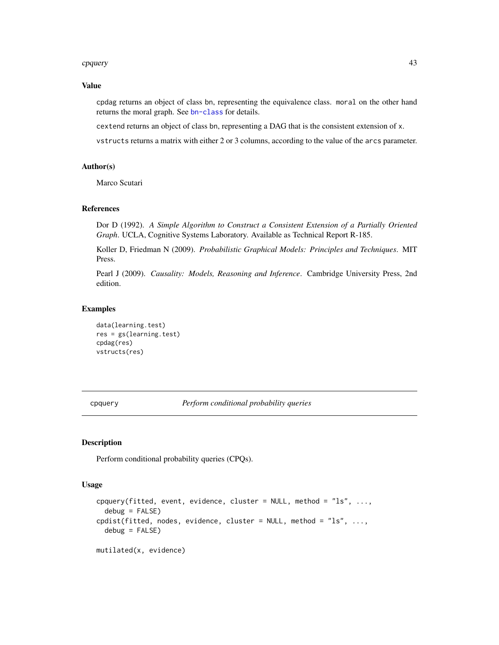#### cpquery and the contract of the contract of the contract of the contract of the contract of the contract of the contract of the contract of the contract of the contract of the contract of the contract of the contract of th

## Value

cpdag returns an object of class bn, representing the equivalence class. moral on the other hand returns the moral graph. See [bn-class](#page-16-0) for details.

cextend returns an object of class bn, representing a DAG that is the consistent extension of x.

vstructs returns a matrix with either 2 or 3 columns, according to the value of the arcs parameter.

# Author(s)

Marco Scutari

## References

Dor D (1992). *A Simple Algorithm to Construct a Consistent Extension of a Partially Oriented Graph*. UCLA, Cognitive Systems Laboratory. Available as Technical Report R-185.

Koller D, Friedman N (2009). *Probabilistic Graphical Models: Principles and Techniques*. MIT Press.

Pearl J (2009). *Causality: Models, Reasoning and Inference*. Cambridge University Press, 2nd edition.

#### Examples

```
data(learning.test)
res = gs(learning.test)
cpdag(res)
vstructs(res)
```
cpquery *Perform conditional probability queries*

# Description

Perform conditional probability queries (CPQs).

# Usage

```
cpquery(fitted, event, evidence, cluster = NULL, method = "ls", ...,
  debug = FALSE)cpdist(fitted, nodes, evidence, cluster = NULL, method = "ls", ...,
  debug = FALSE)mutilated(x, evidence)
```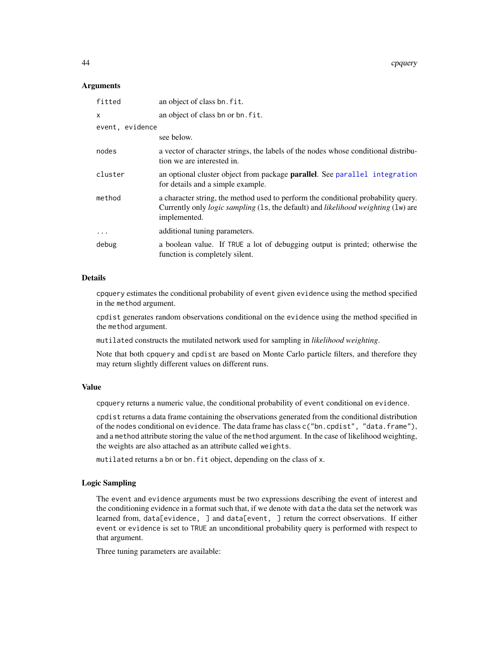44 cpquery

#### Arguments

| fitted          | an object of class bn. fit.                                                                                                                                                                          |
|-----------------|------------------------------------------------------------------------------------------------------------------------------------------------------------------------------------------------------|
| x               | an object of class bn or bn. fit.                                                                                                                                                                    |
| event, evidence |                                                                                                                                                                                                      |
|                 | see below.                                                                                                                                                                                           |
| nodes           | a vector of character strings, the labels of the nodes whose conditional distribu-<br>tion we are interested in.                                                                                     |
| cluster         | an optional cluster object from package <b>parallel</b> . See parallel integration<br>for details and a simple example.                                                                              |
| method          | a character string, the method used to perform the conditional probability query.<br>Currently only <i>logic sampling</i> (1s, the default) and <i>likelihood weighting</i> (1w) are<br>implemented. |
| $\ddots$        | additional tuning parameters.                                                                                                                                                                        |
| debug           | a boolean value. If TRUE a lot of debugging output is printed; otherwise the<br>function is completely silent.                                                                                       |

# Details

cpquery estimates the conditional probability of event given evidence using the method specified in the method argument.

cpdist generates random observations conditional on the evidence using the method specified in the method argument.

mutilated constructs the mutilated network used for sampling in *likelihood weighting*.

Note that both cpquery and cpdist are based on Monte Carlo particle filters, and therefore they may return slightly different values on different runs.

#### Value

cpquery returns a numeric value, the conditional probability of event conditional on evidence.

cpdist returns a data frame containing the observations generated from the conditional distribution of the nodes conditional on evidence. The data frame has class c("bn.cpdist", "data.frame"), and a method attribute storing the value of the method argument. In the case of likelihood weighting, the weights are also attached as an attribute called weights.

mutilated returns a bn or bn.fit object, depending on the class of x.

## Logic Sampling

The event and evidence arguments must be two expressions describing the event of interest and the conditioning evidence in a format such that, if we denote with data the data set the network was learned from, data[evidence, ] and data[event, ] return the correct observations. If either event or evidence is set to TRUE an unconditional probability query is performed with respect to that argument.

Three tuning parameters are available: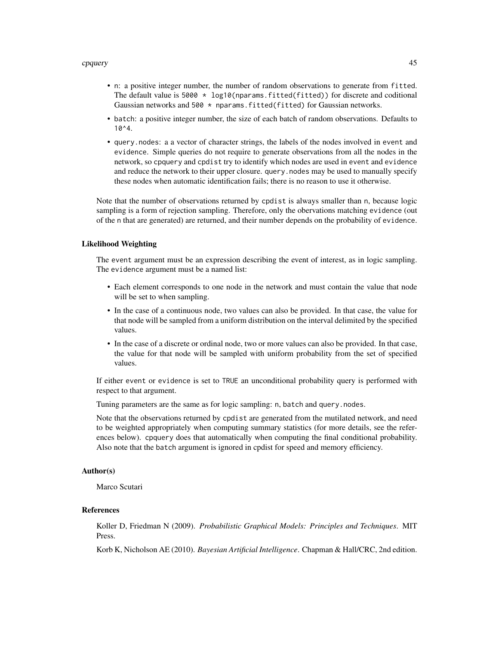#### cpquery and the contract of the contract of the contract of the contract of the contract of the contract of the contract of the contract of the contract of the contract of the contract of the contract of the contract of th

- n: a positive integer number, the number of random observations to generate from fitted. The default value is 5000  $*$  log10(nparams.fitted(fitted)) for discrete and coditional Gaussian networks and  $500 \star$  nparams. fitted(fitted) for Gaussian networks.
- batch: a positive integer number, the size of each batch of random observations. Defaults to 10^4.
- query.nodes: a a vector of character strings, the labels of the nodes involved in event and evidence. Simple queries do not require to generate observations from all the nodes in the network, so cpquery and cpdist try to identify which nodes are used in event and evidence and reduce the network to their upper closure. query.nodes may be used to manually specify these nodes when automatic identification fails; there is no reason to use it otherwise.

Note that the number of observations returned by cpdist is always smaller than n, because logic sampling is a form of rejection sampling. Therefore, only the obervations matching evidence (out of the n that are generated) are returned, and their number depends on the probability of evidence.

#### Likelihood Weighting

The event argument must be an expression describing the event of interest, as in logic sampling. The evidence argument must be a named list:

- Each element corresponds to one node in the network and must contain the value that node will be set to when sampling.
- In the case of a continuous node, two values can also be provided. In that case, the value for that node will be sampled from a uniform distribution on the interval delimited by the specified values.
- In the case of a discrete or ordinal node, two or more values can also be provided. In that case, the value for that node will be sampled with uniform probability from the set of specified values.

If either event or evidence is set to TRUE an unconditional probability query is performed with respect to that argument.

Tuning parameters are the same as for logic sampling: n, batch and query.nodes.

Note that the observations returned by cpdist are generated from the mutilated network, and need to be weighted appropriately when computing summary statistics (for more details, see the references below). cpquery does that automatically when computing the final conditional probability. Also note that the batch argument is ignored in cpdist for speed and memory efficiency.

## Author(s)

Marco Scutari

## References

Koller D, Friedman N (2009). *Probabilistic Graphical Models: Principles and Techniques*. MIT Press.

Korb K, Nicholson AE (2010). *Bayesian Artificial Intelligence*. Chapman & Hall/CRC, 2nd edition.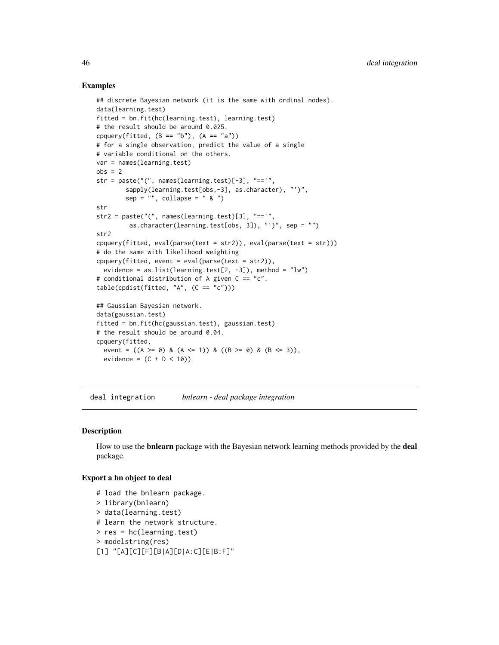## Examples

```
## discrete Bayesian network (it is the same with ordinal nodes).
data(learning.test)
fitted = bn.fit(hc(learning.test), learning.test)
# the result should be around 0.025.
cpquery(fitted, (B == "b"), (A == "a"))
# for a single observation, predict the value of a single
# variable conditional on the others.
var = names(learning.test)
obs = 2str = paste("(", names(learning.test)[-3], "=='",
        sapply(learning.test[obs,-3], as.character), "')",
        sep = "", collapse = " & "')str
str2 = paste("(", names(learning.test)[3], "=='",
         as.character(learning.test[obs, 3]), "')", sep = "")
str2
cpquery(fitted, eval(parse(text = str2)), eval(parse(text = str)))
# do the same with likelihood weighting
cpquery(fitted, event = eval(parse(text = str2)),
  evidence = as.list(learning.test[2, -3]), method = "lw")
# conditional distribution of A given C == "c".
table(cpdist(fitted, "A", (C == "c")))
## Gaussian Bayesian network.
data(gaussian.test)
fitted = bn.fit(hc(gaussian.test), gaussian.test)
# the result should be around 0.04.
cpquery(fitted,
  event = ((A \ge 0) \& (A \le 1)) \& ((B \ge 0) \& (B \le 3)),evidence = (C + D < 10)
```
deal integration *bnlearn - deal package integration*

#### Description

How to use the **bnlearn** package with the Bayesian network learning methods provided by the **deal** package.

## Export a bn object to deal

```
# load the bnlearn package.
> library(bnlearn)
> data(learning.test)
# learn the network structure.
> res = hc(learning.test)
> modelstring(res)
[1] "[A][C][F][B|A][D|A:C][E|B:F]"
```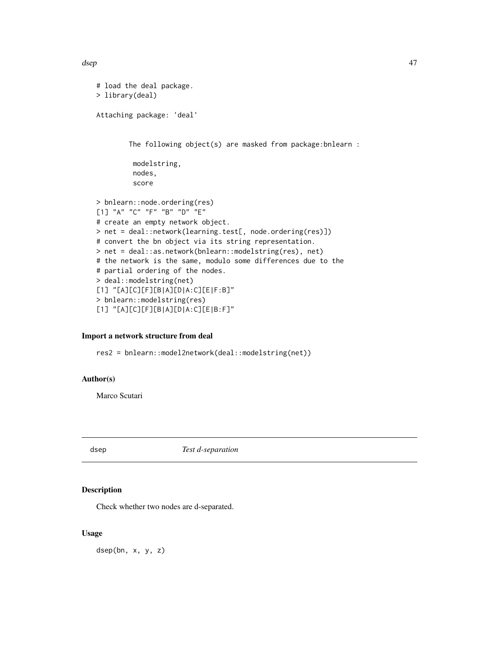dsep that the contract of the contract of the contract of the contract of the contract of the contract of the contract of the contract of the contract of the contract of the contract of the contract of the contract of the

```
# load the deal package.
> library(deal)
Attaching package: 'deal'
        The following object(s) are masked from package:bnlearn :
         modelstring,
         nodes,
         score
> bnlearn::node.ordering(res)
[1] "A" "C" "F" "B" "D" "E"
# create an empty network object.
> net = deal::network(learning.test[, node.ordering(res)])
# convert the bn object via its string representation.
> net = deal::as.network(bnlearn::modelstring(res), net)
# the network is the same, modulo some differences due to the
# partial ordering of the nodes.
> deal::modelstring(net)
[1] "[A][C][F][B|A][D|A:C][E|F:B]"
> bnlearn::modelstring(res)
[1] "[A][C][F][B|A][D|A:C][E|B:F]"
```
# Import a network structure from deal

res2 = bnlearn::model2network(deal::modelstring(net))

# Author(s)

Marco Scutari

dsep *Test d-separation*

## Description

Check whether two nodes are d-separated.

## Usage

dsep(bn, x, y, z)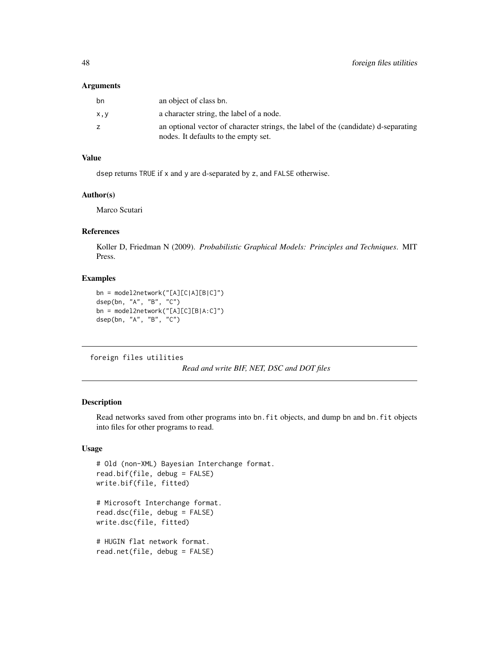#### **Arguments**

| bn  | an object of class bn.                                                                                                     |
|-----|----------------------------------------------------------------------------------------------------------------------------|
| x,y | a character string, the label of a node.                                                                                   |
| z   | an optional vector of character strings, the label of the (candidate) d-separating<br>nodes. It defaults to the empty set. |

# Value

dsep returns TRUE if x and y are d-separated by z, and FALSE otherwise.

## Author(s)

Marco Scutari

## References

Koller D, Friedman N (2009). *Probabilistic Graphical Models: Principles and Techniques*. MIT Press.

# Examples

```
bn = model2network("[A][C|A][B|C]")
dsep(bn, "A", "B", "C")
bn = model2network("[A][C][B|A:C]")
dsep(bn, "A", "B", "C")
```
foreign files utilities

*Read and write BIF, NET, DSC and DOT files*

# Description

Read networks saved from other programs into bn.fit objects, and dump bn and bn.fit objects into files for other programs to read.

## Usage

```
# Old (non-XML) Bayesian Interchange format.
read.bif(file, debug = FALSE)
write.bif(file, fitted)
# Microsoft Interchange format.
read.dsc(file, debug = FALSE)
write.dsc(file, fitted)
# HUGIN flat network format.
read.net(file, debug = FALSE)
```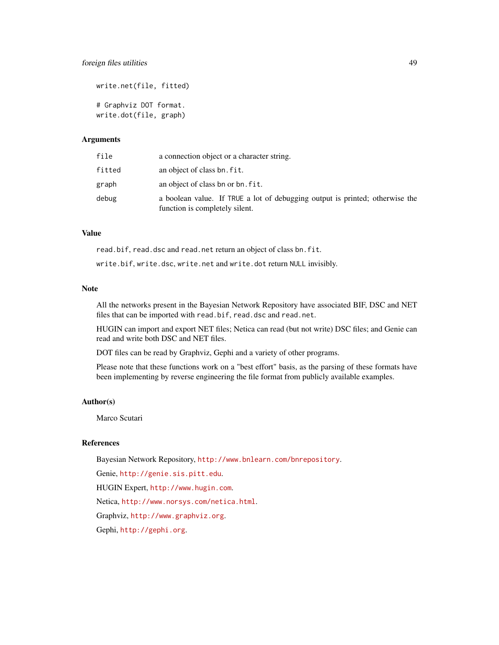## foreign files utilities 49

write.net(file, fitted) # Graphviz DOT format. write.dot(file, graph)

## Arguments

| file   | a connection object or a character string.                                                                     |
|--------|----------------------------------------------------------------------------------------------------------------|
| fitted | an object of class bn. fit.                                                                                    |
| graph  | an object of class bn or bn. fit.                                                                              |
| debug  | a boolean value. If TRUE a lot of debugging output is printed; otherwise the<br>function is completely silent. |

# Value

read.bif, read.dsc and read.net return an object of class bn.fit.

write.bif, write.dsc, write.net and write.dot return NULL invisibly.

# Note

All the networks present in the Bayesian Network Repository have associated BIF, DSC and NET files that can be imported with read.bif, read.dsc and read.net.

HUGIN can import and export NET files; Netica can read (but not write) DSC files; and Genie can read and write both DSC and NET files.

DOT files can be read by Graphviz, Gephi and a variety of other programs.

Please note that these functions work on a "best effort" basis, as the parsing of these formats have been implementing by reverse engineering the file format from publicly available examples.

#### Author(s)

Marco Scutari

# References

Bayesian Network Repository, <http://www.bnlearn.com/bnrepository>.

Genie, <http://genie.sis.pitt.edu>.

HUGIN Expert, <http://www.hugin.com>.

Netica, <http://www.norsys.com/netica.html>.

Graphviz, <http://www.graphviz.org>.

Gephi, <http://gephi.org>.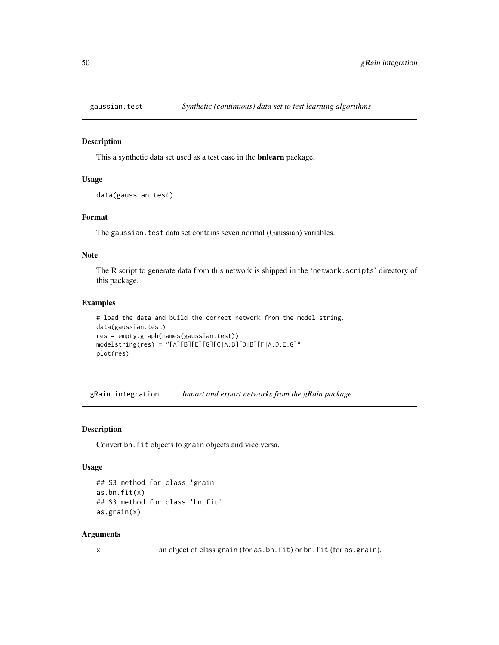## **Description**

This a synthetic data set used as a test case in the bnlearn package.

# Usage

```
data(gaussian.test)
```
## Format

The gaussian.test data set contains seven normal (Gaussian) variables.

# Note

The R script to generate data from this network is shipped in the 'network.scripts' directory of this package.

#### Examples

```
# load the data and build the correct network from the model string.
data(gaussian.test)
res = empty.graph(names(gaussian.test))
modelstring(res) = "[A][B][E][G][C|A:B][D|B][F|A:D:E:G]"
plot(res)
```
gRain integration *Import and export networks from the gRain package*

## Description

Convert bn. fit objects to grain objects and vice versa.

## Usage

```
## S3 method for class 'grain'
as.bn.fit(x)
## S3 method for class 'bn.fit'
as.grain(x)
```
#### Arguments

x an object of class grain (for as.bn.fit) or bn.fit (for as.grain).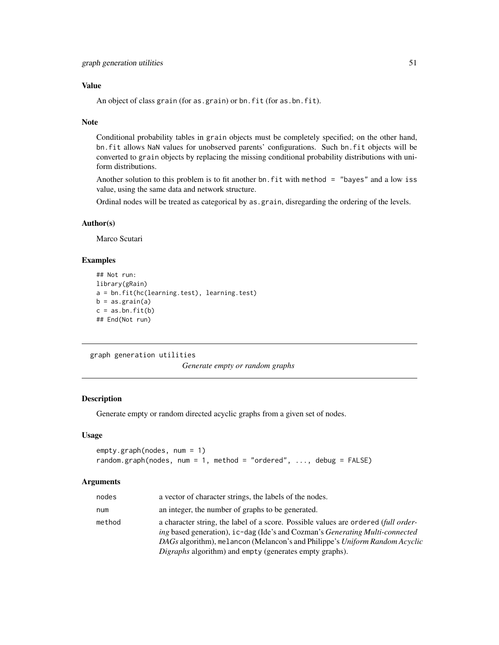## Value

An object of class grain (for as.grain) or bn.fit (for as.bn.fit).

## Note

Conditional probability tables in grain objects must be completely specified; on the other hand, bn.fit allows NaN values for unobserved parents' configurations. Such bn.fit objects will be converted to grain objects by replacing the missing conditional probability distributions with uniform distributions.

Another solution to this problem is to fit another bn. fit with method = "bayes" and a low iss value, using the same data and network structure.

Ordinal nodes will be treated as categorical by as.grain, disregarding the ordering of the levels.

## Author(s)

Marco Scutari

## Examples

```
## Not run:
library(gRain)
a = bn.fit(hc(learning.test), learning.test)
b = as.grain(a)c = as.bn.fit(b)## End(Not run)
```
graph generation utilities

*Generate empty or random graphs*

# Description

Generate empty or random directed acyclic graphs from a given set of nodes.

## Usage

```
empty.graph(nodes, num = 1)
random.graph(nodes, num = 1, method = "ordered", ..., debug = FALSE)
```
#### Arguments

| nodes  | a vector of character strings, the labels of the nodes.                                                                                                                                                                                                                                                                           |
|--------|-----------------------------------------------------------------------------------------------------------------------------------------------------------------------------------------------------------------------------------------------------------------------------------------------------------------------------------|
| num    | an integer, the number of graphs to be generated.                                                                                                                                                                                                                                                                                 |
| method | a character string, the label of a score. Possible values are ordered <i>(full order-</i><br>ing based generation), ic-dag (Ide's and Cozman's <i>Generating Multi-connected</i><br>DAGs algorithm), melancon (Melancon's and Philippe's Uniform Random Acyclic<br><i>Digraphs</i> algorithm) and empty (generates empty graphs). |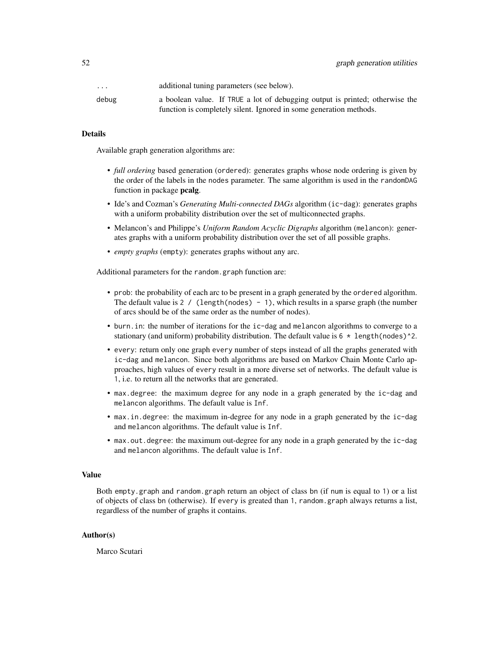| $\cdot$ $\cdot$ $\cdot$ | additional tuning parameters (see below).                                    |
|-------------------------|------------------------------------------------------------------------------|
| debug                   | a boolean value. If TRUE a lot of debugging output is printed; otherwise the |
|                         | function is completely silent. Ignored in some generation methods.           |

## Details

Available graph generation algorithms are:

- *full ordering* based generation (ordered): generates graphs whose node ordering is given by the order of the labels in the nodes parameter. The same algorithm is used in the randomDAG function in package pcalg.
- Ide's and Cozman's *Generating Multi-connected DAGs* algorithm (ic-dag): generates graphs with a uniform probability distribution over the set of multiconnected graphs.
- Melancon's and Philippe's *Uniform Random Acyclic Digraphs* algorithm (melancon): generates graphs with a uniform probability distribution over the set of all possible graphs.
- *empty graphs* (empty): generates graphs without any arc.

Additional parameters for the random.graph function are:

- prob: the probability of each arc to be present in a graph generated by the ordered algorithm. The default value is  $2 / (\text{length}(\text{nodes}) - 1)$ , which results in a sparse graph (the number of arcs should be of the same order as the number of nodes).
- burn.in: the number of iterations for the ic-dag and melancon algorithms to converge to a stationary (and uniform) probability distribution. The default value is  $6 * length(node)$ <sup>2</sup>.
- every: return only one graph every number of steps instead of all the graphs generated with ic-dag and melancon. Since both algorithms are based on Markov Chain Monte Carlo approaches, high values of every result in a more diverse set of networks. The default value is 1, i.e. to return all the networks that are generated.
- max.degree: the maximum degree for any node in a graph generated by the ic-dag and melancon algorithms. The default value is Inf.
- max.in.degree: the maximum in-degree for any node in a graph generated by the ic-dag and melancon algorithms. The default value is Inf.
- max.out.degree: the maximum out-degree for any node in a graph generated by the ic-dag and melancon algorithms. The default value is Inf.

#### Value

Both empty.graph and random.graph return an object of class bn (if num is equal to 1) or a list of objects of class bn (otherwise). If every is greated than 1, random.graph always returns a list, regardless of the number of graphs it contains.

#### Author(s)

Marco Scutari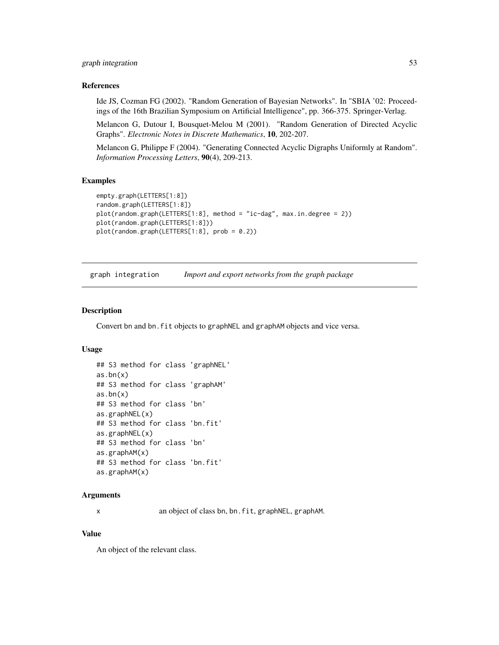# graph integration 53

#### References

Ide JS, Cozman FG (2002). "Random Generation of Bayesian Networks". In "SBIA '02: Proceedings of the 16th Brazilian Symposium on Artificial Intelligence", pp. 366-375. Springer-Verlag.

Melancon G, Dutour I, Bousquet-Melou M (2001). "Random Generation of Directed Acyclic Graphs". *Electronic Notes in Discrete Mathematics*, 10, 202-207.

Melancon G, Philippe F (2004). "Generating Connected Acyclic Digraphs Uniformly at Random". *Information Processing Letters*, 90(4), 209-213.

## Examples

```
empty.graph(LETTERS[1:8])
random.graph(LETTERS[1:8])
plot(random.graph(LETTERS[1:8], method = "ic-dag", max.in.degree = 2))
plot(random.graph(LETTERS[1:8]))
plot(random.graph(LETTERS[1:8], prob = 0.2))
```
graph integration *Import and export networks from the graph package*

#### Description

Convert bn and bn. fit objects to graphNEL and graphAM objects and vice versa.

# Usage

```
## S3 method for class 'graphNEL'
as.bn(x)## S3 method for class 'graphAM'
as.bn(x)
## S3 method for class 'bn'
as.graphNEL(x)
## S3 method for class 'bn.fit'
as.graphNEL(x)
## S3 method for class 'bn'
as.graphAM(x)
## S3 method for class 'bn.fit'
as.graphAM(x)
```
## **Arguments**

x an object of class bn, bn.fit, graphNEL, graphAM.

# Value

An object of the relevant class.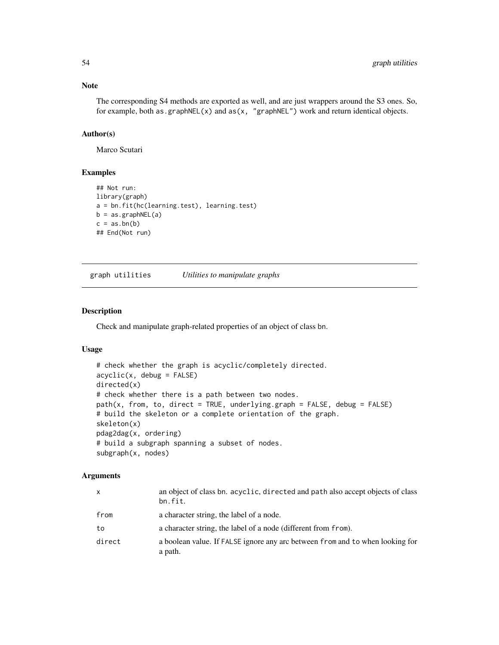## Note

The corresponding S4 methods are exported as well, and are just wrappers around the S3 ones. So, for example, both as.graphNEL(x) and  $as(x, "graphNEL")$  work and return identical objects.

# Author(s)

Marco Scutari

# Examples

```
## Not run:
library(graph)
a = bn.fit(hc(learning.test), learning.test)
b = as.graphNEL(a)c = as,bn(b)## End(Not run)
```
graph utilities *Utilities to manipulate graphs*

# Description

Check and manipulate graph-related properties of an object of class bn.

# Usage

```
# check whether the graph is acyclic/completely directed.
acyclic(x, debug = FALSE)directed(x)
# check whether there is a path between two nodes.
path(x, from, to, direct = TRUE, underlying graph = FALSE, debug = FALSE)# build the skeleton or a complete orientation of the graph.
skeleton(x)
pdag2dag(x, ordering)
# build a subgraph spanning a subset of nodes.
subgraph(x, nodes)
```
# **Arguments**

| X      | an object of class bn. acyclic, directed and path also accept objects of class<br>bn.fit. |
|--------|-------------------------------------------------------------------------------------------|
| from   | a character string, the label of a node.                                                  |
| to     | a character string, the label of a node (different from from).                            |
| direct | a boolean value. If FALSE ignore any arc between from and to when looking for<br>a path.  |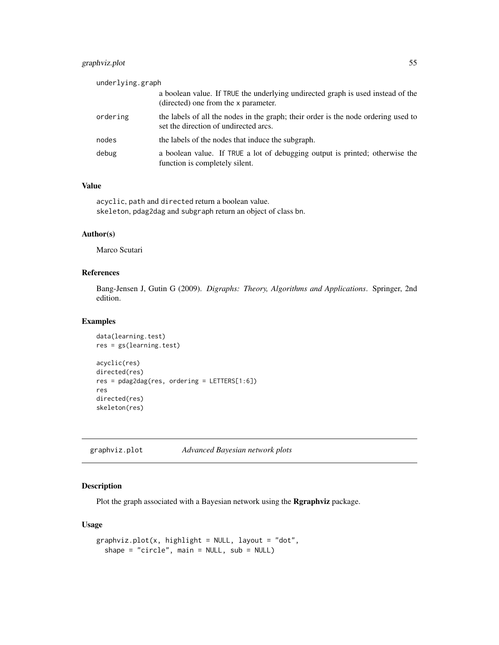# graphviz.plot 55

| underlying.graph |                                                                                                                             |
|------------------|-----------------------------------------------------------------------------------------------------------------------------|
|                  | a boolean value. If TRUE the underlying undirected graph is used instead of the<br>(directed) one from the x parameter.     |
| ordering         | the labels of all the nodes in the graph; their order is the node ordering used to<br>set the direction of undirected arcs. |
| nodes            | the labels of the nodes that induce the subgraph.                                                                           |
| debug            | a boolean value. If TRUE a lot of debugging output is printed; otherwise the<br>function is completely silent.              |

# Value

acyclic, path and directed return a boolean value. skeleton, pdag2dag and subgraph return an object of class bn.

## Author(s)

Marco Scutari

# References

Bang-Jensen J, Gutin G (2009). *Digraphs: Theory, Algorithms and Applications*. Springer, 2nd edition.

# Examples

```
data(learning.test)
res = gs(learning.test)
acyclic(res)
directed(res)
res = pdag2dag(res, ordering = LETTERS[1:6])
res
directed(res)
skeleton(res)
```
graphviz.plot *Advanced Bayesian network plots*

# Description

Plot the graph associated with a Bayesian network using the Rgraphviz package.

# Usage

```
graphviz.plot(x, highlight = NULL, layout = "dot",shape = "circle", main = NULL, sub = NULL)
```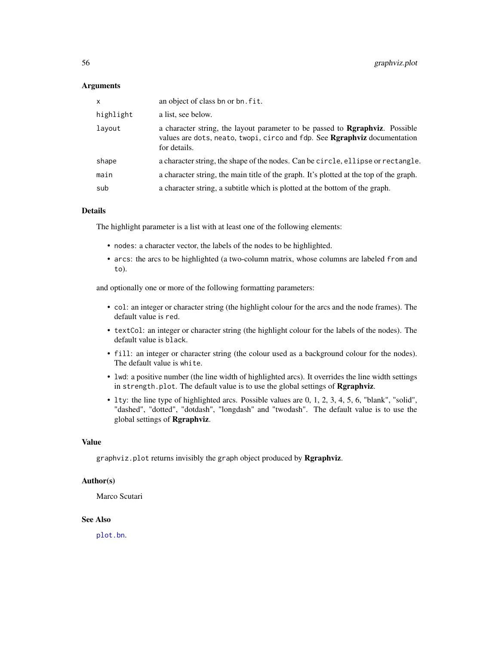## **Arguments**

| $\mathsf{x}$ | an object of class bn or bn. fit.                                                                                                                                                 |
|--------------|-----------------------------------------------------------------------------------------------------------------------------------------------------------------------------------|
| highlight    | a list, see below.                                                                                                                                                                |
| layout       | a character string, the layout parameter to be passed to <b>Regaphyiz</b> . Possible<br>values are dots, neato, twopi, circo and fdp. See Rgraphviz documentation<br>for details. |
| shape        | a character string, the shape of the nodes. Can be circle, ellipse or rectangle.                                                                                                  |
| main         | a character string, the main title of the graph. It's plotted at the top of the graph.                                                                                            |
| sub          | a character string, a subtitle which is plotted at the bottom of the graph.                                                                                                       |

# Details

The highlight parameter is a list with at least one of the following elements:

- nodes: a character vector, the labels of the nodes to be highlighted.
- arcs: the arcs to be highlighted (a two-column matrix, whose columns are labeled from and to).

and optionally one or more of the following formatting parameters:

- col: an integer or character string (the highlight colour for the arcs and the node frames). The default value is red.
- textCol: an integer or character string (the highlight colour for the labels of the nodes). The default value is black.
- fill: an integer or character string (the colour used as a background colour for the nodes). The default value is white.
- lwd: a positive number (the line width of highlighted arcs). It overrides the line width settings in strength.plot. The default value is to use the global settings of **Rgraphviz.**
- lty: the line type of highlighted arcs. Possible values are 0, 1, 2, 3, 4, 5, 6, "blank", "solid", "dashed", "dotted", "dotdash", "longdash" and "twodash". The default value is to use the global settings of Rgraphviz.

#### Value

graphviz.plot returns invisibly the graph object produced by Rgraphviz.

## Author(s)

Marco Scutari

# See Also

[plot.bn](#page-76-0).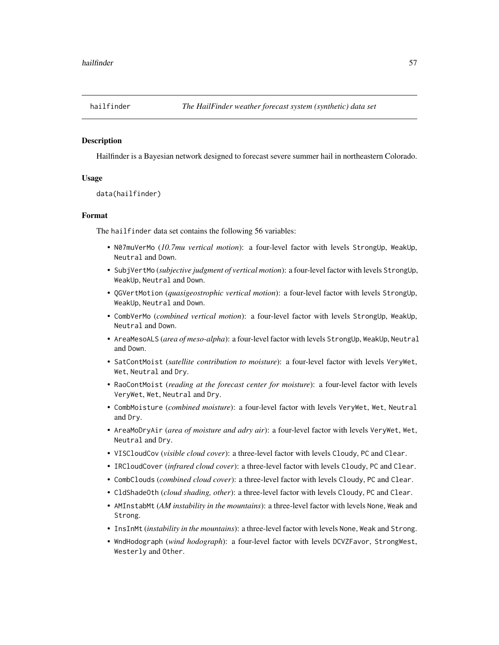#### Description

Hailfinder is a Bayesian network designed to forecast severe summer hail in northeastern Colorado.

## Usage

```
data(hailfinder)
```
## Format

The hailfinder data set contains the following 56 variables:

- N07muVerMo (*10.7mu vertical motion*): a four-level factor with levels StrongUp, WeakUp, Neutral and Down.
- SubjVertMo (*subjective judgment of vertical motion*): a four-level factor with levels StrongUp, WeakUp, Neutral and Down.
- QGVertMotion (*quasigeostrophic vertical motion*): a four-level factor with levels StrongUp, WeakUp, Neutral and Down.
- CombVerMo (*combined vertical motion*): a four-level factor with levels StrongUp, WeakUp, Neutral and Down.
- AreaMesoALS (*area of meso-alpha*): a four-level factor with levels StrongUp, WeakUp, Neutral and Down.
- SatContMoist (*satellite contribution to moisture*): a four-level factor with levels VeryWet, Wet, Neutral and Dry.
- RaoContMoist (*reading at the forecast center for moisture*): a four-level factor with levels VeryWet, Wet, Neutral and Dry.
- CombMoisture (*combined moisture*): a four-level factor with levels VeryWet, Wet, Neutral and Dry.
- AreaMoDryAir (*area of moisture and adry air*): a four-level factor with levels VeryWet, Wet, Neutral and Dry.
- VISCloudCov (*visible cloud cover*): a three-level factor with levels Cloudy, PC and Clear.
- IRCloudCover (*infrared cloud cover*): a three-level factor with levels Cloudy, PC and Clear.
- CombClouds (*combined cloud cover*): a three-level factor with levels Cloudy, PC and Clear.
- CldShadeOth (*cloud shading, other*): a three-level factor with levels Cloudy, PC and Clear.
- AMInstabMt (*AM instability in the mountains*): a three-level factor with levels None, Weak and Strong.
- InsInMt (*instability in the mountains*): a three-level factor with levels None, Weak and Strong.
- WndHodograph (*wind hodograph*): a four-level factor with levels DCVZFavor, StrongWest, Westerly and Other.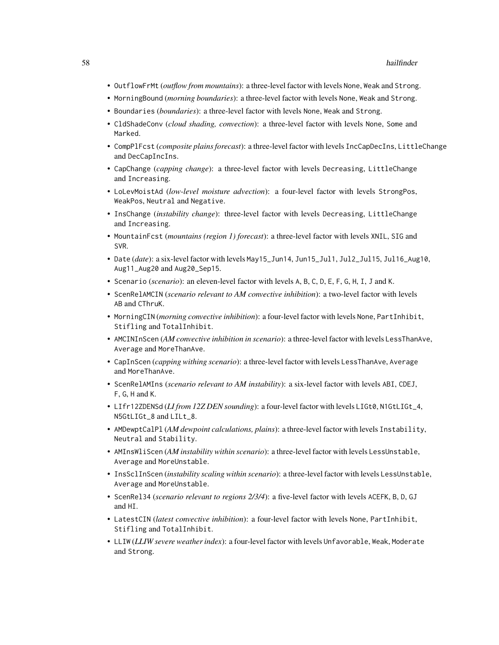- OutflowFrMt (*outflow from mountains*): a three-level factor with levels None, Weak and Strong.
- MorningBound (*morning boundaries*): a three-level factor with levels None, Weak and Strong.
- Boundaries (*boundaries*): a three-level factor with levels None, Weak and Strong.
- CldShadeConv (*cloud shading, convection*): a three-level factor with levels None, Some and Marked.
- CompPlFcst (*composite plains forecast*): a three-level factor with levels IncCapDecIns, LittleChange and DecCapIncIns.
- CapChange (*capping change*): a three-level factor with levels Decreasing, LittleChange and Increasing.
- LoLevMoistAd (*low-level moisture advection*): a four-level factor with levels StrongPos, WeakPos, Neutral and Negative.
- InsChange (*instability change*): three-level factor with levels Decreasing, LittleChange and Increasing.
- MountainFcst (*mountains (region 1) forecast*): a three-level factor with levels XNIL, SIG and SVR.
- Date (*date*): a six-level factor with levels May15\_Jun14, Jun15\_Jul1, Jul2\_Jul15, Jul16\_Aug10, Aug11\_Aug20 and Aug20\_Sep15.
- Scenario (*scenario*): an eleven-level factor with levels A, B, C, D, E, F, G, H, I, J and K.
- ScenRelAMCIN (*scenario relevant to AM convective inhibition*): a two-level factor with levels AB and CThruK.
- MorningCIN (*morning convective inhibition*): a four-level factor with levels None, PartInhibit, Stifling and TotalInhibit.
- AMCINInScen (*AM convective inhibition in scenario*): a three-level factor with levels LessThanAve, Average and MoreThanAve.
- CapInScen (*capping withing scenario*): a three-level factor with levels LessThanAve, Average and MoreThanAve.
- ScenRelAMIns (*scenario relevant to AM instability*): a six-level factor with levels ABI, CDEJ, F, G, H and K.
- LIfr12ZDENSd (*LI from 12Z DEN sounding*): a four-level factor with levels LIGt0, N1GtLIGt\_4, N5GtLIGt\_8 and LILt\_8.
- AMDewptCalPl (*AM dewpoint calculations, plains*): a three-level factor with levels Instability, Neutral and Stability.
- AMInsWliScen (*AM instability within scenario*): a three-level factor with levels LessUnstable, Average and MoreUnstable.
- InsSclInScen (*instability scaling within scenario*): a three-level factor with levels LessUnstable, Average and MoreUnstable.
- ScenRel34 (*scenario relevant to regions 2/3/4*): a five-level factor with levels ACEFK, B, D, GJ and HI.
- LatestCIN (*latest convective inhibition*): a four-level factor with levels None, PartInhibit, Stifling and TotalInhibit.
- LLIW (*LLIW severe weather index*): a four-level factor with levels Unfavorable, Weak, Moderate and Strong.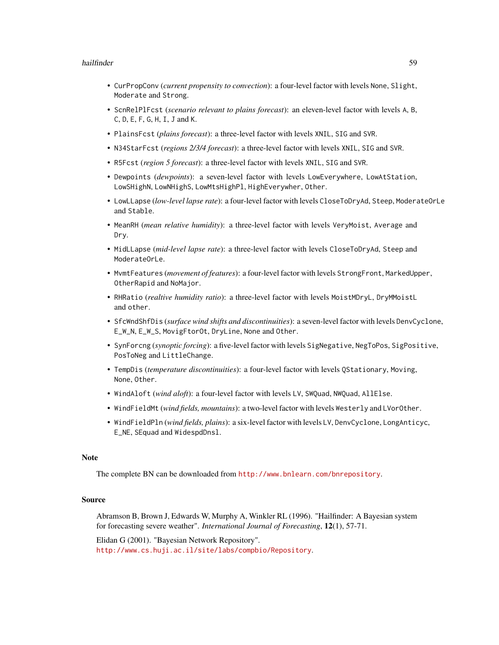#### hailfinder 59

- CurPropConv (*current propensity to convection*): a four-level factor with levels None, Slight, Moderate and Strong.
- ScnRelPlFcst (*scenario relevant to plains forecast*): an eleven-level factor with levels A, B, C, D, E, F, G, H, I, J and K.
- PlainsFcst (*plains forecast*): a three-level factor with levels XNIL, SIG and SVR.
- N34StarFcst (*regions 2/3/4 forecast*): a three-level factor with levels XNIL, SIG and SVR.
- R5Fcst (*region 5 forecast*): a three-level factor with levels XNIL, SIG and SVR.
- Dewpoints (*dewpoints*): a seven-level factor with levels LowEverywhere, LowAtStation, LowSHighN, LowNHighS, LowMtsHighPl, HighEverywher, Other.
- LowLLapse (*low-level lapse rate*): a four-level factor with levels CloseToDryAd, Steep, ModerateOrLe and Stable.
- MeanRH (*mean relative humidity*): a three-level factor with levels VeryMoist, Average and Dry.
- MidLLapse (*mid-level lapse rate*): a three-level factor with levels CloseToDryAd, Steep and ModerateOrLe.
- MvmtFeatures (*movement of features*): a four-level factor with levels StrongFront, MarkedUpper, OtherRapid and NoMajor.
- RHRatio (*realtive humidity ratio*): a three-level factor with levels MoistMDryL, DryMMoistL and other.
- SfcWndShfDis (*surface wind shifts and discontinuities*): a seven-level factor with levels DenvCyclone, E\_W\_N, E\_W\_S, MovigFtorOt, DryLine, None and Other.
- SynForcng (*synoptic forcing*): a five-level factor with levels SigNegative, NegToPos, SigPositive, PosToNeg and LittleChange.
- TempDis (*temperature discontinuities*): a four-level factor with levels QStationary, Moving, None, Other.
- WindAloft (*wind aloft*): a four-level factor with levels LV, SWQuad, NWQuad, AllElse.
- WindFieldMt (*wind fields, mountains*): a two-level factor with levels Westerly and LVorOther.
- WindFieldPln (*wind fields, plains*): a six-level factor with levels LV, DenvCyclone, LongAnticyc, E\_NE, SEquad and WidespdDnsl.

#### Note

The complete BN can be downloaded from <http://www.bnlearn.com/bnrepository>.

## Source

Abramson B, Brown J, Edwards W, Murphy A, Winkler RL (1996). "Hailfinder: A Bayesian system for forecasting severe weather". *International Journal of Forecasting*, 12(1), 57-71.

Elidan G (2001). "Bayesian Network Repository". <http://www.cs.huji.ac.il/site/labs/compbio/Repository>.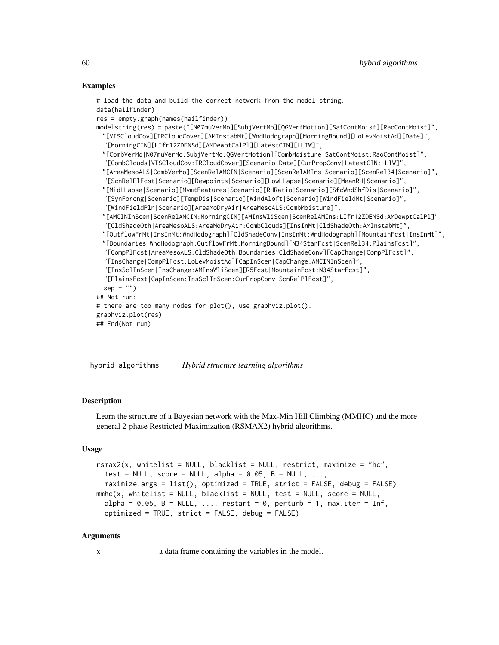#### Examples

```
# load the data and build the correct network from the model string.
data(hailfinder)
res = empty.graph(names(hailfinder))
modelstring(res) = paste("[N07muVerMo][SubjVertMo][QGVertMotion][SatContMoist][RaoContMoist]",
 "[VISCloudCov][IRCloudCover][AMInstabMt][WndHodograph][MorningBound][LoLevMoistAd][Date]",
  "[MorningCIN][LIfr12ZDENSd][AMDewptCalPl][LatestCIN][LLIW]",
 "[CombVerMo|N07muVerMo:SubjVertMo:QGVertMotion][CombMoisture|SatContMoist:RaoContMoist]",
  "[CombClouds|VISCloudCov:IRCloudCover][Scenario|Date][CurPropConv|LatestCIN:LLIW]",
 "[AreaMesoALS|CombVerMo][ScenRelAMCIN|Scenario][ScenRelAMIns|Scenario][ScenRel34|Scenario]",
  "[ScnRelPlFcst|Scenario][Dewpoints|Scenario][LowLLapse|Scenario][MeanRH|Scenario]",
 "[MidLLapse|Scenario][MvmtFeatures|Scenario][RHRatio|Scenario][SfcWndShfDis|Scenario]",
  "[SynForcng|Scenario][TempDis|Scenario][WindAloft|Scenario][WindFieldMt|Scenario]",
  "[WindFieldPln|Scenario][AreaMoDryAir|AreaMesoALS:CombMoisture]",
 "[AMCINInScen|ScenRelAMCIN:MorningCIN][AMInsWliScen|ScenRelAMIns:LIfr12ZDENSd:AMDewptCalPl]",
 "[CldShadeOth|AreaMesoALS:AreaMoDryAir:CombClouds][InsInMt|CldShadeOth:AMInstabMt]",
 "[OutflowFrMt|InsInMt:WndHodograph][CldShadeConv|InsInMt:WndHodograph][MountainFcst|InsInMt]",
 "[Boundaries|WndHodograph:OutflowFrMt:MorningBound][N34StarFcst|ScenRel34:PlainsFcst]",
  "[CompPlFcst|AreaMesoALS:CldShadeOth:Boundaries:CldShadeConv][CapChange|CompPlFcst]",
  "[InsChange|CompPlFcst:LoLevMoistAd][CapInScen|CapChange:AMCINInScen]",
  "[InsSclInScen|InsChange:AMInsWliScen][R5Fcst|MountainFcst:N34StarFcst]",
  "[PlainsFcst|CapInScen:InsSclInScen:CurPropConv:ScnRelPlFcst]",
  sep = "")## Not run:
# there are too many nodes for plot(), use graphviz.plot().
graphviz.plot(res)
## End(Not run)
```
<span id="page-59-0"></span>hybrid algorithms *Hybrid structure learning algorithms*

## Description

Learn the structure of a Bayesian network with the Max-Min Hill Climbing (MMHC) and the more general 2-phase Restricted Maximization (RSMAX2) hybrid algorithms.

#### Usage

```
rsmax2(x, whitelist = NULL, blacklist = NULL, restrict, maximize = "hc",
  test = NULL, score = NULL, alpha = 0.05, B = NULL, ...,
 maximize.args = list(), optimized = TRUE, strict = FALSE, debug = FALSE)
mmhc(x, whitelist = NULL, blacklist = NULL, test = NULL, score = NULL,
  alpha = 0.05, B = NULL, ..., restart = 0, perturb = 1, max.iter = Inf,
  optimized = TRUE, strict = FALSE, debug = FALSE)
```
## Arguments

x a data frame containing the variables in the model.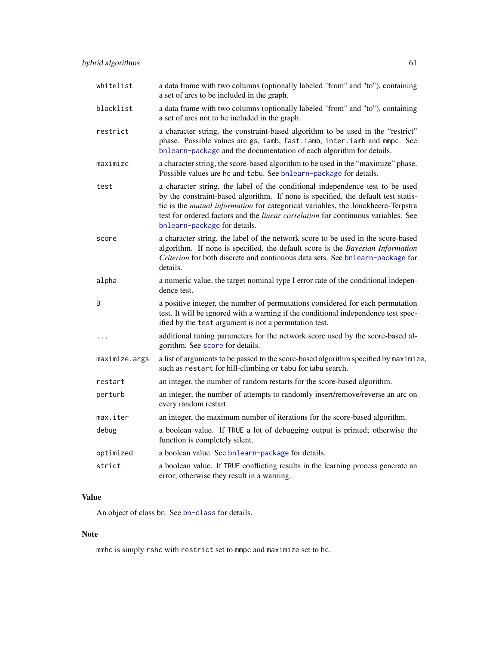| whitelist     | a data frame with two columns (optionally labeled "from" and "to"), containing<br>a set of arcs to be included in the graph.                                                                                                                                                                                                                                                       |
|---------------|------------------------------------------------------------------------------------------------------------------------------------------------------------------------------------------------------------------------------------------------------------------------------------------------------------------------------------------------------------------------------------|
| blacklist     | a data frame with two columns (optionally labeled "from" and "to"), containing<br>a set of arcs not to be included in the graph.                                                                                                                                                                                                                                                   |
| restrict      | a character string, the constraint-based algorithm to be used in the "restrict"<br>phase. Possible values are gs, iamb, fast.iamb, inter.iamb and mmpc. See<br>bnlearn-package and the documentation of each algorithm for details.                                                                                                                                                |
| maximize      | a character string, the score-based algorithm to be used in the "maximize" phase.<br>Possible values are hc and tabu. See bnlearn-package for details.                                                                                                                                                                                                                             |
| test          | a character string, the label of the conditional independence test to be used<br>by the constraint-based algorithm. If none is specified, the default test statis-<br>tic is the mutual information for categorical variables, the Jonckheere-Terpstra<br>test for ordered factors and the <i>linear correlation</i> for continuous variables. See<br>bnlearn-package for details. |
| score         | a character string, the label of the network score to be used in the score-based<br>algorithm. If none is specified, the default score is the Bayesian Information<br>Criterion for both discrete and continuous data sets. See bnlearn-package for<br>details.                                                                                                                    |
| alpha         | a numeric value, the target nominal type I error rate of the conditional indepen-<br>dence test.                                                                                                                                                                                                                                                                                   |
| B             | a positive integer, the number of permutations considered for each permutation<br>test. It will be ignored with a warning if the conditional independence test spec-<br>ified by the test argument is not a permutation test.                                                                                                                                                      |
| $\ddots$      | additional tuning parameters for the network score used by the score-based al-<br>gorithm. See score for details.                                                                                                                                                                                                                                                                  |
| maximize.args | a list of arguments to be passed to the score-based algorithm specified by maximize,<br>such as restart for hill-climbing or tabu for tabu search.                                                                                                                                                                                                                                 |
| restart       | an integer, the number of random restarts for the score-based algorithm.                                                                                                                                                                                                                                                                                                           |
| perturb       | an integer, the number of attempts to randomly insert/remove/reverse an arc on<br>every random restart.                                                                                                                                                                                                                                                                            |
| max.iter      | an integer, the maximum number of iterations for the score-based algorithm.                                                                                                                                                                                                                                                                                                        |
| debug         | a boolean value. If TRUE a lot of debugging output is printed; otherwise the<br>function is completely silent.                                                                                                                                                                                                                                                                     |
| optimized     | a boolean value. See bnlearn-package for details.                                                                                                                                                                                                                                                                                                                                  |
| strict        | a boolean value. If TRUE conflicting results in the learning process generate an<br>error; otherwise they result in a warning.                                                                                                                                                                                                                                                     |

# Value

An object of class bn. See [bn-class](#page-16-0) for details.

# Note

mmhc is simply rshc with restrict set to mmpc and maximize set to hc.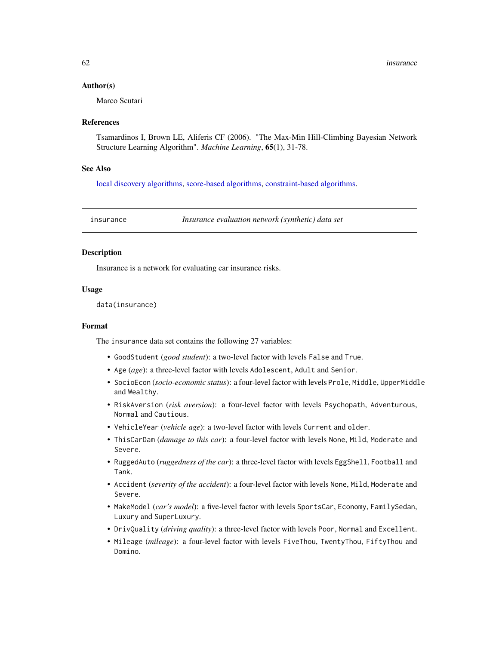## Author(s)

Marco Scutari

#### References

Tsamardinos I, Brown LE, Aliferis CF (2006). "The Max-Min Hill-Climbing Bayesian Network Structure Learning Algorithm". *Machine Learning*, 65(1), 31-78.

## See Also

[local discovery algorithms,](#page-65-0) [score-based algorithms,](#page-85-0) [constraint-based algorithms.](#page-38-0)

insurance *Insurance evaluation network (synthetic) data set*

#### **Description**

Insurance is a network for evaluating car insurance risks.

#### Usage

data(insurance)

#### Format

The insurance data set contains the following 27 variables:

- GoodStudent (*good student*): a two-level factor with levels False and True.
- Age (*age*): a three-level factor with levels Adolescent, Adult and Senior.
- SocioEcon (*socio-economic status*): a four-level factor with levels Prole, Middle, UpperMiddle and Wealthy.
- RiskAversion (*risk aversion*): a four-level factor with levels Psychopath, Adventurous, Normal and Cautious.
- VehicleYear (*vehicle age*): a two-level factor with levels Current and older.
- ThisCarDam (*damage to this car*): a four-level factor with levels None, Mild, Moderate and Severe.
- RuggedAuto (*ruggedness of the car*): a three-level factor with levels EggShell, Football and Tank.
- Accident (*severity of the accident*): a four-level factor with levels None, Mild, Moderate and Severe.
- MakeModel (*car's model*): a five-level factor with levels SportsCar, Economy, FamilySedan, Luxury and SuperLuxury.
- DrivQuality (*driving quality*): a three-level factor with levels Poor, Normal and Excellent.
- Mileage (*mileage*): a four-level factor with levels FiveThou, TwentyThou, FiftyThou and Domino.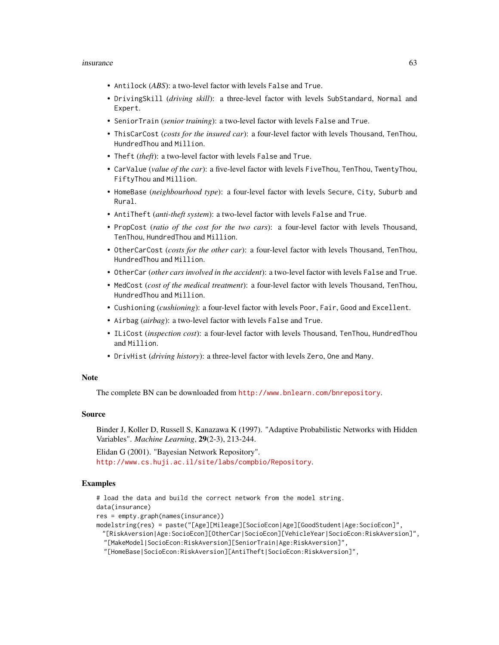#### insurance 63

- Antilock (*ABS*): a two-level factor with levels False and True.
- DrivingSkill (*driving skill*): a three-level factor with levels SubStandard, Normal and Expert.
- SeniorTrain (*senior training*): a two-level factor with levels False and True.
- ThisCarCost (*costs for the insured car*): a four-level factor with levels Thousand, TenThou, HundredThou and Million.
- Theft (*theft*): a two-level factor with levels False and True.
- CarValue (*value of the car*): a five-level factor with levels FiveThou, TenThou, TwentyThou, FiftyThou and Million.
- HomeBase (*neighbourhood type*): a four-level factor with levels Secure, City, Suburb and Rural.
- AntiTheft (*anti-theft system*): a two-level factor with levels False and True.
- PropCost (*ratio of the cost for the two cars*): a four-level factor with levels Thousand, TenThou, HundredThou and Million.
- OtherCarCost (*costs for the other car*): a four-level factor with levels Thousand, TenThou, HundredThou and Million.
- OtherCar (*other cars involved in the accident*): a two-level factor with levels False and True.
- MedCost (*cost of the medical treatment*): a four-level factor with levels Thousand, TenThou, HundredThou and Million.
- Cushioning (*cushioning*): a four-level factor with levels Poor, Fair, Good and Excellent.
- Airbag (*airbag*): a two-level factor with levels False and True.
- ILiCost (*inspection cost*): a four-level factor with levels Thousand, TenThou, HundredThou and Million.
- DrivHist (*driving history*): a three-level factor with levels Zero, One and Many.

## Note

The complete BN can be downloaded from <http://www.bnlearn.com/bnrepository>.

#### Source

Binder J, Koller D, Russell S, Kanazawa K (1997). "Adaptive Probabilistic Networks with Hidden Variables". *Machine Learning*, 29(2-3), 213-244.

Elidan G (2001). "Bayesian Network Repository". <http://www.cs.huji.ac.il/site/labs/compbio/Repository>.

## Examples

# load the data and build the correct network from the model string. data(insurance) res = empty.graph(names(insurance)) modelstring(res) = paste("[Age][Mileage][SocioEcon|Age][GoodStudent|Age:SocioEcon]", "[RiskAversion|Age:SocioEcon][OtherCar|SocioEcon][VehicleYear|SocioEcon:RiskAversion]", "[MakeModel|SocioEcon:RiskAversion][SeniorTrain|Age:RiskAversion]",

"[HomeBase|SocioEcon:RiskAversion][AntiTheft|SocioEcon:RiskAversion]",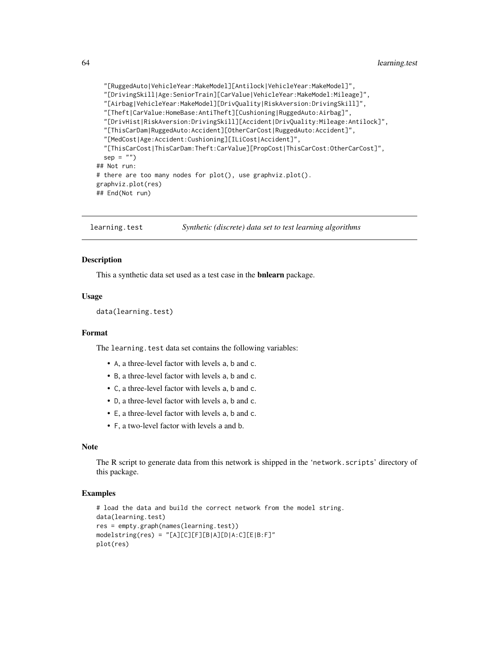```
"[RuggedAuto|VehicleYear:MakeModel][Antilock|VehicleYear:MakeModel]",
 "[DrivingSkill|Age:SeniorTrain][CarValue|VehicleYear:MakeModel:Mileage]",
 "[Airbag|VehicleYear:MakeModel][DrivQuality|RiskAversion:DrivingSkill]",
 "[Theft|CarValue:HomeBase:AntiTheft][Cushioning|RuggedAuto:Airbag]",
 "[DrivHist|RiskAversion:DrivingSkill][Accident|DrivQuality:Mileage:Antilock]",
 "[ThisCarDam|RuggedAuto:Accident][OtherCarCost|RuggedAuto:Accident]",
 "[MedCost|Age:Accident:Cushioning][ILiCost|Accident]",
 "[ThisCarCost|ThisCarDam:Theft:CarValue][PropCost|ThisCarCost:OtherCarCost]",
 sep = "")## Not run:
# there are too many nodes for plot(), use graphviz.plot().
graphviz.plot(res)
## End(Not run)
```
learning.test *Synthetic (discrete) data set to test learning algorithms*

## Description

This a synthetic data set used as a test case in the bnlearn package.

## Usage

```
data(learning.test)
```
## Format

The learning. test data set contains the following variables:

- A, a three-level factor with levels a, b and c.
- B, a three-level factor with levels a, b and c.
- C, a three-level factor with levels a, b and c.
- D, a three-level factor with levels a, b and c.
- E, a three-level factor with levels a, b and c.
- F, a two-level factor with levels a and b.

#### **Note**

The R script to generate data from this network is shipped in the 'network.scripts' directory of this package.

#### Examples

```
# load the data and build the correct network from the model string.
data(learning.test)
res = empty.graph(names(learning.test))
modelstring(res) = "[A][C][F][B|A][D|A:C][E|B:F]"
plot(res)
```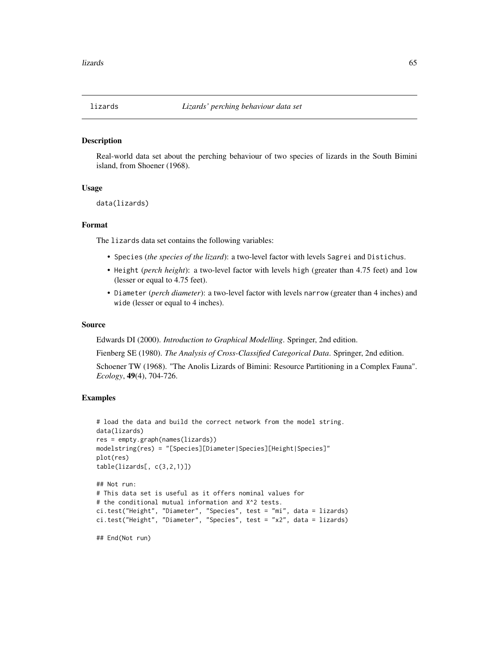#### Description

Real-world data set about the perching behaviour of two species of lizards in the South Bimini island, from Shoener (1968).

## Usage

data(lizards)

#### Format

The lizards data set contains the following variables:

- Species (*the species of the lizard*): a two-level factor with levels Sagrei and Distichus.
- Height (*perch height*): a two-level factor with levels high (greater than 4.75 feet) and low (lesser or equal to 4.75 feet).
- Diameter (*perch diameter*): a two-level factor with levels narrow (greater than 4 inches) and wide (lesser or equal to 4 inches).

#### Source

Edwards DI (2000). *Introduction to Graphical Modelling*. Springer, 2nd edition.

Fienberg SE (1980). *The Analysis of Cross-Classified Categorical Data*. Springer, 2nd edition. Schoener TW (1968). "The Anolis Lizards of Bimini: Resource Partitioning in a Complex Fauna".

*Ecology*, 49(4), 704-726.

#### Examples

```
# load the data and build the correct network from the model string.
data(lizards)
res = empty.graph(names(lizards))
modelstring(res) = "[Species][Diameter|Species][Height|Species]"
plot(res)
table(lizards[, c(3,2,1)])
## Not run:
# This data set is useful as it offers nominal values for
# the conditional mutual information and X^2 tests.
ci.test("Height", "Diameter", "Species", test = "mi", data = lizards)
ci.test("Height", "Diameter", "Species", test = "x2", data = lizards)
```
## End(Not run)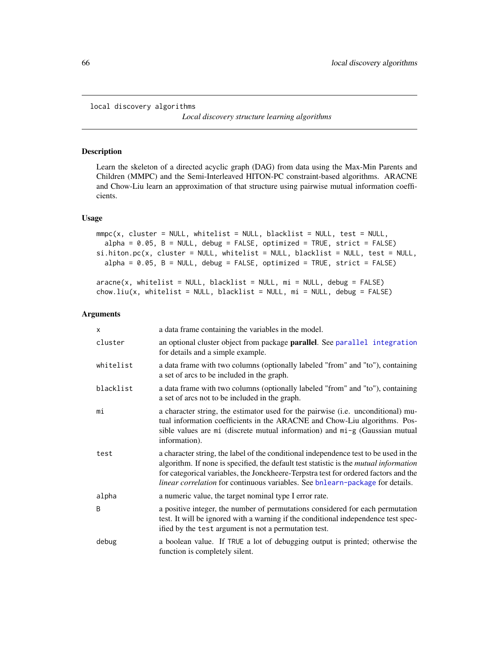<span id="page-65-0"></span>local discovery algorithms

*Local discovery structure learning algorithms*

#### Description

Learn the skeleton of a directed acyclic graph (DAG) from data using the Max-Min Parents and Children (MMPC) and the Semi-Interleaved HITON-PC constraint-based algorithms. ARACNE and Chow-Liu learn an approximation of that structure using pairwise mutual information coefficients.

## Usage

```
mmpc(x, cluster = NULL, whitelist = NULL, blacklist = NULL, test = NULL,alpha = 0.05, B = NULL, debug = FALSE, optimized = TRUE, strict = FALSE)
si.hiton.pc(x, cluster = NULL, whitelist = NULL, blacklist = NULL, test = NULL,
  alpha = 0.05, B = NULL, debug = FALSE, optimized = TRUE, strict = FALSE)
```

```
aracne(x, whitelist = NULL, blacklist = NULL, mi = NULL, debug = FALSE)chow.liu(x, whitelist = NULL, blacklist = NULL, mi = NULL, debug = FALSE)
```
## Arguments

| X         | a data frame containing the variables in the model.                                                                                                                                                                                                                                                                                                          |
|-----------|--------------------------------------------------------------------------------------------------------------------------------------------------------------------------------------------------------------------------------------------------------------------------------------------------------------------------------------------------------------|
| cluster   | an optional cluster object from package parallel. See parallel integration<br>for details and a simple example.                                                                                                                                                                                                                                              |
| whitelist | a data frame with two columns (optionally labeled "from" and "to"), containing<br>a set of arcs to be included in the graph.                                                                                                                                                                                                                                 |
| blacklist | a data frame with two columns (optionally labeled "from" and "to"), containing<br>a set of arcs not to be included in the graph.                                                                                                                                                                                                                             |
| mi        | a character string, the estimator used for the pairwise (i.e. unconditional) mu-<br>tual information coefficients in the ARACNE and Chow-Liu algorithms. Pos-<br>sible values are mi (discrete mutual information) and mi-g (Gaussian mutual<br>information).                                                                                                |
| test      | a character string, the label of the conditional independence test to be used in the<br>algorithm. If none is specified, the default test statistic is the mutual information<br>for categorical variables, the Jonckheere-Terpstra test for ordered factors and the<br><i>linear correlation</i> for continuous variables. See bnlearn-package for details. |
| alpha     | a numeric value, the target nominal type I error rate.                                                                                                                                                                                                                                                                                                       |
| B         | a positive integer, the number of permutations considered for each permutation<br>test. It will be ignored with a warning if the conditional independence test spec-<br>ified by the test argument is not a permutation test.                                                                                                                                |
| debug     | a boolean value. If TRUE a lot of debugging output is printed; otherwise the<br>function is completely silent.                                                                                                                                                                                                                                               |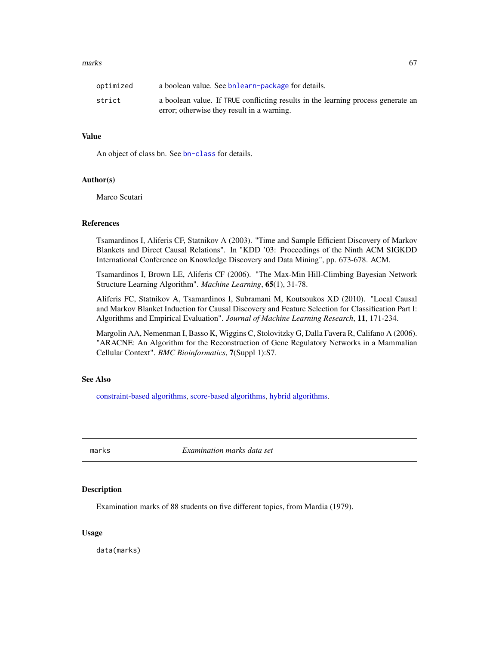#### $marks$  67

| optimized | a boolean value. See bnlearn-package for details.                                                                              |
|-----------|--------------------------------------------------------------------------------------------------------------------------------|
| strict    | a boolean value. If TRUE conflicting results in the learning process generate an<br>error; otherwise they result in a warning. |

## Value

An object of class bn. See [bn-class](#page-16-0) for details.

#### Author(s)

Marco Scutari

#### References

Tsamardinos I, Aliferis CF, Statnikov A (2003). "Time and Sample Efficient Discovery of Markov Blankets and Direct Causal Relations". In "KDD '03: Proceedings of the Ninth ACM SIGKDD International Conference on Knowledge Discovery and Data Mining", pp. 673-678. ACM.

Tsamardinos I, Brown LE, Aliferis CF (2006). "The Max-Min Hill-Climbing Bayesian Network Structure Learning Algorithm". *Machine Learning*, 65(1), 31-78.

Aliferis FC, Statnikov A, Tsamardinos I, Subramani M, Koutsoukos XD (2010). "Local Causal and Markov Blanket Induction for Causal Discovery and Feature Selection for Classification Part I: Algorithms and Empirical Evaluation". *Journal of Machine Learning Research*, 11, 171-234.

Margolin AA, Nemenman I, Basso K, Wiggins C, Stolovitzky G, Dalla Favera R, Califano A (2006). "ARACNE: An Algorithm for the Reconstruction of Gene Regulatory Networks in a Mammalian Cellular Context". *BMC Bioinformatics*, 7(Suppl 1):S7.

## See Also

[constraint-based algorithms,](#page-38-0) [score-based algorithms,](#page-85-0) [hybrid algorithms.](#page-59-0)

marks *Examination marks data set*

## **Description**

Examination marks of 88 students on five different topics, from Mardia (1979).

## Usage

data(marks)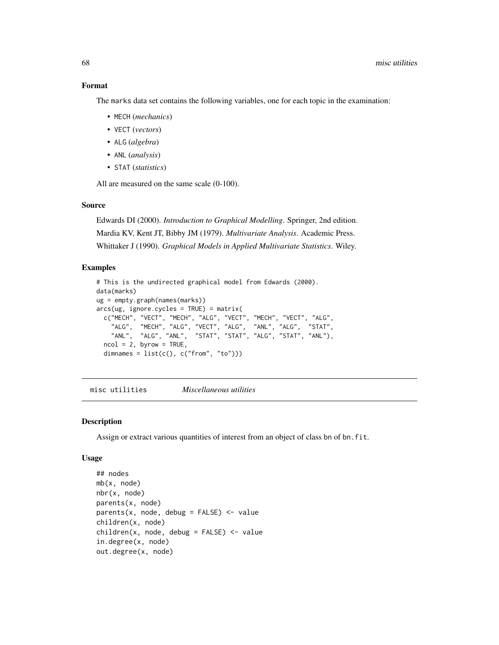## Format

The marks data set contains the following variables, one for each topic in the examination:

- MECH (*mechanics*)
- VECT (*vectors*)
- ALG (*algebra*)
- ANL (*analysis*)
- STAT (*statistics*)

All are measured on the same scale (0-100).

# Source

Edwards DI (2000). *Introduction to Graphical Modelling*. Springer, 2nd edition. Mardia KV, Kent JT, Bibby JM (1979). *Multivariate Analysis*. Academic Press. Whittaker J (1990). *Graphical Models in Applied Multivariate Statistics*. Wiley.

## Examples

```
# This is the undirected graphical model from Edwards (2000).
data(marks)
ug = empty.graph(names(marks))
arcs(ug, ignore.cycles = TRUE) = matrix(
  c("MECH", "VECT", "MECH", "ALG", "VECT", "MECH", "VECT", "ALG",
    "ALG", "MECH", "ALG", "VECT", "ALG", "ANL", "ALG", "STAT",
    "ANL", "ALG", "ANL", "STAT", "STAT", "ALG", "STAT", "ANL"),
  ncol = 2, byrow = TRUE,
  dimnames = list(c(), c("from", "to")))
```
misc utilities *Miscellaneous utilities*

# Description

Assign or extract various quantities of interest from an object of class bn of bn.fit.

#### Usage

```
## nodes
mb(x, node)
nbr(x, node)
parents(x, node)
parents(x, node, debug = FALSE) < - valuechildren(x, node)
children(x, node, debug = FALSE) <- value
in.degree(x, node)
out.degree(x, node)
```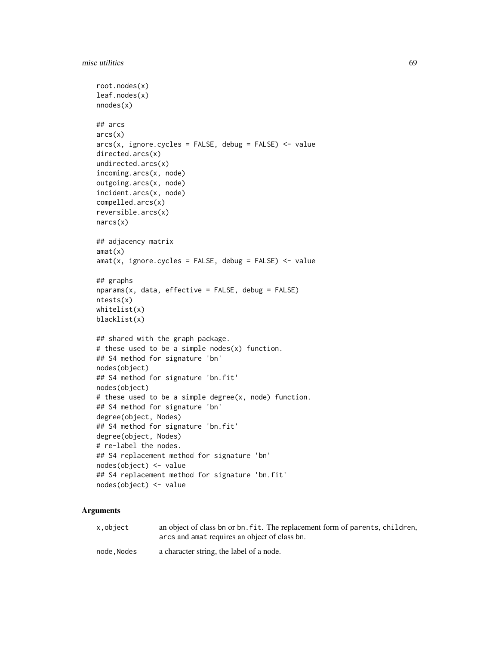```
root.nodes(x)
leaf.nodes(x)
nnodes(x)## arcs
arcs(x)
arcs(x, ignore.cycles = FALSE, debug = FALSE) <- value
directed.arcs(x)
undirected.arcs(x)
incoming.arcs(x, node)
outgoing.arcs(x, node)
incident.arcs(x, node)
compelled.arcs(x)
reversible.arcs(x)
narcs(x)
## adjacency matrix
amat(x)
amat(x, ignore.cycles = FALSE, debug = FALSE) <- value
## graphs
nparams(x, data, effective = FALSE, debug = FALSE)ntests(x)
whitelist(x)
blacklist(x)
## shared with the graph package.
# these used to be a simple nodes(x) function.
## S4 method for signature 'bn'
nodes(object)
## S4 method for signature 'bn.fit'
nodes(object)
# these used to be a simple degree(x, node) function.
## S4 method for signature 'bn'
degree(object, Nodes)
## S4 method for signature 'bn.fit'
degree(object, Nodes)
# re-label the nodes.
## S4 replacement method for signature 'bn'
nodes(object) <- value
## S4 replacement method for signature 'bn.fit'
nodes(object) <- value
```
# Arguments

| x.object | an object of class bn or bn. fit. The replacement form of parents, children, |
|----------|------------------------------------------------------------------------------|
|          | arcs and amat requires an object of class bn.                                |
|          |                                                                              |

node, Nodes a character string, the label of a node.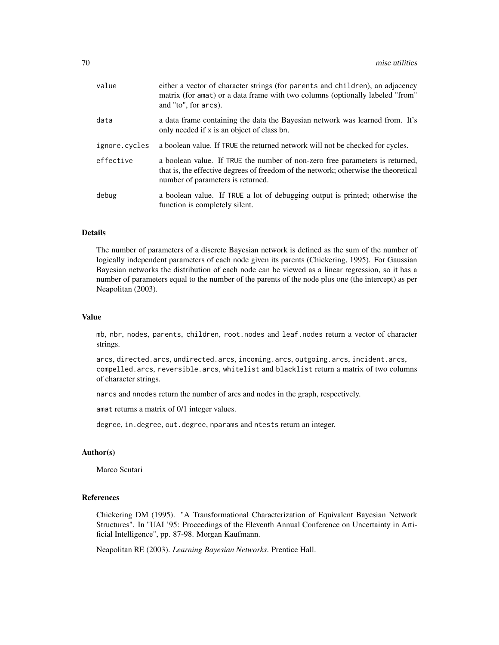| value         | either a vector of character strings (for parents and children), an adjacency<br>matrix (for amat) or a data frame with two columns (optionally labeled "from"<br>and "to", for arcs).                   |
|---------------|----------------------------------------------------------------------------------------------------------------------------------------------------------------------------------------------------------|
| data          | a data frame containing the data the Bayesian network was learned from. It's<br>only needed if x is an object of class bn.                                                                               |
| ignore.cycles | a boolean value. If TRUE the returned network will not be checked for cycles.                                                                                                                            |
| effective     | a boolean value. If TRUE the number of non-zero free parameters is returned,<br>that is, the effective degrees of freedom of the network; otherwise the theoretical<br>number of parameters is returned. |
| debug         | a boolean value. If TRUE a lot of debugging output is printed; otherwise the<br>function is completely silent.                                                                                           |

## Details

The number of parameters of a discrete Bayesian network is defined as the sum of the number of logically independent parameters of each node given its parents (Chickering, 1995). For Gaussian Bayesian networks the distribution of each node can be viewed as a linear regression, so it has a number of parameters equal to the number of the parents of the node plus one (the intercept) as per Neapolitan (2003).

## Value

mb, nbr, nodes, parents, children, root.nodes and leaf.nodes return a vector of character strings.

arcs, directed.arcs, undirected.arcs, incoming.arcs, outgoing.arcs, incident.arcs, compelled.arcs, reversible.arcs, whitelist and blacklist return a matrix of two columns of character strings.

narcs and nnodes return the number of arcs and nodes in the graph, respectively.

amat returns a matrix of 0/1 integer values.

degree, in.degree, out.degree, nparams and ntests return an integer.

# Author(s)

Marco Scutari

## References

Chickering DM (1995). "A Transformational Characterization of Equivalent Bayesian Network Structures". In "UAI '95: Proceedings of the Eleventh Annual Conference on Uncertainty in Artificial Intelligence", pp. 87-98. Morgan Kaufmann.

Neapolitan RE (2003). *Learning Bayesian Networks*. Prentice Hall.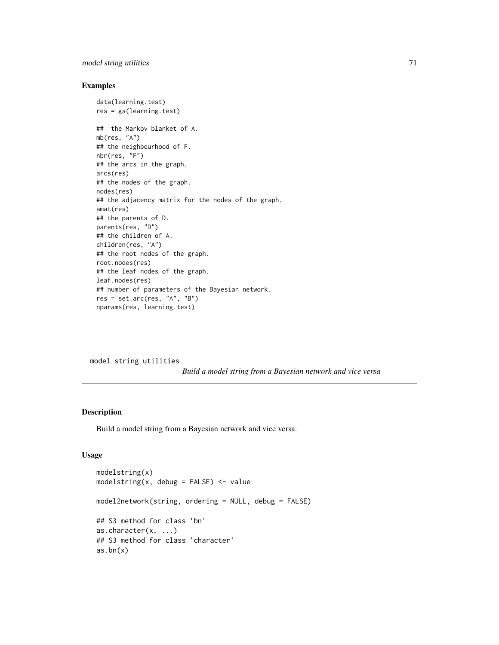# model string utilities 71

# Examples

```
data(learning.test)
res = gs(learning.test)
## the Markov blanket of A.
mb(res, "A")
## the neighbourhood of F.
nbr(res, "F")
## the arcs in the graph.
arcs(res)
## the nodes of the graph.
nodes(res)
## the adjacency matrix for the nodes of the graph.
amat(res)
## the parents of D.
parents(res, "D")
## the children of A.
children(res, "A")
## the root nodes of the graph.
root.nodes(res)
## the leaf nodes of the graph.
leaf.nodes(res)
## number of parameters of the Bayesian network.
res = set.archive, "A", "B")nparams(res, learning.test)
```
model string utilities

*Build a model string from a Bayesian network and vice versa*

# Description

Build a model string from a Bayesian network and vice versa.

## Usage

```
modelstring(x)
modelstring(x, debug = FALSE) <- value
model2network(string, ordering = NULL, debug = FALSE)
## S3 method for class 'bn'
as.character(x, ...)
## S3 method for class 'character'
as.bn(x)
```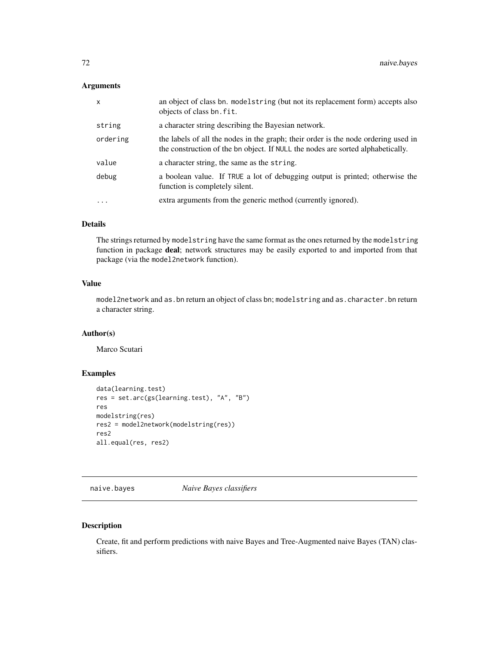# Arguments

| $\mathsf{x}$ | an object of class bn. modelstring (but not its replacement form) accepts also<br>objects of class bn. fit.                                                           |
|--------------|-----------------------------------------------------------------------------------------------------------------------------------------------------------------------|
| string       | a character string describing the Bayesian network.                                                                                                                   |
| ordering     | the labels of all the nodes in the graph; their order is the node ordering used in<br>the construction of the bn object. If NULL the nodes are sorted alphabetically. |
| value        | a character string, the same as the string.                                                                                                                           |
| debug        | a boolean value. If TRUE a lot of debugging output is printed; otherwise the<br>function is completely silent.                                                        |
| $\ddots$     | extra arguments from the generic method (currently ignored).                                                                                                          |
|              |                                                                                                                                                                       |

# Details

The strings returned by modelstring have the same format as the ones returned by the modelstring function in package deal; network structures may be easily exported to and imported from that package (via the model2network function).

# Value

model2network and as.bn return an object of class bn; modelstring and as.character.bn return a character string.

# Author(s)

Marco Scutari

# Examples

```
data(learning.test)
res = set.arc(gs(learning.test), "A", "B")
res
modelstring(res)
res2 = model2network(modelstring(res))
res2
all.equal(res, res2)
```
naive.bayes *Naive Bayes classifiers*

## Description

Create, fit and perform predictions with naive Bayes and Tree-Augmented naive Bayes (TAN) classifiers.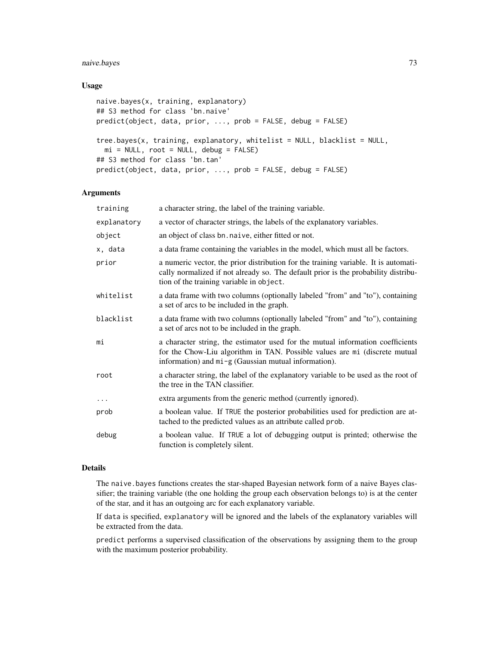# naive.bayes 73

# Usage

```
naive.bayes(x, training, explanatory)
## S3 method for class 'bn.naive'
predict(object, data, prior, ..., prob = FALSE, debug = FALSE)
tree.bayes(x, training, explanatory, whitelist = NULL, blacklist = NULL,
 mi = NULL, root = NULL, debug = FALSE)
## S3 method for class 'bn.tan'
predict(object, data, prior, ..., prob = FALSE, debug = FALSE)
```
# Arguments

| training    | a character string, the label of the training variable.                                                                                                                                                               |
|-------------|-----------------------------------------------------------------------------------------------------------------------------------------------------------------------------------------------------------------------|
| explanatory | a vector of character strings, the labels of the explanatory variables.                                                                                                                                               |
| object      | an object of class bn. naive, either fitted or not.                                                                                                                                                                   |
| x, data     | a data frame containing the variables in the model, which must all be factors.                                                                                                                                        |
| prior       | a numeric vector, the prior distribution for the training variable. It is automati-<br>cally normalized if not already so. The default prior is the probability distribu-<br>tion of the training variable in object. |
| whitelist   | a data frame with two columns (optionally labeled "from" and "to"), containing<br>a set of arcs to be included in the graph.                                                                                          |
| blacklist   | a data frame with two columns (optionally labeled "from" and "to"), containing<br>a set of arcs not to be included in the graph.                                                                                      |
| mi          | a character string, the estimator used for the mutual information coefficients<br>for the Chow-Liu algorithm in TAN. Possible values are mi (discrete mutual<br>information) and mi-g (Gaussian mutual information).  |
| root        | a character string, the label of the explanatory variable to be used as the root of<br>the tree in the TAN classifier.                                                                                                |
| $\ddots$    | extra arguments from the generic method (currently ignored).                                                                                                                                                          |
| prob        | a boolean value. If TRUE the posterior probabilities used for prediction are at-<br>tached to the predicted values as an attribute called prob.                                                                       |
| debug       | a boolean value. If TRUE a lot of debugging output is printed; otherwise the<br>function is completely silent.                                                                                                        |

# Details

The naive.bayes functions creates the star-shaped Bayesian network form of a naive Bayes classifier; the training variable (the one holding the group each observation belongs to) is at the center of the star, and it has an outgoing arc for each explanatory variable.

If data is specified, explanatory will be ignored and the labels of the explanatory variables will be extracted from the data.

predict performs a supervised classification of the observations by assigning them to the group with the maximum posterior probability.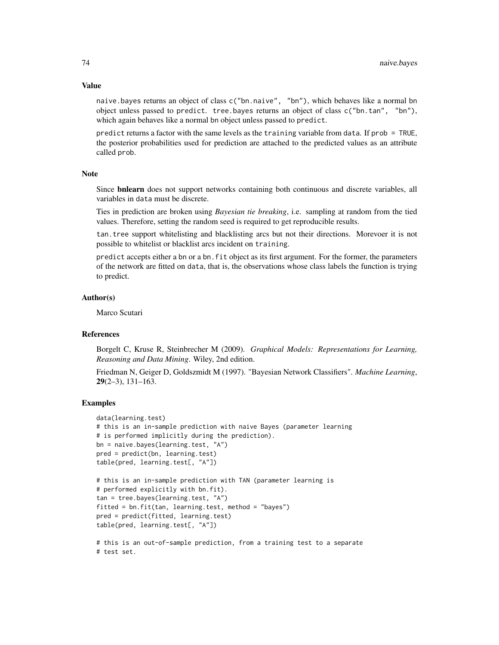naive.bayes returns an object of class c("bn.naive", "bn"), which behaves like a normal bn object unless passed to predict. tree.bayes returns an object of class c("bn.tan", "bn"), which again behaves like a normal bn object unless passed to predict.

predict returns a factor with the same levels as the training variable from data. If prob = TRUE, the posterior probabilities used for prediction are attached to the predicted values as an attribute called prob.

#### Note

Since bnlearn does not support networks containing both continuous and discrete variables, all variables in data must be discrete.

Ties in prediction are broken using *Bayesian tie breaking*, i.e. sampling at random from the tied values. Therefore, setting the random seed is required to get reproducible results.

tan.tree support whitelisting and blacklisting arcs but not their directions. Morevoer it is not possible to whitelist or blacklist arcs incident on training.

predict accepts either a bn or a bn.fit object as its first argument. For the former, the parameters of the network are fitted on data, that is, the observations whose class labels the function is trying to predict.

## Author(s)

Marco Scutari

# References

Borgelt C, Kruse R, Steinbrecher M (2009). *Graphical Models: Representations for Learning, Reasoning and Data Mining*. Wiley, 2nd edition.

Friedman N, Geiger D, Goldszmidt M (1997). "Bayesian Network Classifiers". *Machine Learning*,  $29(2-3)$ ,  $131-163$ .

### Examples

```
data(learning.test)
# this is an in-sample prediction with naive Bayes (parameter learning
# is performed implicitly during the prediction).
bn = naive.bayes(learning.test, "A")
pred = predict(bn, learning.test)
table(pred, learning.test[, "A"])
# this is an in-sample prediction with TAN (parameter learning is
```

```
# performed explicitly with bn.fit).
tan = tree.bayes(learning.test, "A")
fitted = bn.fit(tan, learning.test, method = "bayes")
pred = predict(fitted, learning.test)
table(pred, learning.test[, "A"])
# this is an out-of-sample prediction, from a training test to a separate
```
# test set.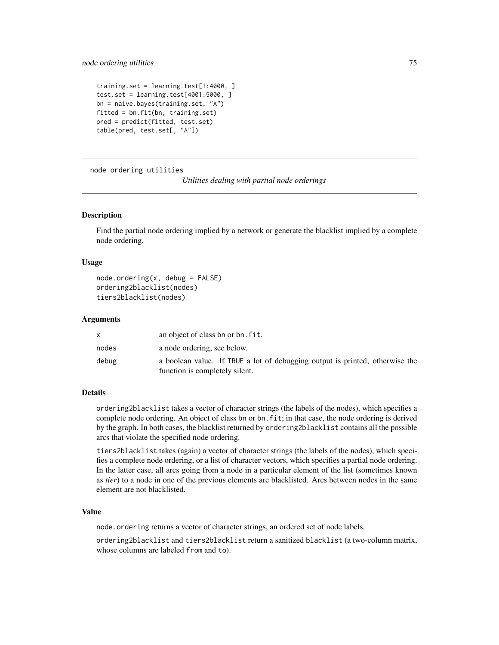```
training.set = learning.test[1:4000, ]
test.set = learning.test[4001:5000, ]
bn = naive.bayes(training.set, "A")
fitted = bn.fit(bn, training.set)
pred = predict(fitted, test.set)
table(pred, test.set[, "A"])
```
node ordering utilities

```
Utilities dealing with partial node orderings
```
# Description

Find the partial node ordering implied by a network or generate the blacklist implied by a complete node ordering.

#### Usage

```
node.ordering(x, debug = FALSE)ordering2blacklist(nodes)
tiers2blacklist(nodes)
```
#### Arguments

|       | an object of class bn or bn. fit.                                                                              |
|-------|----------------------------------------------------------------------------------------------------------------|
| nodes | a node ordering, see below.                                                                                    |
| debug | a boolean value. If TRUE a lot of debugging output is printed; otherwise the<br>function is completely silent. |

# Details

ordering2blacklist takes a vector of character strings (the labels of the nodes), which specifies a complete node ordering. An object of class bn or bn. fit; in that case, the node ordering is derived by the graph. In both cases, the blacklist returned by ordering2blacklist contains all the possible arcs that violate the specified node ordering.

tiers2blacklist takes (again) a vector of character strings (the labels of the nodes), which specifies a complete node ordering, or a list of character vectors, which specifies a partial node ordering. In the latter case, all arcs going from a node in a particular element of the list (sometimes known as *tier*) to a node in one of the previous elements are blacklisted. Arcs between nodes in the same element are not blacklisted.

#### Value

node.ordering returns a vector of character strings, an ordered set of node labels.

ordering2blacklist and tiers2blacklist return a sanitized blacklist (a two-column matrix, whose columns are labeled from and to).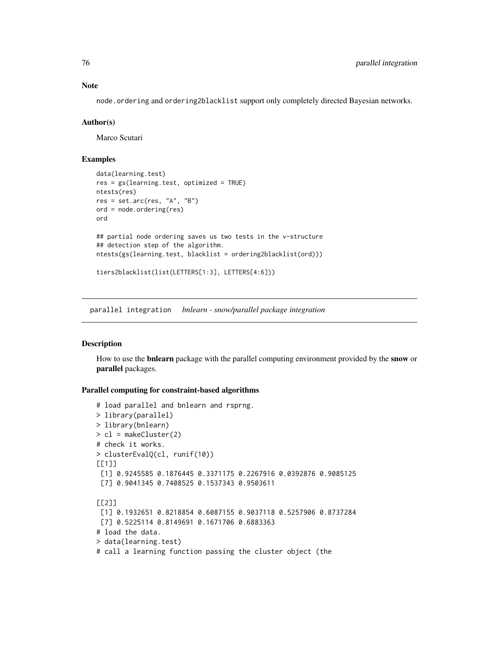Note

node.ordering and ordering2blacklist support only completely directed Bayesian networks.

# Author(s)

Marco Scutari

# Examples

```
data(learning.test)
res = gs(learning.test, optimized = TRUE)
ntests(res)
res = set.archive, "A", "B")ord = node.ordering(res)
ord
## partial node ordering saves us two tests in the v-structure
## detection step of the algorithm.
ntests(gs(learning.test, blacklist = ordering2blacklist(ord)))
tiers2blacklist(list(LETTERS[1:3], LETTERS[4:6]))
```
parallel integration *bnlearn - snow/parallel package integration*

## Description

How to use the **bnlearn** package with the parallel computing environment provided by the **snow** or parallel packages.

# Parallel computing for constraint-based algorithms

```
# load parallel and bnlearn and rsprng.
> library(parallel)
> library(bnlearn)
> cl = makeCluster(2)
# check it works.
> clusterEvalQ(cl, runif(10))
[[1]]
[1] 0.9245585 0.1876445 0.3371175 0.2267916 0.0392876 0.9085125
 [7] 0.9041345 0.7408525 0.1537343 0.9503611
[[2]]
[1] 0.1932651 0.8218854 0.6087155 0.9037118 0.5257906 0.8737284
[7] 0.5225114 0.8149691 0.1671706 0.6883363
# load the data.
> data(learning.test)
# call a learning function passing the cluster object (the
```
<span id="page-75-0"></span>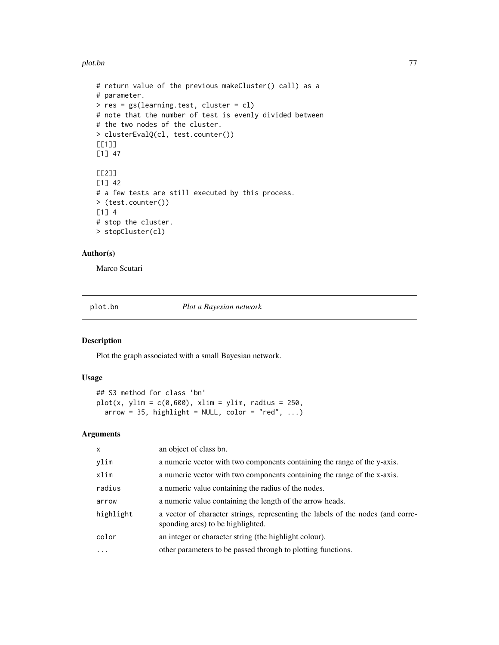<span id="page-76-0"></span>plot.bn 77

```
# return value of the previous makeCluster() call) as a
# parameter.
> res = gs(learning.test, cluster = cl)
# note that the number of test is evenly divided between
# the two nodes of the cluster.
> clusterEvalQ(cl, test.counter())
[[1]]
[1] 47
[[2]]
[1] 42
# a few tests are still executed by this process.
> (test.counter())
[1] 4
# stop the cluster.
> stopCluster(cl)
```
# Author(s)

Marco Scutari

plot.bn *Plot a Bayesian network*

# Description

Plot the graph associated with a small Bayesian network.

# Usage

```
## S3 method for class 'bn'
plot(x, ylim = c(0, 600), xlim = ylim, radius = 250,arrow = 35, highlight = NULL, color = "red", ...)
```

| $\mathsf{x}$ | an object of class bn.                                                                                               |
|--------------|----------------------------------------------------------------------------------------------------------------------|
| ylim         | a numeric vector with two components containing the range of the y-axis.                                             |
| xlim         | a numeric vector with two components containing the range of the x-axis.                                             |
| radius       | a numeric value containing the radius of the nodes.                                                                  |
| arrow        | a numeric value containing the length of the arrow heads.                                                            |
| highlight    | a vector of character strings, representing the labels of the nodes (and corre-<br>sponding arcs) to be highlighted. |
| color        | an integer or character string (the highlight colour).                                                               |
| .            | other parameters to be passed through to plotting functions.                                                         |
|              |                                                                                                                      |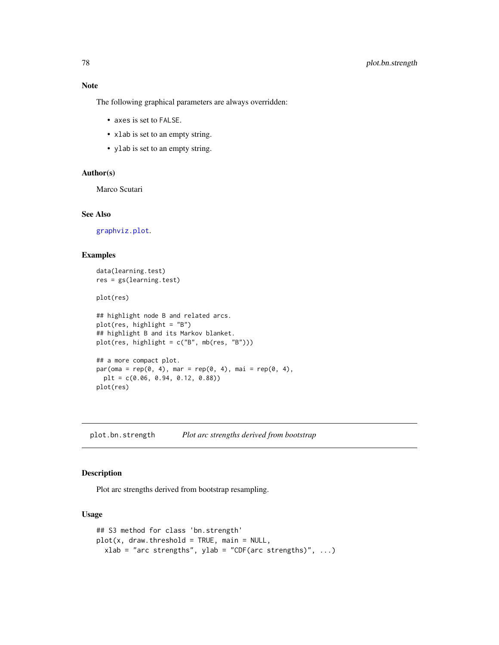<span id="page-77-0"></span>Note

The following graphical parameters are always overridden:

- axes is set to FALSE.
- xlab is set to an empty string.
- ylab is set to an empty string.

# Author(s)

Marco Scutari

# See Also

[graphviz.plot](#page-54-0).

# Examples

```
data(learning.test)
res = gs(learning.test)
plot(res)
## highlight node B and related arcs.
plot(res, highlight = "B")
## highlight B and its Markov blanket.
plot(res, highlight = c("B", mb(res, "B")))
## a more compact plot.
par(\text{oma} = rep(0, 4), mar = rep(0, 4), mai = rep(0, 4),plt = c(0.06, 0.94, 0.12, 0.88))
plot(res)
```
plot.bn.strength *Plot arc strengths derived from bootstrap*

### Description

Plot arc strengths derived from bootstrap resampling.

### Usage

```
## S3 method for class 'bn.strength'
plot(x, draw.threshold = TRUE, main = NULL,xlab = "arc strengths", ylab = "CDF(arc strengths)", ...)
```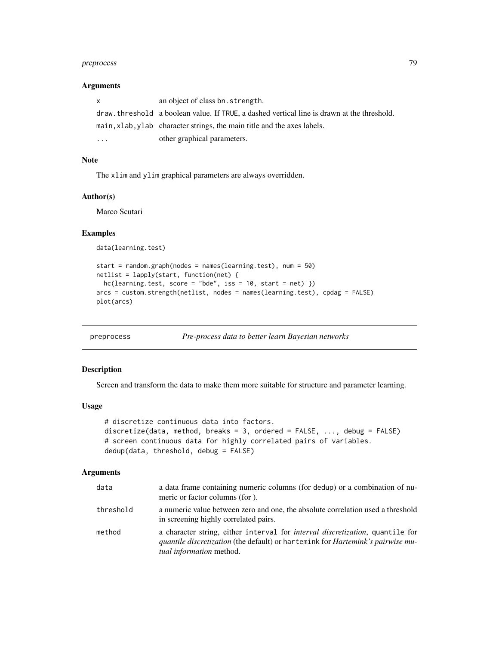# <span id="page-78-0"></span>preprocess 79

# Arguments

| X | an object of class bn. strength.                                                            |
|---|---------------------------------------------------------------------------------------------|
|   | draw, threshold a boolean value. If TRUE, a dashed vertical line is drawn at the threshold. |
|   | main, xlab, ylab character strings, the main title and the axes labels.                     |
| . | other graphical parameters.                                                                 |

# Note

The xlim and ylim graphical parameters are always overridden.

# Author(s)

Marco Scutari

# Examples

data(learning.test)

```
start = random.graph(nodes = names(learning.test), num = 50)
netlist = lapply(start, function(net) {
 hc(learning.test, score = "bde", iss = 10, start = net)}
arcs = custom.strength(netlist, nodes = names(learning.test), cpdag = FALSE)
plot(arcs)
```
preprocess *Pre-process data to better learn Bayesian networks*

#### Description

Screen and transform the data to make them more suitable for structure and parameter learning.

#### Usage

```
# discretize continuous data into factors.
discretize(data, method, breaks = 3, ordered = FALSE, ..., debug = FALSE)# screen continuous data for highly correlated pairs of variables.
dedup(data, threshold, debug = FALSE)
```

| data      | a data frame containing numeric columns (for dedup) or a combination of nu-<br>meric or factor columns (for).                                                                                                      |
|-----------|--------------------------------------------------------------------------------------------------------------------------------------------------------------------------------------------------------------------|
| threshold | a numeric value between zero and one, the absolute correlation used a threshold<br>in screening highly correlated pairs.                                                                                           |
| method    | a character string, either interval for <i>interval discretization</i> , quantile for<br><i>quantile discretization</i> (the default) or hartemink for <i>Hartemink's pairwise mu-</i><br>tual information method. |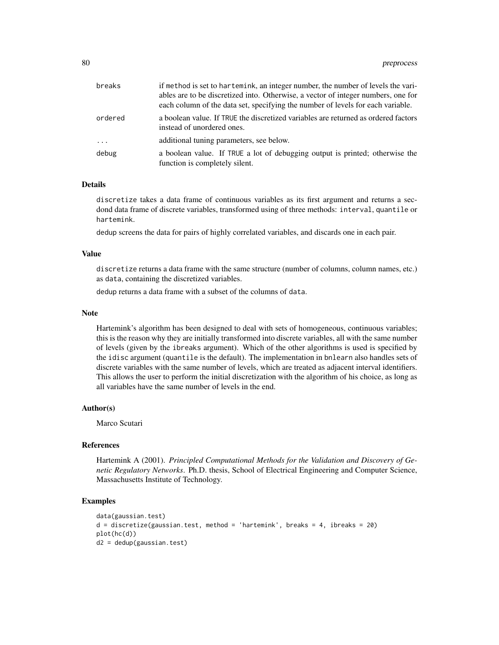| breaks    | if method is set to hartemink, an integer number, the number of levels the vari-<br>ables are to be discretized into. Otherwise, a vector of integer numbers, one for<br>each column of the data set, specifying the number of levels for each variable. |
|-----------|----------------------------------------------------------------------------------------------------------------------------------------------------------------------------------------------------------------------------------------------------------|
| ordered   | a boolean value. If TRUE the discretized variables are returned as ordered factors<br>instead of unordered ones.                                                                                                                                         |
| $\ddotsc$ | additional tuning parameters, see below.                                                                                                                                                                                                                 |
| debug     | a boolean value. If TRUE a lot of debugging output is printed; otherwise the<br>function is completely silent.                                                                                                                                           |

# Details

discretize takes a data frame of continuous variables as its first argument and returns a secdond data frame of discrete variables, transformed using of three methods: interval, quantile or hartemink.

dedup screens the data for pairs of highly correlated variables, and discards one in each pair.

#### Value

discretize returns a data frame with the same structure (number of columns, column names, etc.) as data, containing the discretized variables.

dedup returns a data frame with a subset of the columns of data.

#### Note

Hartemink's algorithm has been designed to deal with sets of homogeneous, continuous variables; this is the reason why they are initially transformed into discrete variables, all with the same number of levels (given by the ibreaks argument). Which of the other algorithms is used is specified by the idisc argument (quantile is the default). The implementation in bnlearn also handles sets of discrete variables with the same number of levels, which are treated as adjacent interval identifiers. This allows the user to perform the initial discretization with the algorithm of his choice, as long as all variables have the same number of levels in the end.

#### Author(s)

Marco Scutari

#### References

Hartemink A (2001). *Principled Computational Methods for the Validation and Discovery of Genetic Regulatory Networks*. Ph.D. thesis, School of Electrical Engineering and Computer Science, Massachusetts Institute of Technology.

# Examples

```
data(gaussian.test)
d = discretize(gaussian.test, method = 'hartemink', breaks = 4, ibreaks = 20)
plot(hc(d))
d2 = dedup(gaussian.test)
```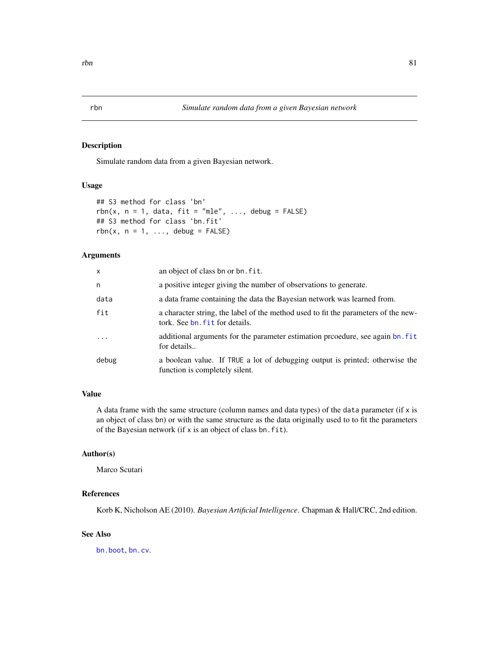# Description

Simulate random data from a given Bayesian network.

# Usage

```
## S3 method for class 'bn'
rbn(x, n = 1, data, fit = "mle", ..., debug = FALSE)
## S3 method for class 'bn.fit'
rbn(x, n = 1, \ldots, debug = FALSE)
```
# Arguments

| X        | an object of class bn or bn. fit.                                                                                    |
|----------|----------------------------------------------------------------------------------------------------------------------|
| n        | a positive integer giving the number of observations to generate.                                                    |
| data     | a data frame containing the data the Bayesian network was learned from.                                              |
| fit      | a character string, the label of the method used to fit the parameters of the new-<br>tork. See bn, fit for details. |
| $\ddots$ | additional arguments for the parameter estimation procedure, see again bn. fit<br>for details                        |
| debug    | a boolean value. If TRUE a lot of debugging output is printed; otherwise the<br>function is completely silent.       |

# Value

A data frame with the same structure (column names and data types) of the data parameter (if  $x$  is an object of class bn) or with the same structure as the data originally used to to fit the parameters of the Bayesian network (if x is an object of class bn.fit).

# Author(s)

Marco Scutari

#### References

Korb K, Nicholson AE (2010). *Bayesian Artificial Intelligence*. Chapman & Hall/CRC, 2nd edition.

# See Also

[bn.boot](#page-17-0), [bn.cv](#page-19-0).

<span id="page-80-0"></span>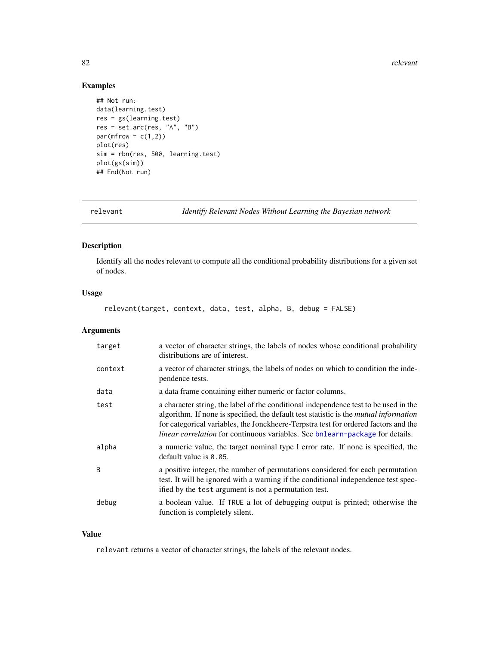#### <span id="page-81-0"></span>82 relevant

# Examples

```
## Not run:
data(learning.test)
res = gs(learning.test)
res = set.arc(res, "A", "B")
par(mfrow = c(1,2))plot(res)
sim = rbn(res, 500, learning.test)
plot(gs(sim))
## End(Not run)
```
relevant *Identify Relevant Nodes Without Learning the Bayesian network*

# Description

Identify all the nodes relevant to compute all the conditional probability distributions for a given set of nodes.

# Usage

relevant(target, context, data, test, alpha, B, debug = FALSE)

# Arguments

| target  | a vector of character strings, the labels of nodes whose conditional probability<br>distributions are of interest.                                                                                                                                                                                                                                                  |
|---------|---------------------------------------------------------------------------------------------------------------------------------------------------------------------------------------------------------------------------------------------------------------------------------------------------------------------------------------------------------------------|
| context | a vector of character strings, the labels of nodes on which to condition the inde-<br>pendence tests.                                                                                                                                                                                                                                                               |
| data    | a data frame containing either numeric or factor columns.                                                                                                                                                                                                                                                                                                           |
| test    | a character string, the label of the conditional independence test to be used in the<br>algorithm. If none is specified, the default test statistic is the <i>mutual information</i><br>for categorical variables, the Jonckheere-Terpstra test for ordered factors and the<br><i>linear correlation</i> for continuous variables. See bnlearn-package for details. |
| alpha   | a numeric value, the target nominal type I error rate. If none is specified, the<br>default value is $0.05$ .                                                                                                                                                                                                                                                       |
| B       | a positive integer, the number of permutations considered for each permutation<br>test. It will be ignored with a warning if the conditional independence test spec-<br>ified by the test argument is not a permutation test.                                                                                                                                       |
| debug   | a boolean value. If TRUE a lot of debugging output is printed; otherwise the<br>function is completely silent.                                                                                                                                                                                                                                                      |

# Value

relevant returns a vector of character strings, the labels of the relevant nodes.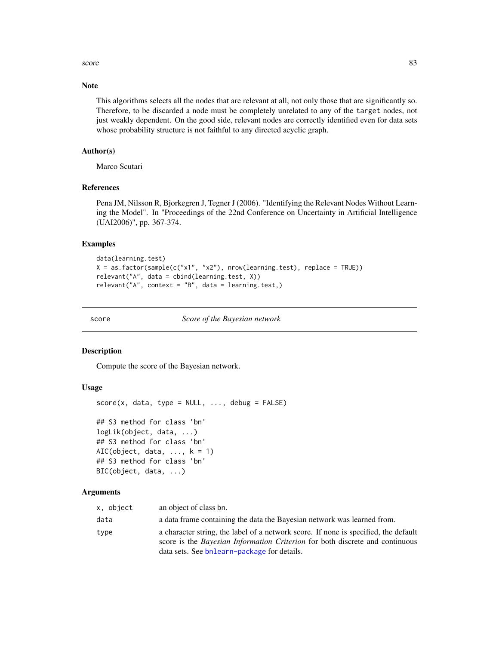<span id="page-82-1"></span>score and the set of the set of the set of the set of the set of the set of the set of the set of the set of the set of the set of the set of the set of the set of the set of the set of the set of the set of the set of the

# Note

This algorithms selects all the nodes that are relevant at all, not only those that are significantly so. Therefore, to be discarded a node must be completely unrelated to any of the target nodes, not just weakly dependent. On the good side, relevant nodes are correctly identified even for data sets whose probability structure is not faithful to any directed acyclic graph.

# Author(s)

Marco Scutari

# References

Pena JM, Nilsson R, Bjorkegren J, Tegner J (2006). "Identifying the Relevant Nodes Without Learning the Model". In "Proceedings of the 22nd Conference on Uncertainty in Artificial Intelligence (UAI2006)", pp. 367-374.

#### Examples

```
data(learning.test)
X = as.factor(sample(c("x1", "x2"), nrow(learning.test), replace = TRUE))
relevant("A", data = cbind(learning.test, X))
relevant("A", context = "B", data = learning.test.)
```
<span id="page-82-0"></span>score *Score of the Bayesian network*

#### Description

Compute the score of the Bayesian network.

# Usage

```
score(x, data, type = NULL, ..., delay = FALSE)## S3 method for class 'bn'
logLik(object, data, ...)
## S3 method for class 'bn'
AIC(object, data, \dots, k = 1)
## S3 method for class 'bn'
```

```
BIC(object, data, ...)
```

| x, object | an object of class bn.                                                                                                                                                                                                    |
|-----------|---------------------------------------------------------------------------------------------------------------------------------------------------------------------------------------------------------------------------|
| data      | a data frame containing the data the Bayesian network was learned from.                                                                                                                                                   |
| type      | a character string, the label of a network score. If none is specified, the default<br>score is the <i>Bayesian Information Criterion</i> for both discrete and continuous<br>data sets. See bnlearn-package for details. |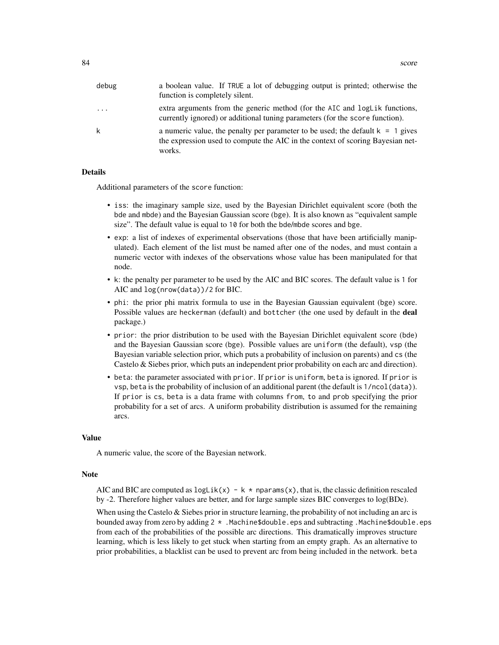| debug | a boolean value. If TRUE a lot of debugging output is printed; otherwise the<br>function is completely silent.                                                               |
|-------|------------------------------------------------------------------------------------------------------------------------------------------------------------------------------|
| .     | extra arguments from the generic method (for the AIC and logLik functions,<br>currently ignored) or additional tuning parameters (for the score function).                   |
| k     | a numeric value, the penalty per parameter to be used; the default $k = 1$ gives<br>the expression used to compute the AIC in the context of scoring Bayesian net-<br>works. |

#### Details

Additional parameters of the score function:

- iss: the imaginary sample size, used by the Bayesian Dirichlet equivalent score (both the bde and mbde) and the Bayesian Gaussian score (bge). It is also known as "equivalent sample size". The default value is equal to 10 for both the bde/mbde scores and bge.
- exp: a list of indexes of experimental observations (those that have been artificially manipulated). Each element of the list must be named after one of the nodes, and must contain a numeric vector with indexes of the observations whose value has been manipulated for that node.
- k: the penalty per parameter to be used by the AIC and BIC scores. The default value is 1 for AIC and log(nrow(data))/2 for BIC.
- phi: the prior phi matrix formula to use in the Bayesian Gaussian equivalent (bge) score. Possible values are heckerman (default) and bottcher (the one used by default in the deal package.)
- prior: the prior distribution to be used with the Bayesian Dirichlet equivalent score (bde) and the Bayesian Gaussian score (bge). Possible values are uniform (the default), vsp (the Bayesian variable selection prior, which puts a probability of inclusion on parents) and cs (the Castelo & Siebes prior, which puts an independent prior probability on each arc and direction).
- beta: the parameter associated with prior. If prior is uniform, beta is ignored. If prior is vsp, beta is the probability of inclusion of an additional parent (the default is 1/ncol(data)). If prior is cs, beta is a data frame with columns from, to and prob specifying the prior probability for a set of arcs. A uniform probability distribution is assumed for the remaining arcs.

#### Value

A numeric value, the score of the Bayesian network.

#### Note

AIC and BIC are computed as  $logLik(x) - k * nparams(x)$ , that is, the classic definition rescaled by -2. Therefore higher values are better, and for large sample sizes BIC converges to log(BDe).

When using the Castelo  $&$  Siebes prior in structure learning, the probability of not including an arc is bounded away from zero by adding 2 \* .Machine\$double.eps and subtracting .Machine\$double.eps from each of the probabilities of the possible arc directions. This dramatically improves structure learning, which is less likely to get stuck when starting from an empty graph. As an alternative to prior probabilities, a blacklist can be used to prevent arc from being included in the network. beta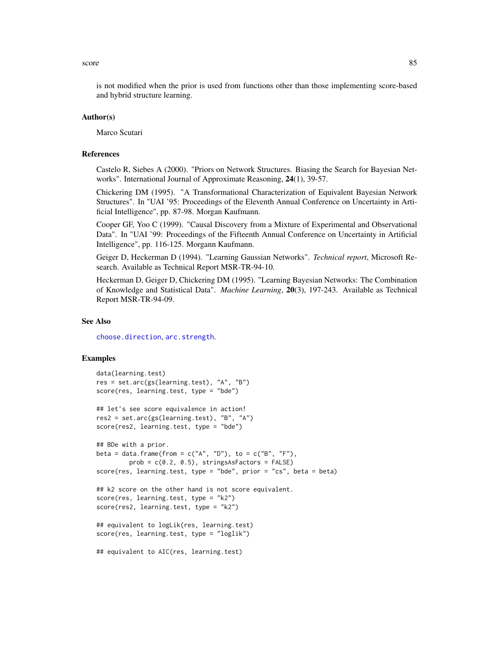#### <span id="page-84-0"></span>score and the set of the set of the set of the set of the set of the set of the set of the set of the set of the set of the set of the set of the set of the set of the set of the set of the set of the set of the set of the

is not modified when the prior is used from functions other than those implementing score-based and hybrid structure learning.

## Author(s)

Marco Scutari

#### References

Castelo R, Siebes A (2000). "Priors on Network Structures. Biasing the Search for Bayesian Networks". International Journal of Approximate Reasoning, 24(1), 39-57.

Chickering DM (1995). "A Transformational Characterization of Equivalent Bayesian Network Structures". In "UAI '95: Proceedings of the Eleventh Annual Conference on Uncertainty in Artificial Intelligence", pp. 87-98. Morgan Kaufmann.

Cooper GF, Yoo C (1999). "Causal Discovery from a Mixture of Experimental and Observational Data". In "UAI '99: Proceedings of the Fifteenth Annual Conference on Uncertainty in Artificial Intelligence", pp. 116-125. Morgann Kaufmann.

Geiger D, Heckerman D (1994). "Learning Gaussian Networks". *Technical report*, Microsoft Research. Available as Technical Report MSR-TR-94-10.

Heckerman D, Geiger D, Chickering DM (1995). "Learning Bayesian Networks: The Combination of Knowledge and Statistical Data". *Machine Learning*, 20(3), 197-243. Available as Technical Report MSR-TR-94-09.

# See Also

[choose.direction](#page-32-0), [arc.strength](#page-12-0).

# Examples

```
data(learning.test)
res = set.arc(gs(learning.test), "A", "B")
score(res, learning.test, type = "bde")
## let's see score equivalence in action!
res2 = set.arc(gs(learning.test), "B", "A")
score(res2, learning.test, type = "bde")
## BDe with a prior.
beta = data.frame(from = c("A", "D"), to = c("B", "F"),
         prob = c(0.2, 0.5), stringsAsFactors = FALSE)
score(res, learning.test, type = "bde", prior = "cs", beta = beta)
## k2 score on the other hand is not score equivalent.
score(res, learning.test, type = "k2")
score(res2, learning.test, type = "k2")
## equivalent to logLik(res, learning.test)
score(res, learning.test, type = "loglik")
## equivalent to AIC(res, learning.test)
```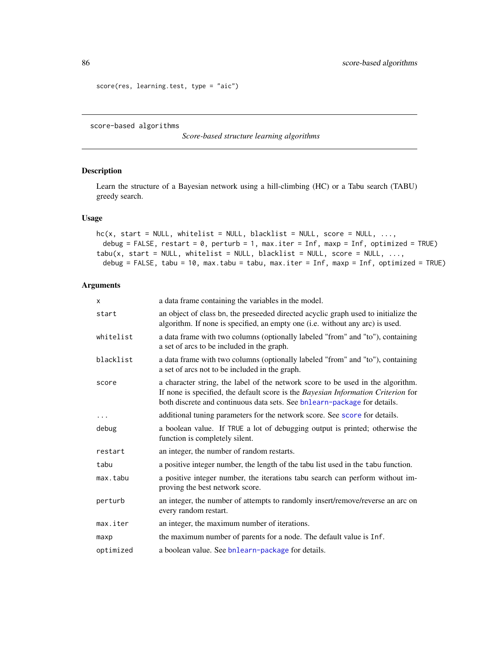```
score(res, learning.test, type = "aic")
```
score-based algorithms

*Score-based structure learning algorithms*

# Description

Learn the structure of a Bayesian network using a hill-climbing (HC) or a Tabu search (TABU) greedy search.

# Usage

```
hc(x, start = NULL, whitelist = NULL, blacklist = NULL, score = NULL, ...debug = FALSE, restart = 0, perturb = 1, max.iter = Inf, maxp = Inf, optimized = TRUE)
tabu(x, start = NULL, whitelist = NULL, blacklist = NULL, score = NULL, ...,
 debug = FALSE, tabu = 10, max.tabu = tabu, max.iter = Inf, maxp = Inf, optimized = TRUE)
```

| X         | a data frame containing the variables in the model.                                                                                                                                                                                              |
|-----------|--------------------------------------------------------------------------------------------------------------------------------------------------------------------------------------------------------------------------------------------------|
| start     | an object of class bn, the preseeded directed acyclic graph used to initialize the<br>algorithm. If none is specified, an empty one (i.e. without any arc) is used.                                                                              |
| whitelist | a data frame with two columns (optionally labeled "from" and "to"), containing<br>a set of arcs to be included in the graph.                                                                                                                     |
| blacklist | a data frame with two columns (optionally labeled "from" and "to"), containing<br>a set of arcs not to be included in the graph.                                                                                                                 |
| score     | a character string, the label of the network score to be used in the algorithm.<br>If none is specified, the default score is the Bayesian Information Criterion for<br>both discrete and continuous data sets. See bnlearn-package for details. |
|           | additional tuning parameters for the network score. See score for details.                                                                                                                                                                       |
| debug     | a boolean value. If TRUE a lot of debugging output is printed; otherwise the<br>function is completely silent.                                                                                                                                   |
| restart   | an integer, the number of random restarts.                                                                                                                                                                                                       |
| tabu      | a positive integer number, the length of the tabu list used in the tabu function.                                                                                                                                                                |
| max.tabu  | a positive integer number, the iterations tabu search can perform without im-<br>proving the best network score.                                                                                                                                 |
| perturb   | an integer, the number of attempts to randomly insert/remove/reverse an arc on<br>every random restart.                                                                                                                                          |
| max.iter  | an integer, the maximum number of iterations.                                                                                                                                                                                                    |
| maxp      | the maximum number of parents for a node. The default value is Inf.                                                                                                                                                                              |
| optimized | a boolean value. See bnlearn-package for details.                                                                                                                                                                                                |

<span id="page-85-0"></span>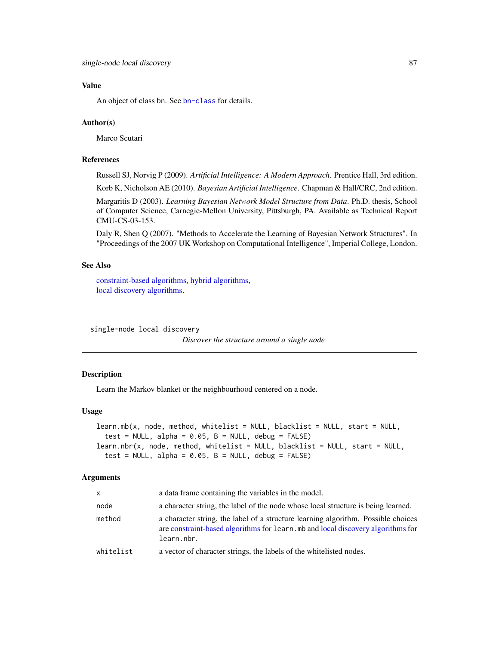# <span id="page-86-0"></span>Value

An object of class bn. See [bn-class](#page-16-0) for details.

#### Author(s)

Marco Scutari

# References

Russell SJ, Norvig P (2009). *Artificial Intelligence: A Modern Approach*. Prentice Hall, 3rd edition.

Korb K, Nicholson AE (2010). *Bayesian Artificial Intelligence*. Chapman & Hall/CRC, 2nd edition.

Margaritis D (2003). *Learning Bayesian Network Model Structure from Data*. Ph.D. thesis, School of Computer Science, Carnegie-Mellon University, Pittsburgh, PA. Available as Technical Report CMU-CS-03-153.

Daly R, Shen Q (2007). "Methods to Accelerate the Learning of Bayesian Network Structures". In "Proceedings of the 2007 UK Workshop on Computational Intelligence", Imperial College, London.

# See Also

[constraint-based algorithms,](#page-38-0) [hybrid algorithms,](#page-59-0) [local discovery algorithms.](#page-65-0)

single-node local discovery

*Discover the structure around a single node*

## Description

Learn the Markov blanket or the neighbourhood centered on a node.

#### Usage

```
learn.mb(x, node, method, whitelist = NULL, blacklist = NULL, start = NULL,
  test = NULL, alpha = 0.05, B = NULL, debug = FALSE)
learn.nbr(x, node, method, whitelist = NULL, blacklist = NULL, start = NULL,
  test = NULL, alpha = 0.05, B = NULL, debug = FALSE)
```

| X         | a data frame containing the variables in the model.                                                                                                                                 |
|-----------|-------------------------------------------------------------------------------------------------------------------------------------------------------------------------------------|
| node      | a character string, the label of the node whose local structure is being learned.                                                                                                   |
| method    | a character string, the label of a structure learning algorithm. Possible choices<br>are constraint-based algorithms for learn, mb and local discovery algorithms for<br>learn.nbr. |
| whitelist | a vector of character strings, the labels of the white listed nodes.                                                                                                                |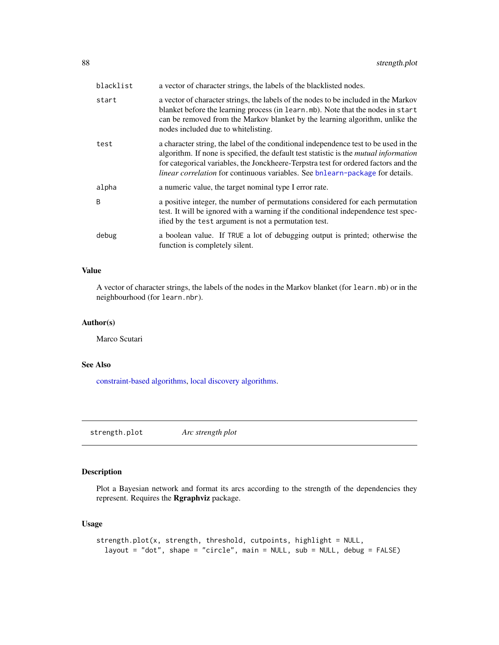<span id="page-87-0"></span>

| blacklist | a vector of character strings, the labels of the blacklisted nodes.                                                                                                                                                                                                                                                                                                 |
|-----------|---------------------------------------------------------------------------------------------------------------------------------------------------------------------------------------------------------------------------------------------------------------------------------------------------------------------------------------------------------------------|
| start     | a vector of character strings, the labels of the nodes to be included in the Markov<br>blanket before the learning process (in learn.mb). Note that the nodes in start<br>can be removed from the Markov blanket by the learning algorithm, unlike the<br>nodes included due to white listing.                                                                      |
| test      | a character string, the label of the conditional independence test to be used in the<br>algorithm. If none is specified, the default test statistic is the <i>mutual information</i><br>for categorical variables, the Jonckheere-Terpstra test for ordered factors and the<br><i>linear correlation</i> for continuous variables. See bnlearn-package for details. |
| alpha     | a numeric value, the target nominal type I error rate.                                                                                                                                                                                                                                                                                                              |
| B         | a positive integer, the number of permutations considered for each permutation<br>test. It will be ignored with a warning if the conditional independence test spec-<br>ified by the test argument is not a permutation test.                                                                                                                                       |
| debug     | a boolean value. If TRUE a lot of debugging output is printed; otherwise the<br>function is completely silent.                                                                                                                                                                                                                                                      |

# Value

A vector of character strings, the labels of the nodes in the Markov blanket (for learn.mb) or in the neighbourhood (for learn.nbr).

# Author(s)

Marco Scutari

# See Also

[constraint-based algorithms,](#page-38-0) [local discovery algorithms.](#page-65-0)

strength.plot *Arc strength plot*

# Description

Plot a Bayesian network and format its arcs according to the strength of the dependencies they represent. Requires the Rgraphviz package.

# Usage

```
strength.plot(x, strength, threshold, cutpoints, highlight = NULL,
 layout = "dot", shape = "circle", main = NULL, sub = NULL, debug = FALSE)
```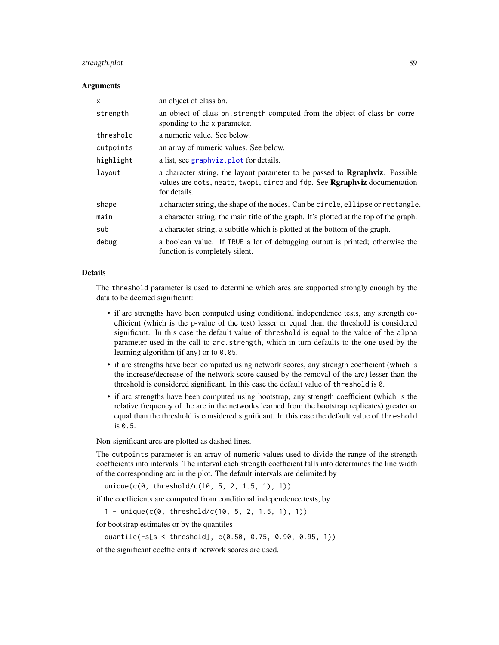# <span id="page-88-0"></span>strength.plot 89

### Arguments

| $\mathsf{x}$ | an object of class bn.                                                                                                                                                                   |
|--------------|------------------------------------------------------------------------------------------------------------------------------------------------------------------------------------------|
| strength     | an object of class bn. strength computed from the object of class bn corre-<br>sponding to the x parameter.                                                                              |
| threshold    | a numeric value. See below.                                                                                                                                                              |
| cutpoints    | an array of numeric values. See below.                                                                                                                                                   |
| highlight    | a list, see graphyiz. plot for details.                                                                                                                                                  |
| layout       | a character string, the layout parameter to be passed to <b>Regaphyiz</b> . Possible<br>values are dots, neato, twopi, circo and fdp. See <b>Rgraphyiz</b> documentation<br>for details. |
| shape        | a character string, the shape of the nodes. Can be circle, ellipse or rectangle.                                                                                                         |
| main         | a character string, the main title of the graph. It's plotted at the top of the graph.                                                                                                   |
| sub          | a character string, a subtitle which is plotted at the bottom of the graph.                                                                                                              |
| debug        | a boolean value. If TRUE a lot of debugging output is printed; otherwise the<br>function is completely silent.                                                                           |

# Details

The threshold parameter is used to determine which arcs are supported strongly enough by the data to be deemed significant:

- if arc strengths have been computed using conditional independence tests, any strength coefficient (which is the p-value of the test) lesser or equal than the threshold is considered significant. In this case the default value of threshold is equal to the value of the alpha parameter used in the call to arc.strength, which in turn defaults to the one used by the learning algorithm (if any) or to 0.05.
- if arc strengths have been computed using network scores, any strength coefficient (which is the increase/decrease of the network score caused by the removal of the arc) lesser than the threshold is considered significant. In this case the default value of threshold is 0.
- if arc strengths have been computed using bootstrap, any strength coefficient (which is the relative frequency of the arc in the networks learned from the bootstrap replicates) greater or equal than the threshold is considered significant. In this case the default value of threshold is 0.5.

Non-significant arcs are plotted as dashed lines.

The cutpoints parameter is an array of numeric values used to divide the range of the strength coefficients into intervals. The interval each strength coefficient falls into determines the line width of the corresponding arc in the plot. The default intervals are delimited by

unique(c(0, threshold/c(10, 5, 2, 1.5, 1), 1))

if the coefficients are computed from conditional independence tests, by

1 - unique(c(0, threshold/c(10, 5, 2, 1.5, 1), 1))

for bootstrap estimates or by the quantiles

```
quantile(-s[s < threshold], c(0.50, 0.75, 0.90, 0.95, 1))
```
of the significant coefficients if network scores are used.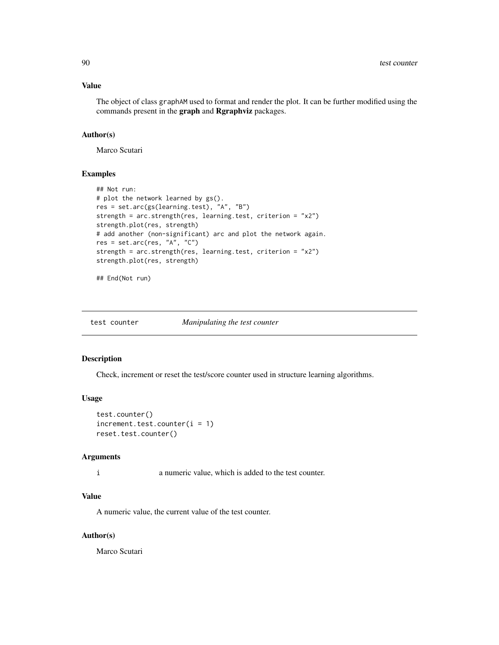# <span id="page-89-0"></span>Value

The object of class graphAM used to format and render the plot. It can be further modified using the commands present in the graph and Rgraphviz packages.

# Author(s)

Marco Scutari

# Examples

```
## Not run:
# plot the network learned by gs().
res = set.arc(gs(learning.test), "A", "B")
strength = arc.strength(res, learning.test, criterion = "x2")
strength.plot(res, strength)
# add another (non-significant) arc and plot the network again.
res = set.archive, "A", "C")strength = arc.strength(res, learning.test, criterion = "x2")
strength.plot(res, strength)
```
## End(Not run)

test counter *Manipulating the test counter*

#### Description

Check, increment or reset the test/score counter used in structure learning algorithms.

# Usage

```
test.counter()
increment.test.counter(i = 1)reset.test.counter()
```
# Arguments

i a numeric value, which is added to the test counter.

# Value

A numeric value, the current value of the test counter.

## Author(s)

Marco Scutari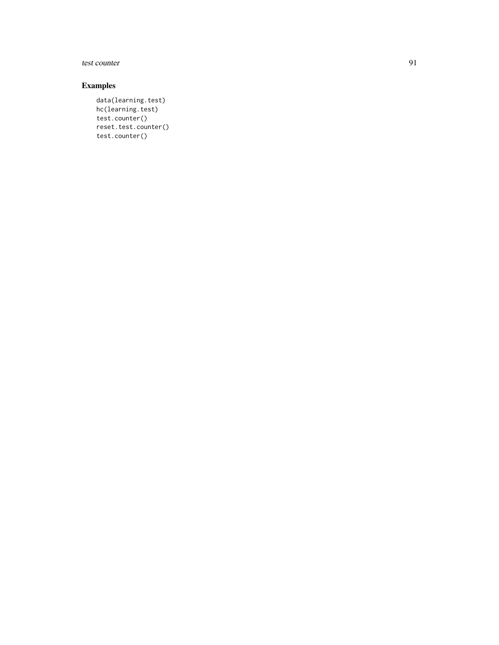# test counter 91

# Examples

data(learning.test) hc(learning.test) test.counter() reset.test.counter() test.counter()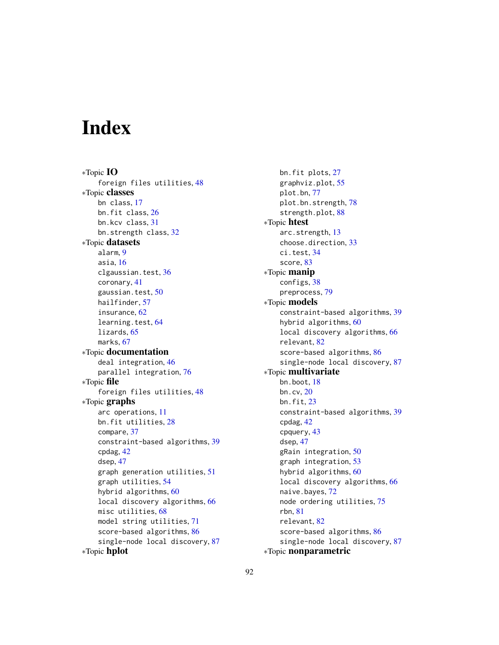# **Index**

∗Topic IO foreign files utilities, [48](#page-47-0) ∗Topic classes bn class, [17](#page-16-1) bn.fit class, [26](#page-25-0) bn.kcv class, [31](#page-30-0) bn.strength class, [32](#page-31-0) ∗Topic datasets alarm, [9](#page-8-0) asia, [16](#page-15-0) clgaussian.test, [36](#page-35-0) coronary, [41](#page-40-0) gaussian.test, [50](#page-49-0) hailfinder, [57](#page-56-0) insurance, [62](#page-61-0) learning.test, [64](#page-63-0) lizards, [65](#page-64-0) marks, [67](#page-66-0) ∗Topic documentation deal integration, [46](#page-45-0) parallel integration, [76](#page-75-0) ∗Topic file foreign files utilities, [48](#page-47-0) ∗Topic graphs arc operations, [11](#page-10-0) bn.fit utilities, [28](#page-27-0) compare, [37](#page-36-0) constraint-based algorithms, [39](#page-38-1) cpdag, [42](#page-41-0) dsep, [47](#page-46-0) graph generation utilities, [51](#page-50-0) graph utilities, [54](#page-53-0) hybrid algorithms, [60](#page-59-1) local discovery algorithms, [66](#page-65-1) misc utilities, [68](#page-67-0) model string utilities, [71](#page-70-0) score-based algorithms, [86](#page-85-0) single-node local discovery, [87](#page-86-0) ∗Topic hplot

bn.fit plots, [27](#page-26-0) graphviz.plot, [55](#page-54-1) plot.bn, [77](#page-76-0) plot.bn.strength, [78](#page-77-0) strength.plot, [88](#page-87-0) ∗Topic htest arc.strength, [13](#page-12-1) choose.direction, [33](#page-32-1) ci.test, [34](#page-33-0) score, [83](#page-82-1) ∗Topic manip configs, [38](#page-37-0) preprocess, [79](#page-78-0) ∗Topic models constraint-based algorithms, [39](#page-38-1) hybrid algorithms, [60](#page-59-1) local discovery algorithms, [66](#page-65-1) relevant, [82](#page-81-0) score-based algorithms, [86](#page-85-0) single-node local discovery, [87](#page-86-0) ∗Topic multivariate bn.boot, [18](#page-17-1) bn.cv, [20](#page-19-1) bn.fit, [23](#page-22-1) constraint-based algorithms, [39](#page-38-1) cpdag, [42](#page-41-0) cpquery, [43](#page-42-0) dsep, [47](#page-46-0) gRain integration, [50](#page-49-0) graph integration, [53](#page-52-0) hybrid algorithms, [60](#page-59-1) local discovery algorithms, [66](#page-65-1) naive.bayes, [72](#page-71-0) node ordering utilities, [75](#page-74-0) rbn, [81](#page-80-0) relevant, [82](#page-81-0) score-based algorithms, [86](#page-85-0) single-node local discovery, [87](#page-86-0) ∗Topic nonparametric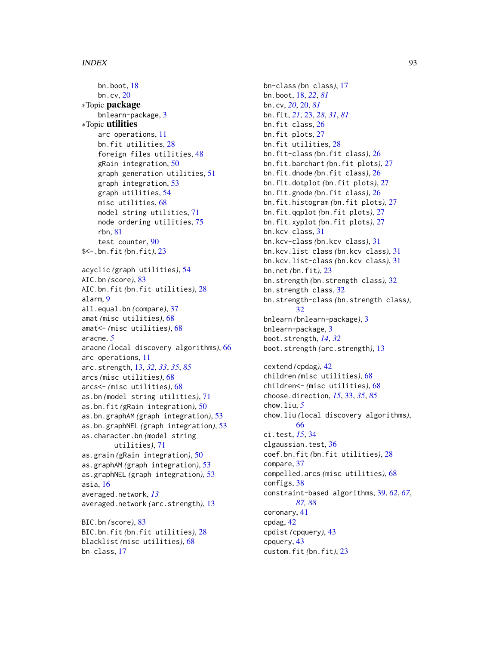bn.boot, [18](#page-17-1) bn.cv, [20](#page-19-1) ∗Topic package bnlearn-package, [3](#page-2-1) ∗Topic utilities arc operations, [11](#page-10-0) bn.fit utilities, [28](#page-27-0) foreign files utilities, [48](#page-47-0) gRain integration, [50](#page-49-0) graph generation utilities, [51](#page-50-0) graph integration, [53](#page-52-0) graph utilities, [54](#page-53-0) misc utilities, [68](#page-67-0) model string utilities, [71](#page-70-0) node ordering utilities, [75](#page-74-0) rbn, [81](#page-80-0) test counter, [90](#page-89-0) \$<-.bn.fit *(*bn.fit*)*, [23](#page-22-1) acyclic *(*graph utilities*)*, [54](#page-53-0) AIC.bn *(*score*)*, [83](#page-82-1) AIC.bn.fit *(*bn.fit utilities*)*, [28](#page-27-0) alarm, [9](#page-8-0) all.equal.bn *(*compare*)*, [37](#page-36-0) amat *(*misc utilities*)*, [68](#page-67-0) amat<- *(*misc utilities*)*, [68](#page-67-0) aracne, *[5](#page-4-0)* aracne *(*local discovery algorithms*)*, [66](#page-65-1) arc operations, [11](#page-10-0) arc.strength, [13,](#page-12-1) *[32,](#page-31-0) [33](#page-32-1)*, *[35](#page-34-0)*, *[85](#page-84-0)* arcs *(*misc utilities*)*, [68](#page-67-0) arcs<- *(*misc utilities*)*, [68](#page-67-0) as.bn *(*model string utilities*)*, [71](#page-70-0) as.bn.fit *(*gRain integration*)*, [50](#page-49-0) as.bn.graphAM *(*graph integration*)*, [53](#page-52-0) as.bn.graphNEL *(*graph integration*)*, [53](#page-52-0) as.character.bn *(*model string utilities*)*, [71](#page-70-0) as.grain *(*gRain integration*)*, [50](#page-49-0) as.graphAM *(*graph integration*)*, [53](#page-52-0) as.graphNEL *(*graph integration*)*, [53](#page-52-0) asia, [16](#page-15-0) averaged.network, *[13](#page-12-1)* averaged.network *(*arc.strength*)*, [13](#page-12-1) BIC.bn *(*score*)*, [83](#page-82-1) BIC.bn.fit *(*bn.fit utilities*)*, [28](#page-27-0) blacklist *(*misc utilities*)*, [68](#page-67-0)

bn class, [17](#page-16-1)

bn-class *(*bn class*)*, [17](#page-16-1) bn.boot, [18,](#page-17-1) *[22](#page-21-0)*, *[81](#page-80-0)* bn.cv, *[20](#page-19-1)*, [20,](#page-19-1) *[81](#page-80-0)* bn.fit, *[21](#page-20-0)*, [23,](#page-22-1) *[28](#page-27-0)*, *[31](#page-30-0)*, *[81](#page-80-0)* bn.fit class, [26](#page-25-0) bn.fit plots, [27](#page-26-0) bn.fit utilities, [28](#page-27-0) bn.fit-class *(*bn.fit class*)*, [26](#page-25-0) bn.fit.barchart *(*bn.fit plots*)*, [27](#page-26-0) bn.fit.dnode *(*bn.fit class*)*, [26](#page-25-0) bn.fit.dotplot *(*bn.fit plots*)*, [27](#page-26-0) bn.fit.gnode *(*bn.fit class*)*, [26](#page-25-0) bn.fit.histogram *(*bn.fit plots*)*, [27](#page-26-0) bn.fit.qqplot *(*bn.fit plots*)*, [27](#page-26-0) bn.fit.xyplot *(*bn.fit plots*)*, [27](#page-26-0) bn.kcv class, [31](#page-30-0) bn.kcv-class *(*bn.kcv class*)*, [31](#page-30-0) bn.kcv.list class *(*bn.kcv class*)*, [31](#page-30-0) bn.kcv.list-class *(*bn.kcv class*)*, [31](#page-30-0) bn.net *(*bn.fit*)*, [23](#page-22-1) bn.strength *(*bn.strength class*)*, [32](#page-31-0) bn.strength class, [32](#page-31-0) bn.strength-class *(*bn.strength class*)*, [32](#page-31-0) bnlearn *(*bnlearn-package*)*, [3](#page-2-1) bnlearn-package, [3](#page-2-1) boot.strength, *[14](#page-13-0)*, *[32](#page-31-0)* boot.strength *(*arc.strength*)*, [13](#page-12-1) cextend *(*cpdag*)*, [42](#page-41-0) children *(*misc utilities*)*, [68](#page-67-0) children<- *(*misc utilities*)*, [68](#page-67-0) choose.direction, *[15](#page-14-0)*, [33,](#page-32-1) *[35](#page-34-0)*, *[85](#page-84-0)* chow.liu, *[5](#page-4-0)* chow.liu *(*local discovery algorithms*)*, [66](#page-65-1) ci.test, *[15](#page-14-0)*, [34](#page-33-0) clgaussian.test, [36](#page-35-0) coef.bn.fit *(*bn.fit utilities*)*, [28](#page-27-0) compare, [37](#page-36-0) compelled.arcs *(*misc utilities*)*, [68](#page-67-0) configs, [38](#page-37-0) constraint-based algorithms, [39,](#page-38-1) *[62](#page-61-0)*, *[67](#page-66-0)*, *[87,](#page-86-0) [88](#page-87-0)* coronary, [41](#page-40-0) cpdag, [42](#page-41-0) cpdist *(*cpquery*)*, [43](#page-42-0) cpquery, [43](#page-42-0) custom.fit *(*bn.fit*)*, [23](#page-22-1)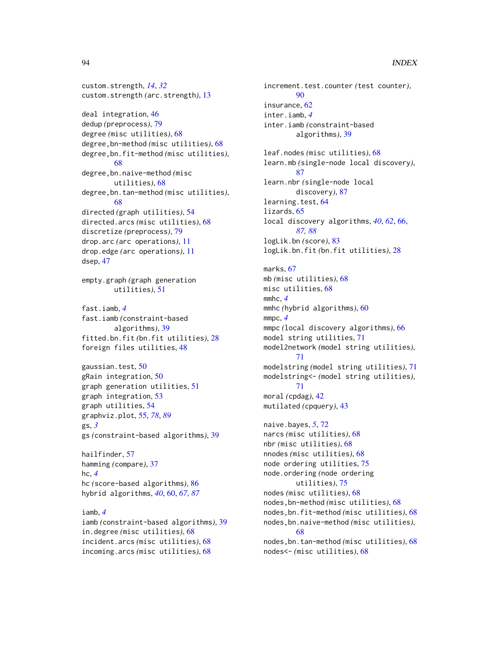custom.strength, *[14](#page-13-0)*, *[32](#page-31-0)* custom.strength *(*arc.strength*)*, [13](#page-12-1)

deal integration, [46](#page-45-0) dedup *(*preprocess*)*, [79](#page-78-0) degree *(*misc utilities*)*, [68](#page-67-0) degree,bn-method *(*misc utilities*)*, [68](#page-67-0) degree,bn.fit-method *(*misc utilities*)*, [68](#page-67-0) degree,bn.naive-method *(*misc utilities*)*, [68](#page-67-0) degree,bn.tan-method *(*misc utilities*)*, [68](#page-67-0) directed *(*graph utilities*)*, [54](#page-53-0) directed.arcs *(*misc utilities*)*, [68](#page-67-0) discretize *(*preprocess*)*, [79](#page-78-0) drop.arc *(*arc operations*)*, [11](#page-10-0) drop.edge *(*arc operations*)*, [11](#page-10-0) dsep, [47](#page-46-0) empty.graph *(*graph generation utilities*)*, [51](#page-50-0) fast.iamb, *[4](#page-3-0)* fast.iamb *(*constraint-based algorithms*)*, [39](#page-38-1) fitted.bn.fit *(*bn.fit utilities*)*, [28](#page-27-0) foreign files utilities, [48](#page-47-0) gaussian.test, [50](#page-49-0) gRain integration, [50](#page-49-0) graph generation utilities, [51](#page-50-0) graph integration, [53](#page-52-0) graph utilities, [54](#page-53-0)

graphviz.plot, [55,](#page-54-1) *[78](#page-77-0)*, *[89](#page-88-0)* gs, *[3](#page-2-1)* gs *(*constraint-based algorithms*)*, [39](#page-38-1)

hailfinder, [57](#page-56-0) hamming *(*compare*)*, [37](#page-36-0) hc, *[4](#page-3-0)* hc *(*score-based algorithms*)*, [86](#page-85-0) hybrid algorithms, *[40](#page-39-0)*, [60,](#page-59-1) *[67](#page-66-0)*, *[87](#page-86-0)*

iamb, *[4](#page-3-0)* iamb *(*constraint-based algorithms*)*, [39](#page-38-1) in.degree *(*misc utilities*)*, [68](#page-67-0) incident.arcs *(*misc utilities*)*, [68](#page-67-0) incoming.arcs *(*misc utilities*)*, [68](#page-67-0)

increment.test.counter *(*test counter*)*,  $90$ insurance, [62](#page-61-0) inter.iamb, *[4](#page-3-0)* inter.iamb *(*constraint-based algorithms*)*, [39](#page-38-1) leaf.nodes *(*misc utilities*)*, [68](#page-67-0) learn.mb *(*single-node local discovery*)*, [87](#page-86-0) learn.nbr *(*single-node local discovery*)*, [87](#page-86-0) learning.test, [64](#page-63-0) lizards, [65](#page-64-0) local discovery algorithms, *[40](#page-39-0)*, *[62](#page-61-0)*, [66,](#page-65-1) *[87,](#page-86-0) [88](#page-87-0)* logLik.bn *(*score*)*, [83](#page-82-1) logLik.bn.fit *(*bn.fit utilities*)*, [28](#page-27-0)

marks, [67](#page-66-0) mb *(*misc utilities*)*, [68](#page-67-0) misc utilities, [68](#page-67-0) mmhc, *[4](#page-3-0)* mmhc *(*hybrid algorithms*)*, [60](#page-59-1) mmpc, *[4](#page-3-0)* mmpc *(*local discovery algorithms*)*, [66](#page-65-1) model string utilities, [71](#page-70-0) model2network *(*model string utilities*)*, [71](#page-70-0) modelstring *(*model string utilities*)*, [71](#page-70-0) modelstring<- *(*model string utilities*)*, [71](#page-70-0) moral *(*cpdag*)*, [42](#page-41-0) mutilated *(*cpquery*)*, [43](#page-42-0)

naive.bayes, *[5](#page-4-0)*, [72](#page-71-0) narcs *(*misc utilities*)*, [68](#page-67-0) nbr *(*misc utilities*)*, [68](#page-67-0) nnodes *(*misc utilities*)*, [68](#page-67-0) node ordering utilities, [75](#page-74-0) node.ordering *(*node ordering utilities*)*, [75](#page-74-0) nodes *(*misc utilities*)*, [68](#page-67-0) nodes,bn-method *(*misc utilities*)*, [68](#page-67-0) nodes,bn.fit-method *(*misc utilities*)*, [68](#page-67-0) nodes,bn.naive-method *(*misc utilities*)*, [68](#page-67-0) nodes,bn.tan-method *(*misc utilities*)*, [68](#page-67-0) nodes<- *(*misc utilities*)*, [68](#page-67-0)